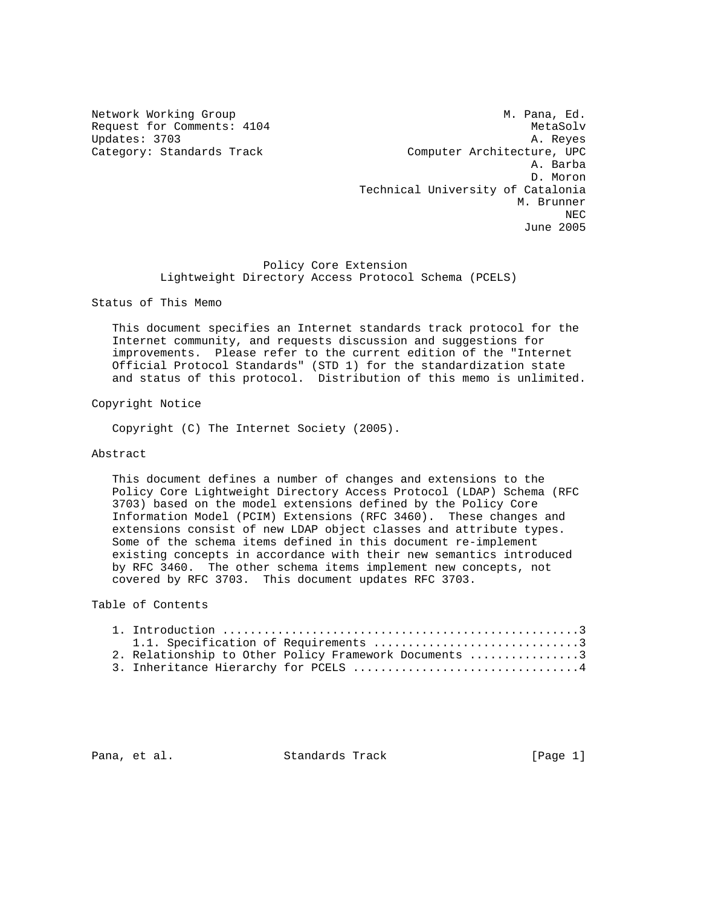Network Working Group Metwork Working Group Metwork Metwork Metal Request for Comments:  $4104$  MetaSolv Updates: 3703 A. Reyes Category: Standards Track Computer Architecture, UPC A. Barba D. Moron Technical University of Catalonia M. Brunner NECTRIC INTENSITY OF REAL PROPERTY AND REAL PROPERTY OF REAL PROPERTY. June 2005

> Policy Core Extension Lightweight Directory Access Protocol Schema (PCELS)

Status of This Memo

 This document specifies an Internet standards track protocol for the Internet community, and requests discussion and suggestions for improvements. Please refer to the current edition of the "Internet Official Protocol Standards" (STD 1) for the standardization state and status of this protocol. Distribution of this memo is unlimited.

Copyright Notice

Copyright (C) The Internet Society (2005).

### Abstract

 This document defines a number of changes and extensions to the Policy Core Lightweight Directory Access Protocol (LDAP) Schema (RFC 3703) based on the model extensions defined by the Policy Core Information Model (PCIM) Extensions (RFC 3460). These changes and extensions consist of new LDAP object classes and attribute types. Some of the schema items defined in this document re-implement existing concepts in accordance with their new semantics introduced by RFC 3460. The other schema items implement new concepts, not covered by RFC 3703. This document updates RFC 3703.

Table of Contents

|  | 2. Relationship to Other Policy Framework Documents 3 |  |
|--|-------------------------------------------------------|--|
|  | 3. Inheritance Hierarchy for PCELS 4                  |  |

Pana, et al. Standards Track [Page 1]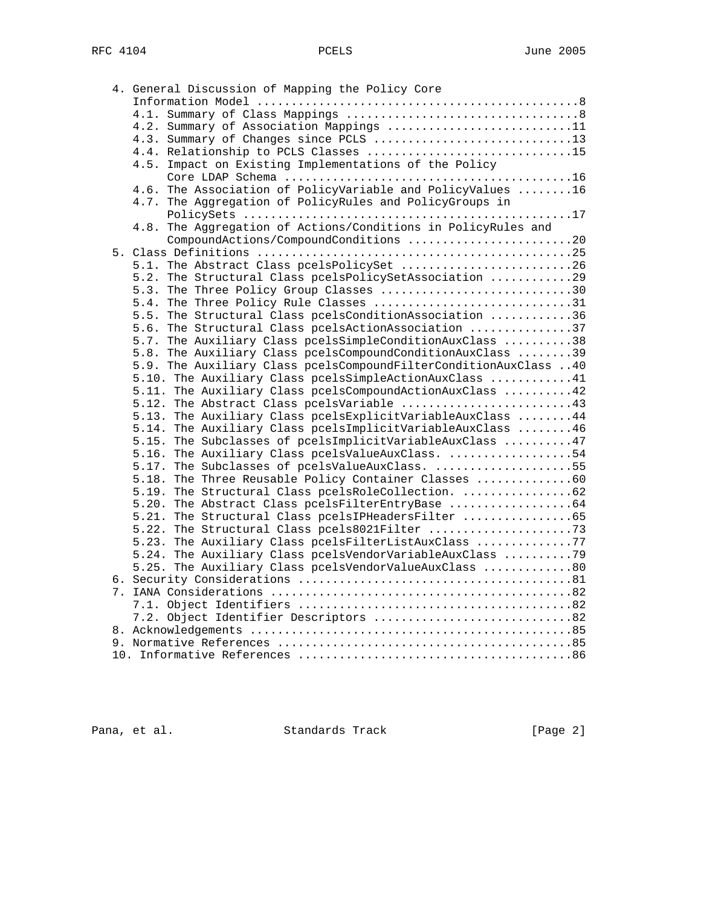| 4. General Discussion of Mapping the Policy Core                 |
|------------------------------------------------------------------|
|                                                                  |
|                                                                  |
| 4.2. Summary of Association Mappings 11                          |
| 4.3. Summary of Changes since PCLS 13                            |
| 4.4. Relationship to PCLS Classes 15                             |
| 4.5. Impact on Existing Implementations of the Policy            |
|                                                                  |
| 4.6. The Association of PolicyVariable and PolicyValues 16       |
| 4.7. The Aggregation of PolicyRules and PolicyGroups in          |
|                                                                  |
| 4.8. The Aggregation of Actions/Conditions in PolicyRules and    |
| CompoundActions/CompoundConditions 20                            |
|                                                                  |
| 5.1. The Abstract Class pcelsPolicySet 26                        |
|                                                                  |
| 5.2. The Structural Class pcelsPolicySetAssociation 29           |
| 5.3. The Three Policy Group Classes 30                           |
| 5.4. The Three Policy Rule Classes 31                            |
| 5.5. The Structural Class pcelsConditionAssociation 36           |
| 5.6. The Structural Class pcelsActionAssociation 37              |
| 5.7. The Auxiliary Class pcelsSimpleConditionAuxClass 38         |
| 5.8. The Auxiliary Class pcelsCompoundConditionAuxClass 39       |
| 5.9. The Auxiliary Class pcelsCompoundFilterConditionAuxClass 40 |
| 5.10. The Auxiliary Class pcelsSimpleActionAuxClass 41           |
| 5.11. The Auxiliary Class pcelsCompoundActionAuxClass 42         |
| 5.12. The Abstract Class pcelsVariable 43                        |
| 5.13. The Auxiliary Class pcelsExplicitVariableAuxClass  44      |
| 5.14. The Auxiliary Class pcelsImplicitVariableAuxClass 46       |
| 5.15. The Subclasses of pcelsImplicitVariableAuxClass 47         |
| 5.16. The Auxiliary Class pcelsValueAuxClass. 54                 |
| 5.17. The Subclasses of pcelsValueAuxClass. 55                   |
| 5.18. The Three Reusable Policy Container Classes 60             |
| 5.19. The Structural Class pcelsRoleCollection. 62               |
| 5.20. The Abstract Class pcelsFilterEntryBase 64                 |
| 5.21. The Structural Class pcelsIPHeadersFilter 65               |
|                                                                  |
| 5.23. The Auxiliary Class pcelsFilterListAuxClass 77             |
| 5.24. The Auxiliary Class pcelsVendorVariableAuxClass 79         |
| 5.25. The Auxiliary Class pcelsVendorValueAuxClass 80            |
|                                                                  |
|                                                                  |
|                                                                  |
| 7.2. Object Identifier Descriptors 82                            |
|                                                                  |
|                                                                  |
|                                                                  |

Pana, et al. Standards Track [Page 2]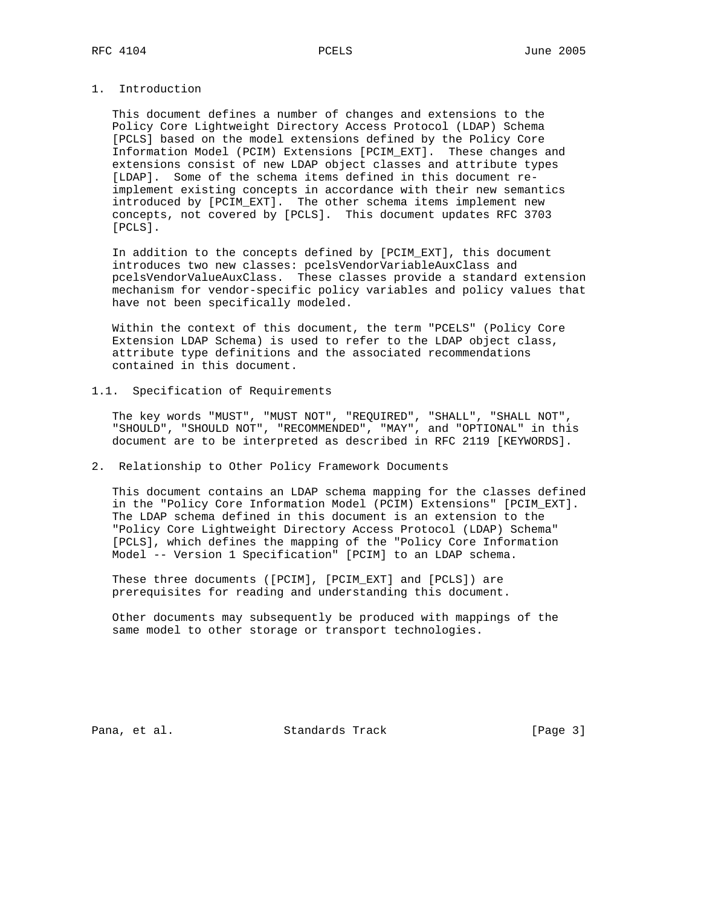# 1. Introduction

 This document defines a number of changes and extensions to the Policy Core Lightweight Directory Access Protocol (LDAP) Schema [PCLS] based on the model extensions defined by the Policy Core Information Model (PCIM) Extensions [PCIM\_EXT]. These changes and extensions consist of new LDAP object classes and attribute types [LDAP]. Some of the schema items defined in this document re implement existing concepts in accordance with their new semantics introduced by [PCIM\_EXT]. The other schema items implement new concepts, not covered by [PCLS]. This document updates RFC 3703 [PCLS].

 In addition to the concepts defined by [PCIM\_EXT], this document introduces two new classes: pcelsVendorVariableAuxClass and pcelsVendorValueAuxClass. These classes provide a standard extension mechanism for vendor-specific policy variables and policy values that have not been specifically modeled.

 Within the context of this document, the term "PCELS" (Policy Core Extension LDAP Schema) is used to refer to the LDAP object class, attribute type definitions and the associated recommendations contained in this document.

### 1.1. Specification of Requirements

 The key words "MUST", "MUST NOT", "REQUIRED", "SHALL", "SHALL NOT", "SHOULD", "SHOULD NOT", "RECOMMENDED", "MAY", and "OPTIONAL" in this document are to be interpreted as described in RFC 2119 [KEYWORDS].

# 2. Relationship to Other Policy Framework Documents

 This document contains an LDAP schema mapping for the classes defined in the "Policy Core Information Model (PCIM) Extensions" [PCIM\_EXT]. The LDAP schema defined in this document is an extension to the "Policy Core Lightweight Directory Access Protocol (LDAP) Schema" [PCLS], which defines the mapping of the "Policy Core Information Model -- Version 1 Specification" [PCIM] to an LDAP schema.

 These three documents ([PCIM], [PCIM\_EXT] and [PCLS]) are prerequisites for reading and understanding this document.

 Other documents may subsequently be produced with mappings of the same model to other storage or transport technologies.

Pana, et al. Standards Track [Page 3]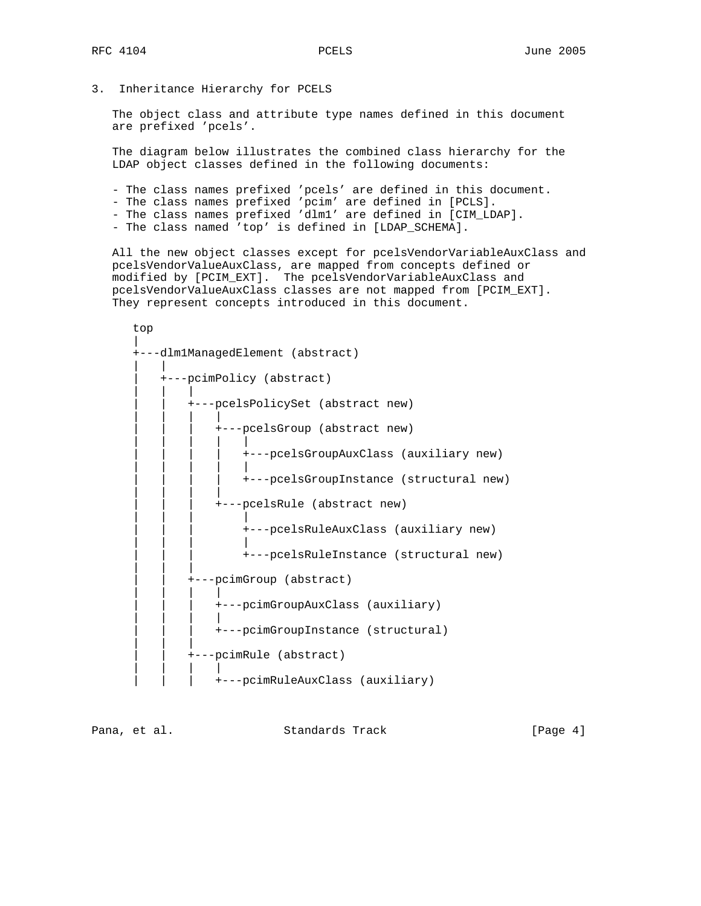3. Inheritance Hierarchy for PCELS

 The object class and attribute type names defined in this document are prefixed 'pcels'.

 The diagram below illustrates the combined class hierarchy for the LDAP object classes defined in the following documents:

- The class names prefixed 'pcels' are defined in this document.
- The class names prefixed 'pcim' are defined in [PCLS].
- The class names prefixed 'dlm1' are defined in [CIM\_LDAP].
- The class named 'top' is defined in [LDAP\_SCHEMA].

 All the new object classes except for pcelsVendorVariableAuxClass and pcelsVendorValueAuxClass, are mapped from concepts defined or modified by [PCIM\_EXT]. The pcelsVendorVariableAuxClass and pcelsVendorValueAuxClass classes are not mapped from [PCIM\_EXT]. They represent concepts introduced in this document.

 top | +---dlm1ManagedElement (abstract) | | | +---pcimPolicy (abstract) | | | | | +---pcelsPolicySet (abstract new) | | | | | | | +---pcelsGroup (abstract new) | | | | | | | | | +---pcelsGroupAuxClass (auxiliary new) | | | | | | | | | +---pcelsGroupInstance (structural new) | | | | | | | +---pcelsRule (abstract new) | | | | | | | +---pcelsRuleAuxClass (auxiliary new) | | | | | | | +---pcelsRuleInstance (structural new) | | | | | | | | +---pcimGroup (abstract) | | | | | | | +---pcimGroupAuxClass (auxiliary) | | | | | | | +---pcimGroupInstance (structural) | | | | | | +---pcimRule (abstract) | | | | | | | +---pcimRuleAuxClass (auxiliary)

Pana, et al. Standards Track [Page 4]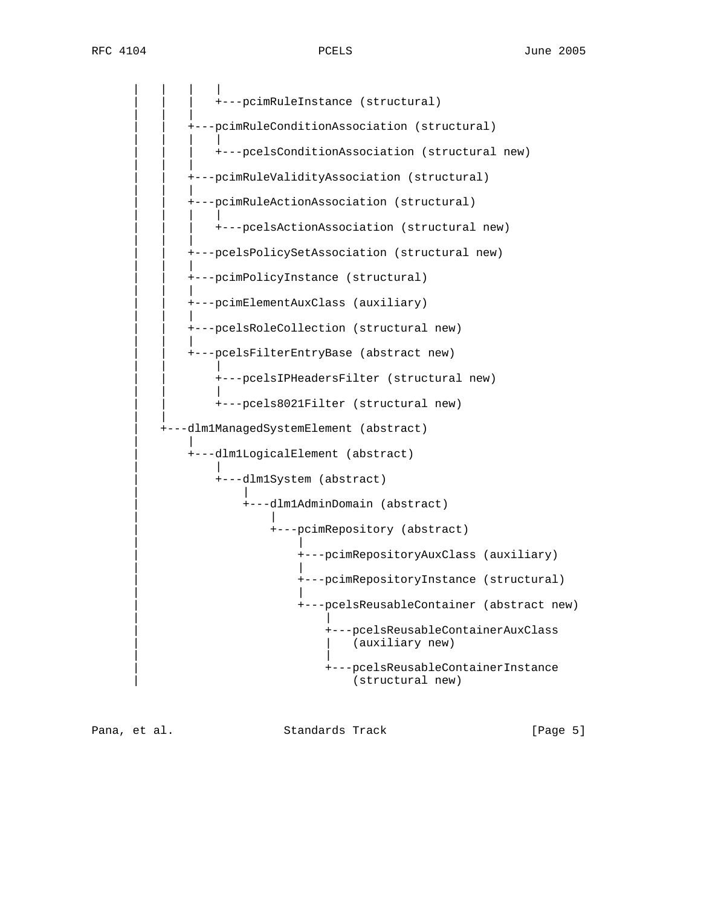| | | | | | | +---pcimRuleInstance (structural) | | | | | | | | +---pcimRuleConditionAssociation (structural) | | | | | | | +---pcelsConditionAssociation (structural new) | | | | | +---pcimRuleValidityAssociation (structural) | | | | | | | | +---pcimRuleActionAssociation (structural) | | | | | | | +---pcelsActionAssociation (structural new) | | | | | +---pcelsPolicySetAssociation (structural new) | | | | | | | | +---pcimPolicyInstance (structural) | | | | | +---pcimElementAuxClass (auxiliary) | | | | | +---pcelsRoleCollection (structural new) | | | | | | | | +---pcelsFilterEntryBase (abstract new) | | | .<br>+---pcelsIPHeadersFilter (structural new) | | | | | +---pcels8021Filter (structural new) | | | +---dlm1ManagedSystemElement (abstract) | | .<br>+---dlm1LogicalElement (abstract) | | | +---dlm1System (abstract) | | | +---dlm1AdminDomain (abstract) | | .<br>+---pcimRepository (abstract) | | | +---pcimRepositoryAuxClass (auxiliary) | | | +---pcimRepositoryInstance (structural) | | | +---pcelsReusableContainer (abstract new) | | | +---pcelsReusableContainerAuxClass (auxiliary new) | | | +---pcelsReusableContainerInstance (structural new)

Pana, et al. Standards Track [Page 5]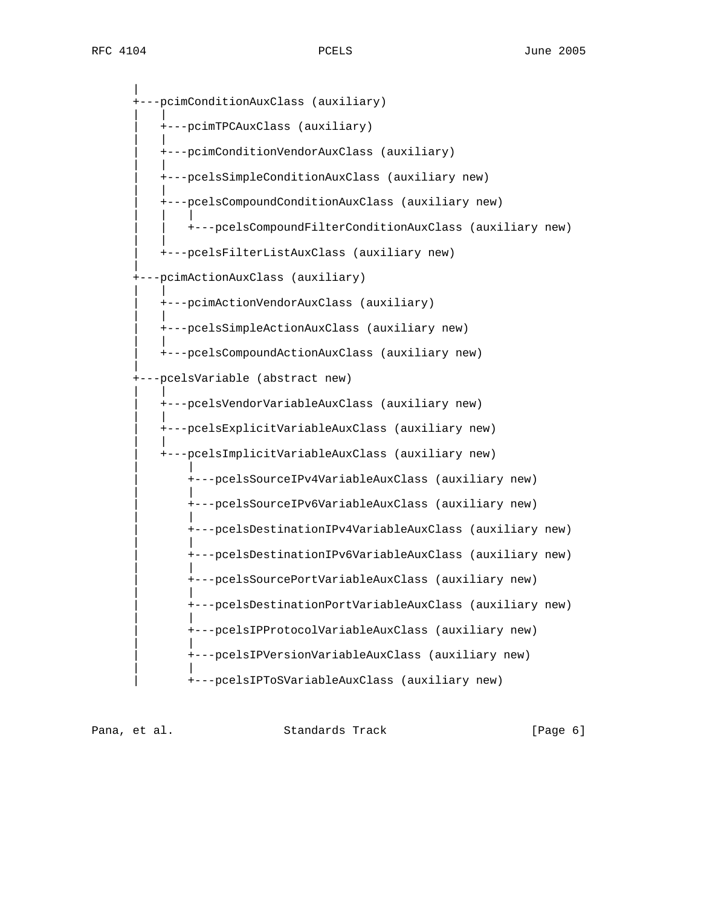| ---pcimConditionAuxClass (auxiliary) | | | +---pcimTPCAuxClass (auxiliary) | | | +---pcimConditionVendorAuxClass (auxiliary) | | | +---pcelsSimpleConditionAuxClass (auxiliary new) | | | +---pcelsCompoundConditionAuxClass (auxiliary new) | | | | | +---pcelsCompoundFilterConditionAuxClass (auxiliary new) | | | +---pcelsFilterListAuxClass (auxiliary new) | +---pcimActionAuxClass (auxiliary) | | | +---pcimActionVendorAuxClass (auxiliary) | | | +---pcelsSimpleActionAuxClass (auxiliary new) | | | +---pcelsCompoundActionAuxClass (auxiliary new) | +---pcelsVariable (abstract new) | | | +---pcelsVendorVariableAuxClass (auxiliary new) | | | +---pcelsExplicitVariableAuxClass (auxiliary new) | | | +---pcelsImplicitVariableAuxClass (auxiliary new) | | | +---pcelsSourceIPv4VariableAuxClass (auxiliary new) | | | +---pcelsSourceIPv6VariableAuxClass (auxiliary new) | | | +---pcelsDestinationIPv4VariableAuxClass (auxiliary new) | | | +---pcelsDestinationIPv6VariableAuxClass (auxiliary new) | | | +---pcelsSourcePortVariableAuxClass (auxiliary new) | | | +---pcelsDestinationPortVariableAuxClass (auxiliary new) | | | +---pcelsIPProtocolVariableAuxClass (auxiliary new) | | | +---pcelsIPVersionVariableAuxClass (auxiliary new) | | | +---pcelsIPToSVariableAuxClass (auxiliary new)

Pana, et al. Standards Track [Page 6]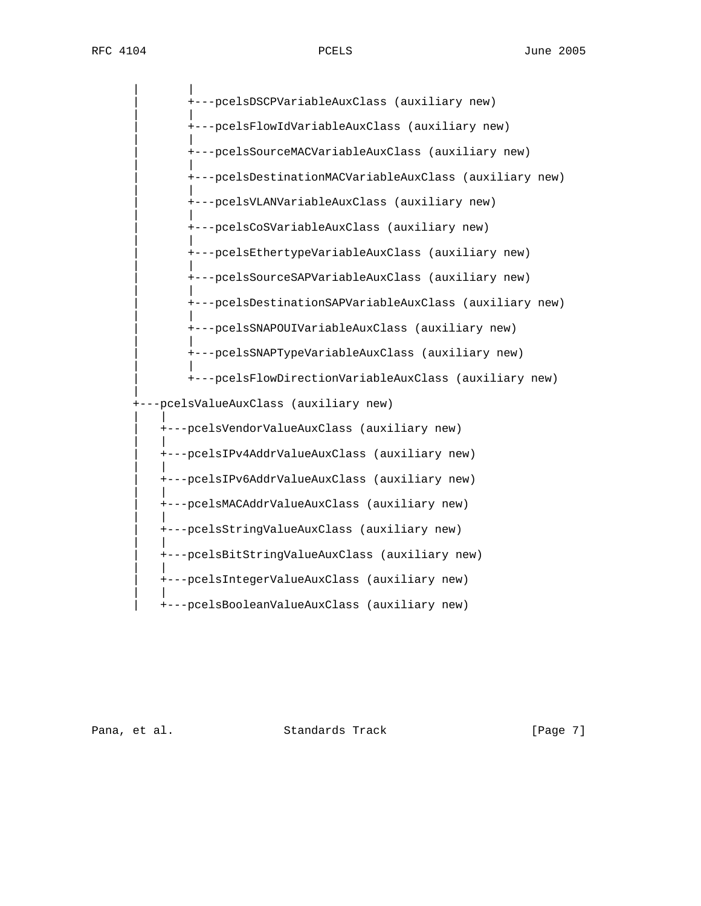| | | +---pcelsDSCPVariableAuxClass (auxiliary new) | | | +---pcelsFlowIdVariableAuxClass (auxiliary new) | | | +---pcelsSourceMACVariableAuxClass (auxiliary new) | | | +---pcelsDestinationMACVariableAuxClass (auxiliary new) | | | +---pcelsVLANVariableAuxClass (auxiliary new) | | | +---pcelsCoSVariableAuxClass (auxiliary new) | | | +---pcelsEthertypeVariableAuxClass (auxiliary new) | | | +---pcelsSourceSAPVariableAuxClass (auxiliary new) | | | +---pcelsDestinationSAPVariableAuxClass (auxiliary new) | | | +---pcelsSNAPOUIVariableAuxClass (auxiliary new) | | | +---pcelsSNAPTypeVariableAuxClass (auxiliary new) | | | +---pcelsFlowDirectionVariableAuxClass (auxiliary new) | +---pcelsValueAuxClass (auxiliary new) | | | +---pcelsVendorValueAuxClass (auxiliary new) | | | +---pcelsIPv4AddrValueAuxClass (auxiliary new) | | | +---pcelsIPv6AddrValueAuxClass (auxiliary new) | | | +---pcelsMACAddrValueAuxClass (auxiliary new) | | .<br>+---pcelsStringValueAuxClass (auxiliary new) | | | +---pcelsBitStringValueAuxClass (auxiliary new) | | | +---pcelsIntegerValueAuxClass (auxiliary new) | | | +---pcelsBooleanValueAuxClass (auxiliary new)

Pana, et al. Standards Track [Page 7]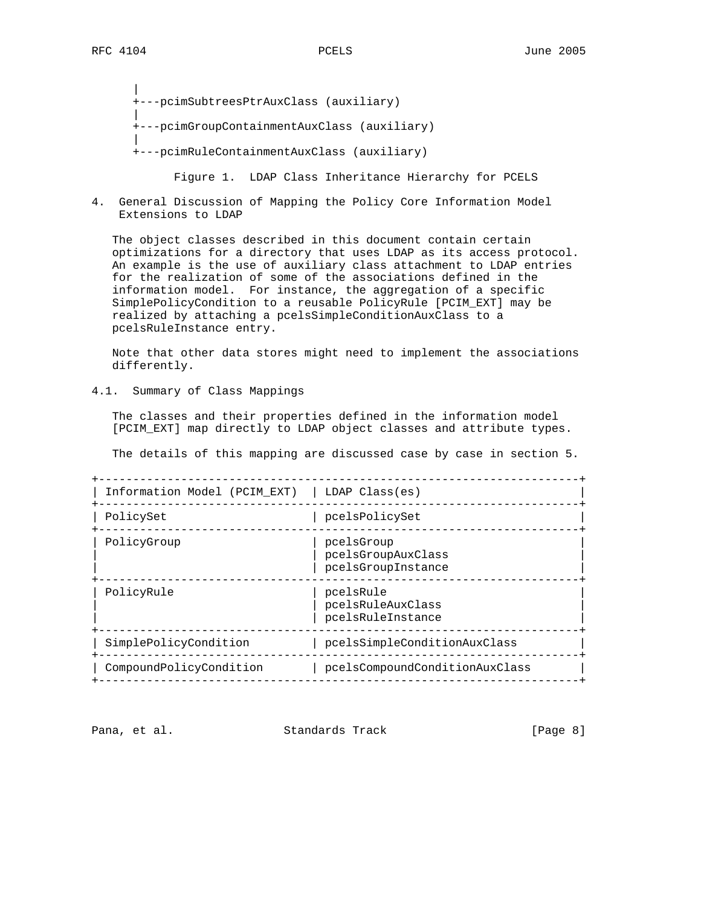| +---pcimSubtreesPtrAuxClass (auxiliary) | +---pcimGroupContainmentAuxClass (auxiliary) | +---pcimRuleContainmentAuxClass (auxiliary)

Figure 1. LDAP Class Inheritance Hierarchy for PCELS

4. General Discussion of Mapping the Policy Core Information Model Extensions to LDAP

 The object classes described in this document contain certain optimizations for a directory that uses LDAP as its access protocol. An example is the use of auxiliary class attachment to LDAP entries for the realization of some of the associations defined in the information model. For instance, the aggregation of a specific SimplePolicyCondition to a reusable PolicyRule [PCIM\_EXT] may be realized by attaching a pcelsSimpleConditionAuxClass to a pcelsRuleInstance entry.

 Note that other data stores might need to implement the associations differently.

4.1. Summary of Class Mappings

 The classes and their properties defined in the information model [PCIM\_EXT] map directly to LDAP object classes and attribute types.

The details of this mapping are discussed case by case in section 5.

| Information Model (PCIM EXT) | LDAP Class(es)                                         |
|------------------------------|--------------------------------------------------------|
| PolicySet                    | pcelsPolicySet                                         |
| PolicyGroup                  | pcelsGroup<br>pcelsGroupAuxClass<br>pcelsGroupInstance |
| PolicyRule                   | pcelsRule<br>pcelsRuleAuxClass<br>pcelsRuleInstance    |
| SimplePolicyCondition        | pcelsSimpleConditionAuxClass                           |
| CompoundPolicyCondition      | pcelsCompoundConditionAuxClass                         |
|                              |                                                        |

Pana, et al. Standards Track [Page 8]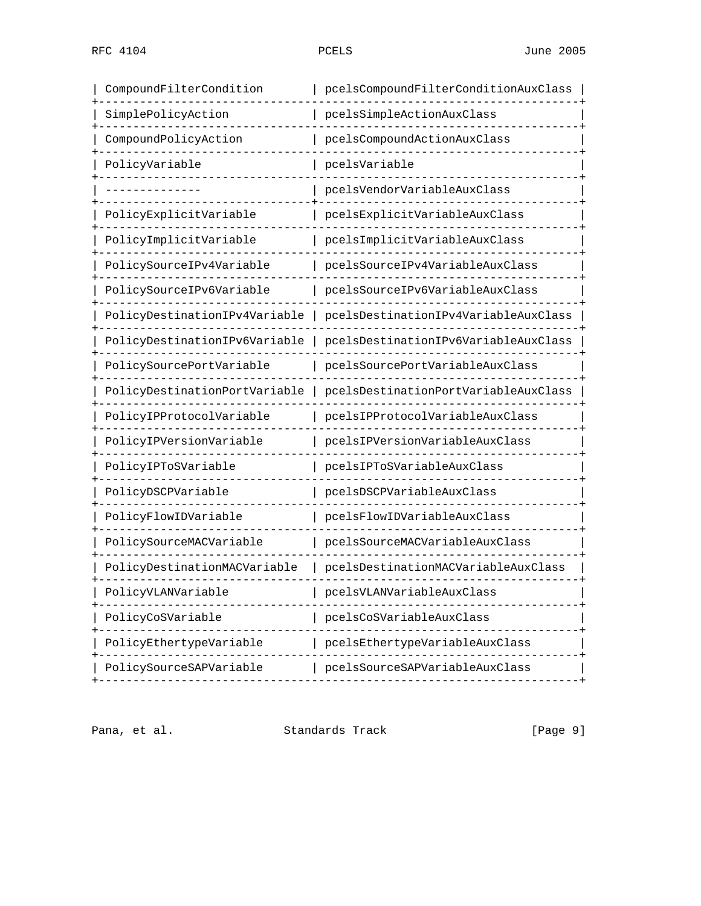| CompoundFilterCondition       | pcelsCompoundFilterConditionAuxClass |
|-------------------------------|--------------------------------------|
| SimplePolicyAction            | pcelsSimpleActionAuxClass            |
| CompoundPolicyAction          | pcelsCompoundActionAuxClass          |
| PolicyVariable                | pcelsVariable                        |
|                               | pcelsVendorVariableAuxClass          |
| PolicyExplicitVariable        | pcelsExplicitVariableAuxClass        |
| PolicyImplicitVariable        | pcelsImplicitVariableAuxClass        |
| PolicySourceIPv4Variable      | pcelsSourceIPv4VariableAuxClass      |
| PolicySourceIPv6Variable      | pcelsSourceIPv6VariableAuxClass      |
| PolicyDestinationIPv4Variable | pcelsDestinationIPv4VariableAuxClass |
| PolicyDestinationIPv6Variable | pcelsDestinationIPv6VariableAuxClass |
| PolicySourcePortVariable      | pcelsSourcePortVariableAuxClass      |
| PolicyDestinationPortVariable | pcelsDestinationPortVariableAuxClass |
| PolicyIPProtocolVariable      | pcelsIPProtocolVariableAuxClass      |
| PolicyIPVersionVariable       | pcelsIPVersionVariableAuxClass       |
| PolicyIPToSVariable           | pcelsIPToSVariableAuxClass           |
| PolicyDSCPVariable            | pcelsDSCPVariableAuxClass            |
| PolicyFlowIDVariable          | pcelsFlowIDVariableAuxClass          |
| PolicySourceMACVariable       | pcelsSourceMACVariableAuxClass       |
| PolicyDestinationMACVariable  | pcelsDestinationMACVariableAuxClass  |
| PolicyVLANVariable            | pcelsVLANVariableAuxClass            |
| PolicyCoSVariable             | pcelsCoSVariableAuxClass             |
| PolicyEthertypeVariable       | pcelsEthertypeVariableAuxClass       |
| PolicySourceSAPVariable       | pcelsSourceSAPVariableAuxClass       |
|                               |                                      |

Pana, et al. Standards Track [Page 9]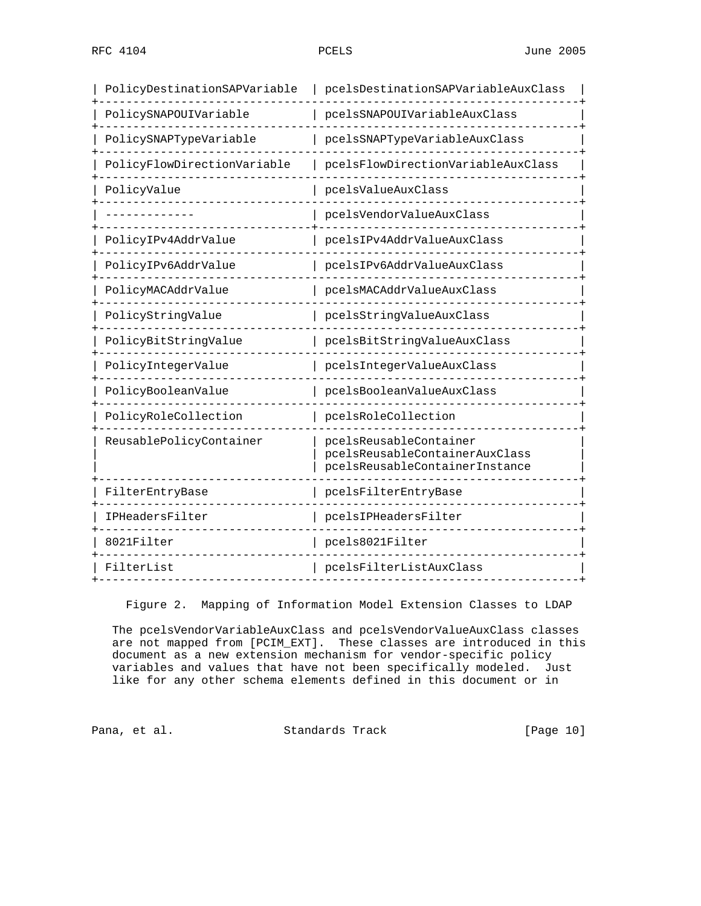| PolicyDestinationSAPVariable | pcelsDestinationSAPVariableAuxClass                                                        |
|------------------------------|--------------------------------------------------------------------------------------------|
| PolicySNAPOUIVariable        | pcelsSNAPOUIVariableAuxClass                                                               |
| PolicySNAPTypeVariable       | pcelsSNAPTypeVariableAuxClass                                                              |
| PolicyFlowDirectionVariable  | pcelsFlowDirectionVariableAuxClass                                                         |
| PolicyValue                  | pcelsValueAuxClass                                                                         |
|                              | pcelsVendorValueAuxClass                                                                   |
| PolicyIPv4AddrValue          | pcelsIPv4AddrValueAuxClass                                                                 |
| PolicyIPv6AddrValue          | pcelsIPv6AddrValueAuxClass                                                                 |
| PolicyMACAddrValue           | pcelsMACAddrValueAuxClass                                                                  |
| PolicyStringValue            | pcelsStringValueAuxClass                                                                   |
| PolicyBitStringValue         | pcelsBitStringValueAuxClass                                                                |
| PolicyIntegerValue           | pcelsIntegerValueAuxClass                                                                  |
| PolicyBooleanValue           | pcelsBooleanValueAuxClass                                                                  |
| PolicyRoleCollection         | pcelsRoleCollection                                                                        |
| ReusablePolicyContainer      | pcelsReusableContainer<br>pcelsReusableContainerAuxClass<br>pcelsReusableContainerInstance |
| FilterEntryBase              | pcelsFilterEntryBase                                                                       |
| IPHeadersFilter              | pcelsIPHeadersFilter                                                                       |
| 8021Filter                   | pcels8021Filter                                                                            |
| FilterList                   | pcelsFilterListAuxClass                                                                    |

Figure 2. Mapping of Information Model Extension Classes to LDAP

 The pcelsVendorVariableAuxClass and pcelsVendorValueAuxClass classes are not mapped from [PCIM\_EXT]. These classes are introduced in this document as a new extension mechanism for vendor-specific policy variables and values that have not been specifically modeled. Just like for any other schema elements defined in this document or in

Pana, et al. Standards Track [Page 10]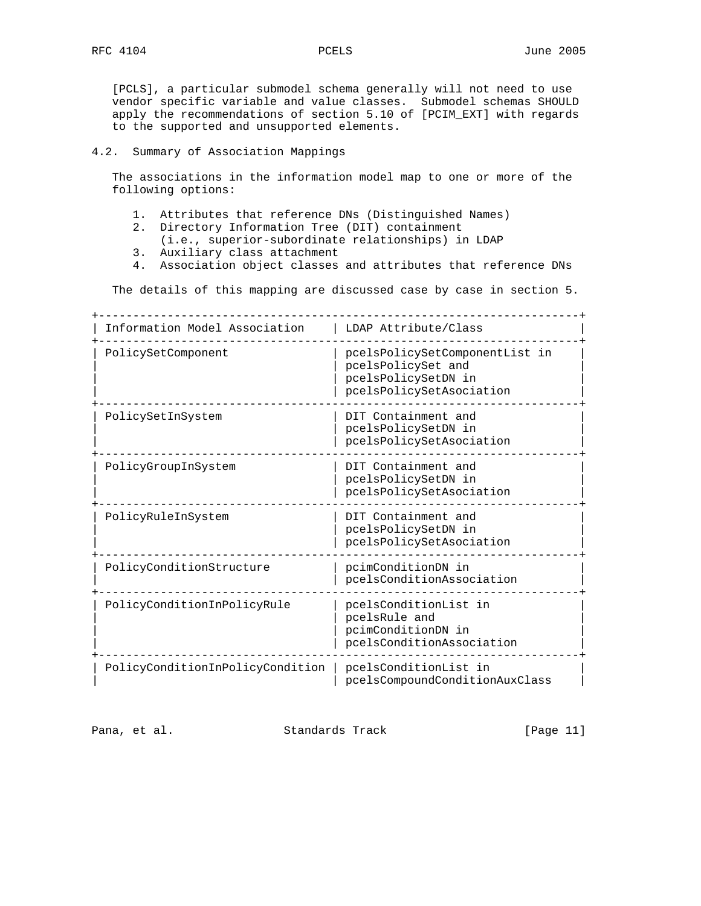[PCLS], a particular submodel schema generally will not need to use vendor specific variable and value classes. Submodel schemas SHOULD apply the recommendations of section 5.10 of [PCIM\_EXT] with regards to the supported and unsupported elements.

### 4.2. Summary of Association Mappings

 The associations in the information model map to one or more of the following options:

- 1. Attributes that reference DNs (Distinguished Names)
- 2. Directory Information Tree (DIT) containment
	- (i.e., superior-subordinate relationships) in LDAP
- 3. Auxiliary class attachment
- 4. Association object classes and attributes that reference DNs

The details of this mapping are discussed case by case in section 5.

+----------------------------------------------------------------------+ | Information Model Association | LDAP Attribute/Class +----------------------------------------------------------------------+ | PolicySetComponent | pcelsPolicySetComponentList in | | | pcelsPolicySet and | | | pcelsPolicySetDN in | | pcelsPolicySetAsociation +----------------------------------------------------------------------+ | PolicySetInSystem | DIT Containment and | | | pcelsPolicySetDN in | | pcelsPolicySetAsociation +----------------------------------------------------------------------+ | PolicyGroupInSystem | DIT Containment and | | pcelsPolicySetDN in | | | pcelsPolicySetAsociation | +----------------------------------------------------------------------+ | PolicyRuleInSystem | DIT Containment and | | | pcelsPolicySetDN in | | pcelsPolicySetAsociation +----------------------------------------------------------------------+ | PolicyConditionStructure | pcimConditionDN in | | pcelsConditionAssociation | +----------------------------------------------------------------------+ | PolicyConditionInPolicyRule | pcelsConditionList in | | | pcelsRule and | | | pcimConditionDN in | | | pcelsConditionAssociation | +----------------------------------------------------------------------+ | PolicyConditionInPolicyCondition | pcelsConditionList in | | pcelsCompoundConditionAuxClass |

Pana, et al. Standards Track [Page 11]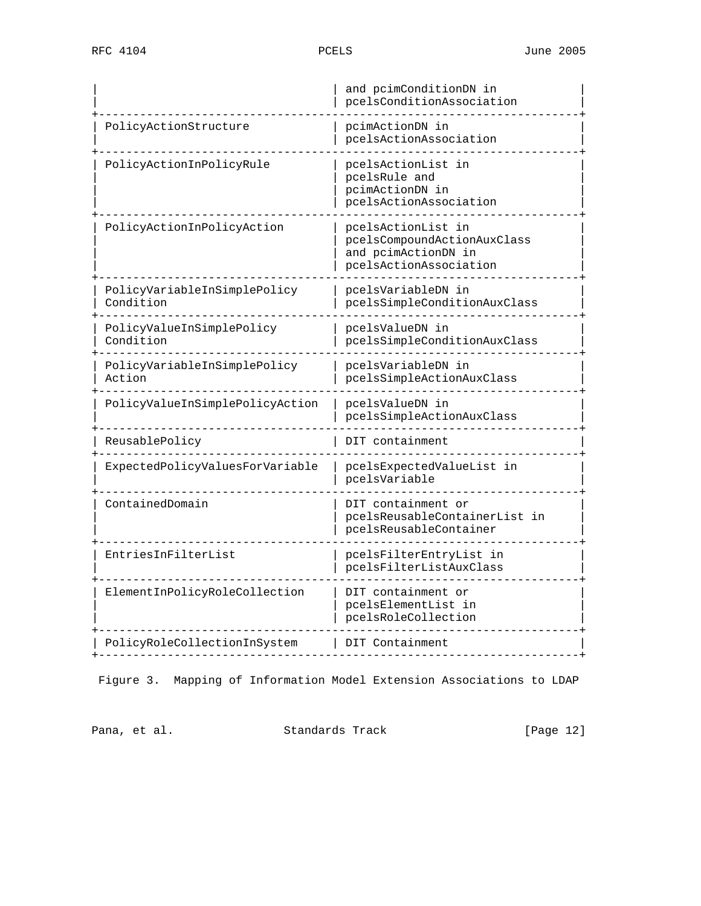|                                           | and pcimConditionDN in<br>pcelsConditionAssociation                                                |  |  |  |
|-------------------------------------------|----------------------------------------------------------------------------------------------------|--|--|--|
| PolicyActionStructure                     | pcimActionDN in<br>pcelsActionAssociation                                                          |  |  |  |
| PolicyActionInPolicyRule                  | pcelsActionList in<br>pcelsRule and<br>pcimActionDN in<br>pcelsActionAssociation                   |  |  |  |
| PolicyActionInPolicyAction                | pcelsActionList in<br>pcelsCompoundActionAuxClass<br>and pcimActionDN in<br>pcelsActionAssociation |  |  |  |
| PolicyVariableInSimplePolicy<br>Condition | pcelsVariableDN in<br>pcelsSimpleConditionAuxClass                                                 |  |  |  |
| PolicyValueInSimplePolicy<br>Condition    | pcelsValueDN in<br>pcelsSimpleConditionAuxClass                                                    |  |  |  |
| PolicyVariableInSimplePolicy<br>Action    | pcelsVariableDN in<br>pcelsSimpleActionAuxClass                                                    |  |  |  |
| PolicyValueInSimplePolicyAction           | pcelsValueDN in<br>pcelsSimpleActionAuxClass                                                       |  |  |  |
| ReusablePolicy                            | DIT containment                                                                                    |  |  |  |
| ExpectedPolicyValuesForVariable           | pcelsExpectedValueList in<br>pcelsVariable                                                         |  |  |  |
| ContainedDomain                           | DIT containment or<br>pcelsReusableContainerList in<br>pcelsReusableContainer                      |  |  |  |
| EntriesInFilterList                       | pcelsFilterEntryList in<br>pcelsFilterListAuxClass                                                 |  |  |  |
| ElementInPolicyRoleCollection             | DIT containment or<br>pcelsElementList in<br>pcelsRoleCollection                                   |  |  |  |
| PolicyRoleCollectionInSystem              | DIT Containment                                                                                    |  |  |  |
|                                           |                                                                                                    |  |  |  |

Figure 3. Mapping of Information Model Extension Associations to LDAP

Pana, et al. Standards Track [Page 12]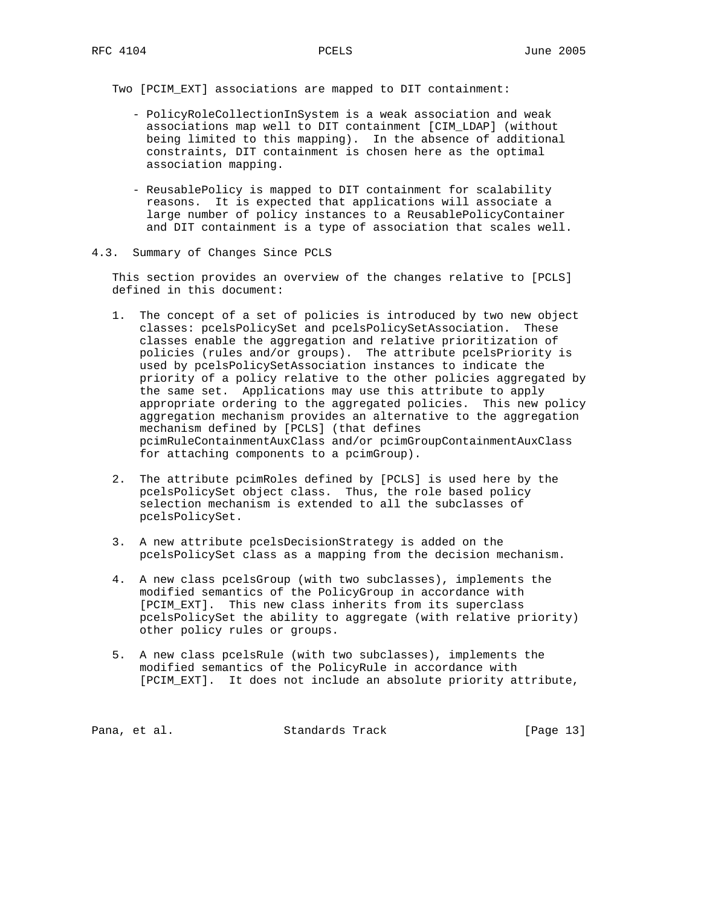Two [PCIM\_EXT] associations are mapped to DIT containment:

- PolicyRoleCollectionInSystem is a weak association and weak associations map well to DIT containment [CIM\_LDAP] (without being limited to this mapping). In the absence of additional constraints, DIT containment is chosen here as the optimal association mapping.
- ReusablePolicy is mapped to DIT containment for scalability reasons. It is expected that applications will associate a large number of policy instances to a ReusablePolicyContainer and DIT containment is a type of association that scales well.
- 4.3. Summary of Changes Since PCLS

 This section provides an overview of the changes relative to [PCLS] defined in this document:

- 1. The concept of a set of policies is introduced by two new object classes: pcelsPolicySet and pcelsPolicySetAssociation. These classes enable the aggregation and relative prioritization of policies (rules and/or groups). The attribute pcelsPriority is used by pcelsPolicySetAssociation instances to indicate the priority of a policy relative to the other policies aggregated by the same set. Applications may use this attribute to apply appropriate ordering to the aggregated policies. This new policy aggregation mechanism provides an alternative to the aggregation mechanism defined by [PCLS] (that defines pcimRuleContainmentAuxClass and/or pcimGroupContainmentAuxClass for attaching components to a pcimGroup).
- 2. The attribute pcimRoles defined by [PCLS] is used here by the pcelsPolicySet object class. Thus, the role based policy selection mechanism is extended to all the subclasses of pcelsPolicySet.
- 3. A new attribute pcelsDecisionStrategy is added on the pcelsPolicySet class as a mapping from the decision mechanism.
- 4. A new class pcelsGroup (with two subclasses), implements the modified semantics of the PolicyGroup in accordance with [PCIM\_EXT]. This new class inherits from its superclass pcelsPolicySet the ability to aggregate (with relative priority) other policy rules or groups.
- 5. A new class pcelsRule (with two subclasses), implements the modified semantics of the PolicyRule in accordance with [PCIM\_EXT]. It does not include an absolute priority attribute,

Pana, et al. Standards Track [Page 13]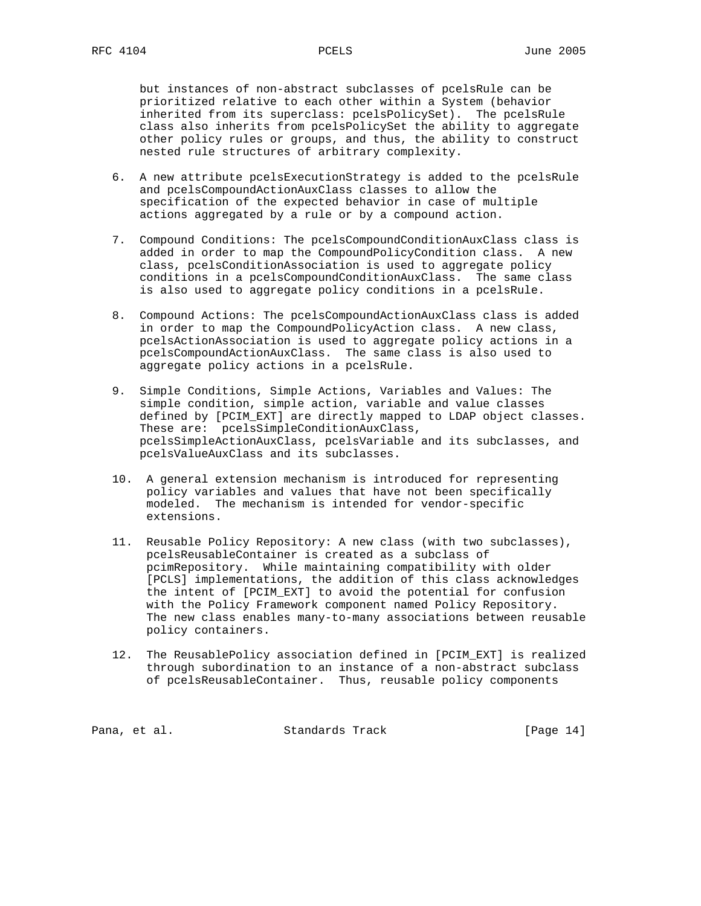but instances of non-abstract subclasses of pcelsRule can be prioritized relative to each other within a System (behavior inherited from its superclass: pcelsPolicySet). The pcelsRule class also inherits from pcelsPolicySet the ability to aggregate other policy rules or groups, and thus, the ability to construct nested rule structures of arbitrary complexity.

- 6. A new attribute pcelsExecutionStrategy is added to the pcelsRule and pcelsCompoundActionAuxClass classes to allow the specification of the expected behavior in case of multiple actions aggregated by a rule or by a compound action.
- 7. Compound Conditions: The pcelsCompoundConditionAuxClass class is added in order to map the CompoundPolicyCondition class. A new class, pcelsConditionAssociation is used to aggregate policy conditions in a pcelsCompoundConditionAuxClass. The same class is also used to aggregate policy conditions in a pcelsRule.
- 8. Compound Actions: The pcelsCompoundActionAuxClass class is added in order to map the CompoundPolicyAction class. A new class, pcelsActionAssociation is used to aggregate policy actions in a pcelsCompoundActionAuxClass. The same class is also used to aggregate policy actions in a pcelsRule.
- 9. Simple Conditions, Simple Actions, Variables and Values: The simple condition, simple action, variable and value classes defined by [PCIM\_EXT] are directly mapped to LDAP object classes. These are: pcelsSimpleConditionAuxClass, pcelsSimpleActionAuxClass, pcelsVariable and its subclasses, and pcelsValueAuxClass and its subclasses.
- 10. A general extension mechanism is introduced for representing policy variables and values that have not been specifically modeled. The mechanism is intended for vendor-specific extensions.
- 11. Reusable Policy Repository: A new class (with two subclasses), pcelsReusableContainer is created as a subclass of pcimRepository. While maintaining compatibility with older [PCLS] implementations, the addition of this class acknowledges the intent of [PCIM\_EXT] to avoid the potential for confusion with the Policy Framework component named Policy Repository. The new class enables many-to-many associations between reusable policy containers.
- 12. The ReusablePolicy association defined in [PCIM\_EXT] is realized through subordination to an instance of a non-abstract subclass of pcelsReusableContainer. Thus, reusable policy components

Pana, et al. Standards Track [Page 14]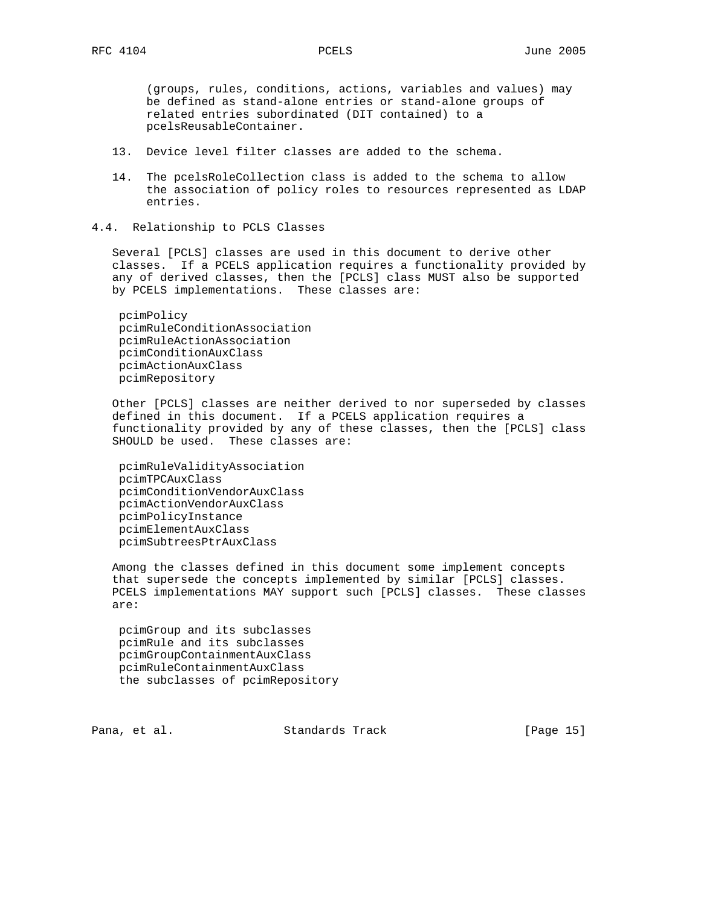(groups, rules, conditions, actions, variables and values) may be defined as stand-alone entries or stand-alone groups of related entries subordinated (DIT contained) to a pcelsReusableContainer.

- 13. Device level filter classes are added to the schema.
- 14. The pcelsRoleCollection class is added to the schema to allow the association of policy roles to resources represented as LDAP entries.
- 4.4. Relationship to PCLS Classes

 Several [PCLS] classes are used in this document to derive other classes. If a PCELS application requires a functionality provided by any of derived classes, then the [PCLS] class MUST also be supported by PCELS implementations. These classes are:

 pcimPolicy pcimRuleConditionAssociation pcimRuleActionAssociation pcimConditionAuxClass pcimActionAuxClass pcimRepository

 Other [PCLS] classes are neither derived to nor superseded by classes defined in this document. If a PCELS application requires a functionality provided by any of these classes, then the [PCLS] class SHOULD be used. These classes are:

 pcimRuleValidityAssociation pcimTPCAuxClass pcimConditionVendorAuxClass pcimActionVendorAuxClass pcimPolicyInstance pcimElementAuxClass pcimSubtreesPtrAuxClass

 Among the classes defined in this document some implement concepts that supersede the concepts implemented by similar [PCLS] classes. PCELS implementations MAY support such [PCLS] classes. These classes are:

 pcimGroup and its subclasses pcimRule and its subclasses pcimGroupContainmentAuxClass pcimRuleContainmentAuxClass the subclasses of pcimRepository

Pana, et al. Standards Track [Page 15]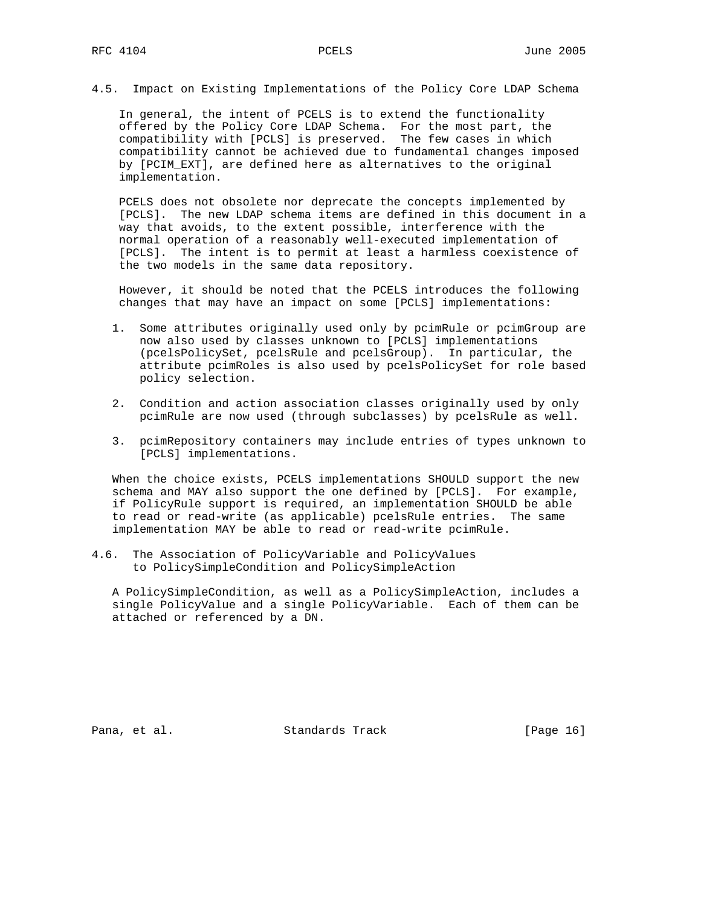4.5. Impact on Existing Implementations of the Policy Core LDAP Schema

 In general, the intent of PCELS is to extend the functionality offered by the Policy Core LDAP Schema. For the most part, the compatibility with [PCLS] is preserved. The few cases in which compatibility cannot be achieved due to fundamental changes imposed by [PCIM\_EXT], are defined here as alternatives to the original implementation.

 PCELS does not obsolete nor deprecate the concepts implemented by [PCLS]. The new LDAP schema items are defined in this document in a way that avoids, to the extent possible, interference with the normal operation of a reasonably well-executed implementation of [PCLS]. The intent is to permit at least a harmless coexistence of the two models in the same data repository.

 However, it should be noted that the PCELS introduces the following changes that may have an impact on some [PCLS] implementations:

- 1. Some attributes originally used only by pcimRule or pcimGroup are now also used by classes unknown to [PCLS] implementations (pcelsPolicySet, pcelsRule and pcelsGroup). In particular, the attribute pcimRoles is also used by pcelsPolicySet for role based policy selection.
- 2. Condition and action association classes originally used by only pcimRule are now used (through subclasses) by pcelsRule as well.
- 3. pcimRepository containers may include entries of types unknown to [PCLS] implementations.

 When the choice exists, PCELS implementations SHOULD support the new schema and MAY also support the one defined by [PCLS]. For example, if PolicyRule support is required, an implementation SHOULD be able to read or read-write (as applicable) pcelsRule entries. The same implementation MAY be able to read or read-write pcimRule.

4.6. The Association of PolicyVariable and PolicyValues to PolicySimpleCondition and PolicySimpleAction

 A PolicySimpleCondition, as well as a PolicySimpleAction, includes a single PolicyValue and a single PolicyVariable. Each of them can be attached or referenced by a DN.

Pana, et al. Standards Track [Page 16]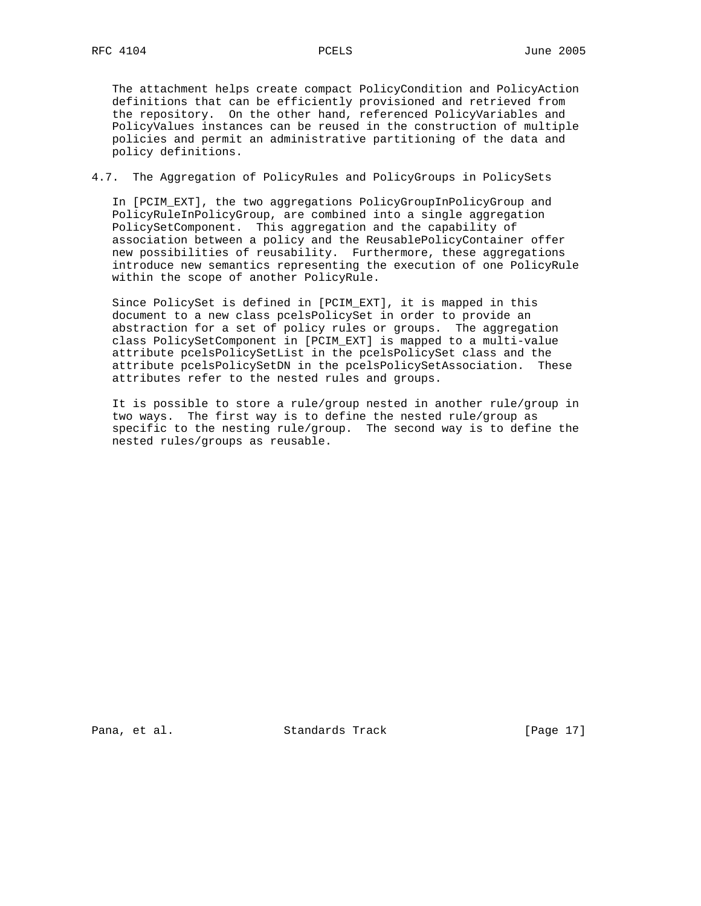The attachment helps create compact PolicyCondition and PolicyAction definitions that can be efficiently provisioned and retrieved from the repository. On the other hand, referenced PolicyVariables and PolicyValues instances can be reused in the construction of multiple policies and permit an administrative partitioning of the data and policy definitions.

4.7. The Aggregation of PolicyRules and PolicyGroups in PolicySets

 In [PCIM\_EXT], the two aggregations PolicyGroupInPolicyGroup and PolicyRuleInPolicyGroup, are combined into a single aggregation PolicySetComponent. This aggregation and the capability of association between a policy and the ReusablePolicyContainer offer new possibilities of reusability. Furthermore, these aggregations introduce new semantics representing the execution of one PolicyRule within the scope of another PolicyRule.

 Since PolicySet is defined in [PCIM\_EXT], it is mapped in this document to a new class pcelsPolicySet in order to provide an abstraction for a set of policy rules or groups. The aggregation class PolicySetComponent in [PCIM\_EXT] is mapped to a multi-value attribute pcelsPolicySetList in the pcelsPolicySet class and the attribute pcelsPolicySetDN in the pcelsPolicySetAssociation. These attributes refer to the nested rules and groups.

 It is possible to store a rule/group nested in another rule/group in two ways. The first way is to define the nested rule/group as specific to the nesting rule/group. The second way is to define the nested rules/groups as reusable.

Pana, et al. Standards Track [Page 17]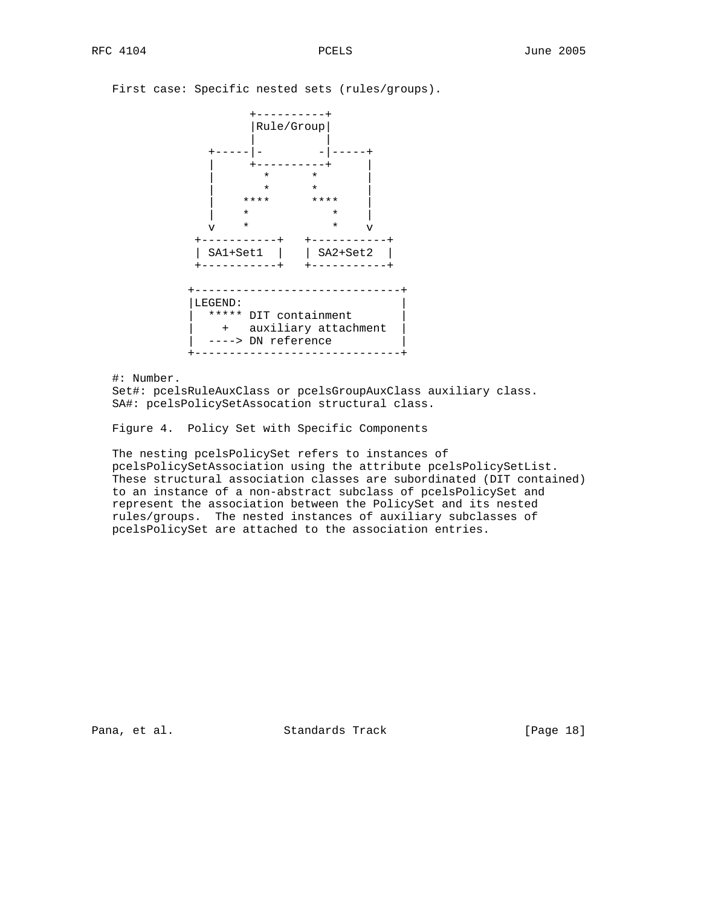|  |  | First case: Specific nested sets (rules/groups). |  |  |  |  |  |
|--|--|--------------------------------------------------|--|--|--|--|--|
|--|--|--------------------------------------------------|--|--|--|--|--|



#: Number.

 Set#: pcelsRuleAuxClass or pcelsGroupAuxClass auxiliary class. SA#: pcelsPolicySetAssocation structural class.

Figure 4. Policy Set with Specific Components

 The nesting pcelsPolicySet refers to instances of pcelsPolicySetAssociation using the attribute pcelsPolicySetList. These structural association classes are subordinated (DIT contained) to an instance of a non-abstract subclass of pcelsPolicySet and represent the association between the PolicySet and its nested rules/groups. The nested instances of auxiliary subclasses of pcelsPolicySet are attached to the association entries.

Pana, et al. Standards Track [Page 18]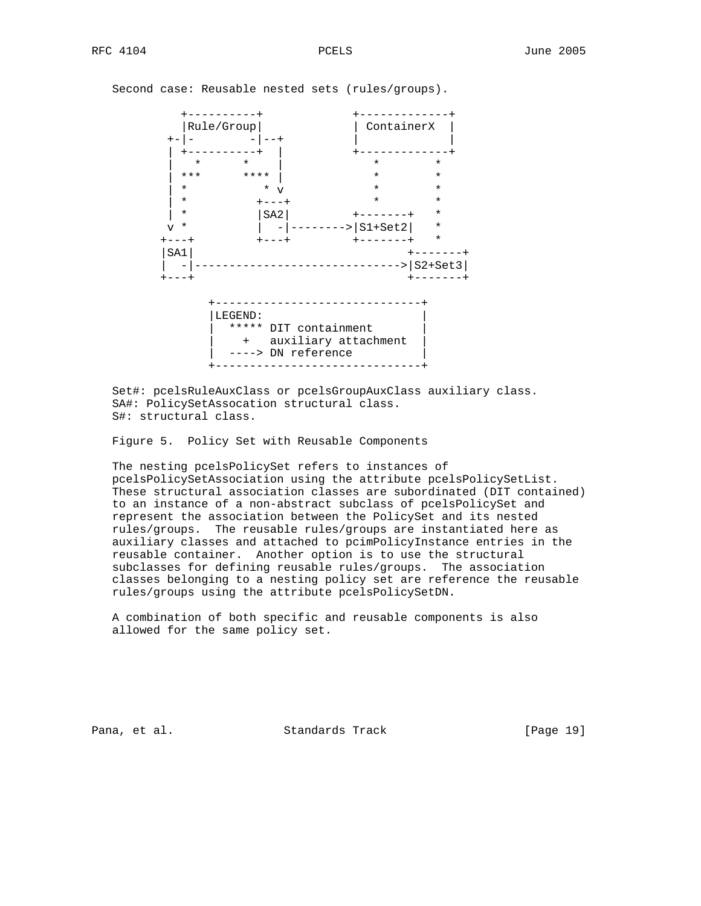+----------+ +-------------+ | Rule/Group | ContainerX | +-|- -|--+ | | | +----------+ | +-------------+ | \* \* | \* \* | \*\*\* \*\*\*\* | \* \* | \* \* v \* \* | \* +---+ \* \* | \* |SA2| +-------+ \* ------>|S1+Set2| \* +---+ +---+ +-------+ \* |SA1| +-------+ | -|------------------------------>|S2+Set3| +---+ +-------+ +------------------------------+ |LEGEND: | | \*\*\*\*\* DIT containment | + auxiliary attachment | ----> DN reference +------------------------------+

Second case: Reusable nested sets (rules/groups).

 Set#: pcelsRuleAuxClass or pcelsGroupAuxClass auxiliary class. SA#: PolicySetAssocation structural class. S#: structural class.

Figure 5. Policy Set with Reusable Components

 The nesting pcelsPolicySet refers to instances of pcelsPolicySetAssociation using the attribute pcelsPolicySetList. These structural association classes are subordinated (DIT contained) to an instance of a non-abstract subclass of pcelsPolicySet and represent the association between the PolicySet and its nested rules/groups. The reusable rules/groups are instantiated here as auxiliary classes and attached to pcimPolicyInstance entries in the reusable container. Another option is to use the structural subclasses for defining reusable rules/groups. The association classes belonging to a nesting policy set are reference the reusable rules/groups using the attribute pcelsPolicySetDN.

 A combination of both specific and reusable components is also allowed for the same policy set.

Pana, et al. Standards Track [Page 19]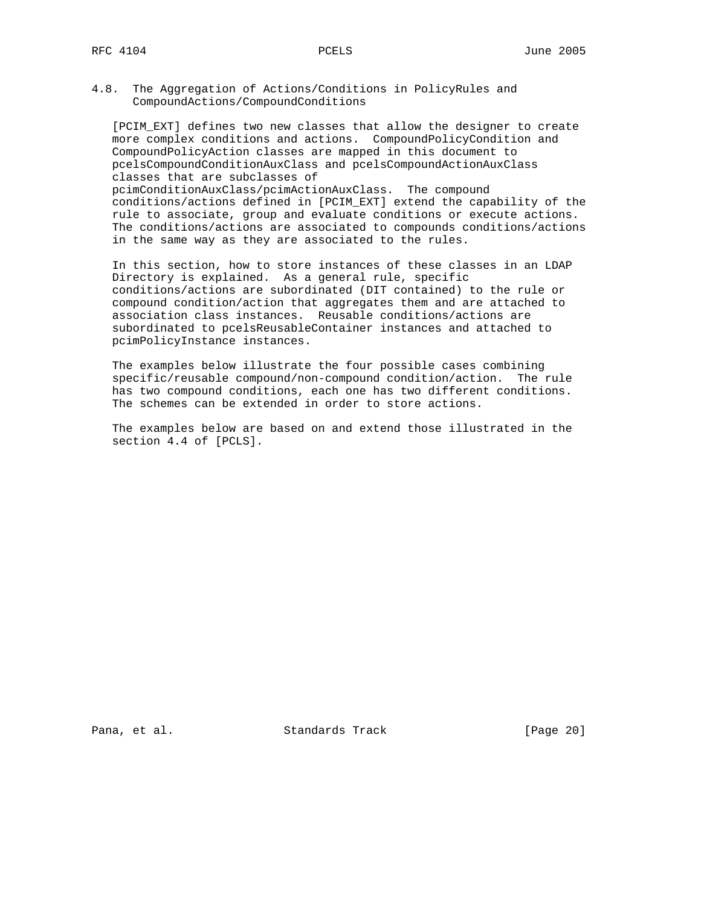4.8. The Aggregation of Actions/Conditions in PolicyRules and CompoundActions/CompoundConditions

 [PCIM\_EXT] defines two new classes that allow the designer to create more complex conditions and actions. CompoundPolicyCondition and CompoundPolicyAction classes are mapped in this document to pcelsCompoundConditionAuxClass and pcelsCompoundActionAuxClass classes that are subclasses of pcimConditionAuxClass/pcimActionAuxClass. The compound conditions/actions defined in [PCIM\_EXT] extend the capability of the rule to associate, group and evaluate conditions or execute actions. The conditions/actions are associated to compounds conditions/actions in the same way as they are associated to the rules.

 In this section, how to store instances of these classes in an LDAP Directory is explained. As a general rule, specific conditions/actions are subordinated (DIT contained) to the rule or compound condition/action that aggregates them and are attached to association class instances. Reusable conditions/actions are subordinated to pcelsReusableContainer instances and attached to pcimPolicyInstance instances.

 The examples below illustrate the four possible cases combining specific/reusable compound/non-compound condition/action. The rule has two compound conditions, each one has two different conditions. The schemes can be extended in order to store actions.

 The examples below are based on and extend those illustrated in the section 4.4 of [PCLS].

Pana, et al. Standards Track [Page 20]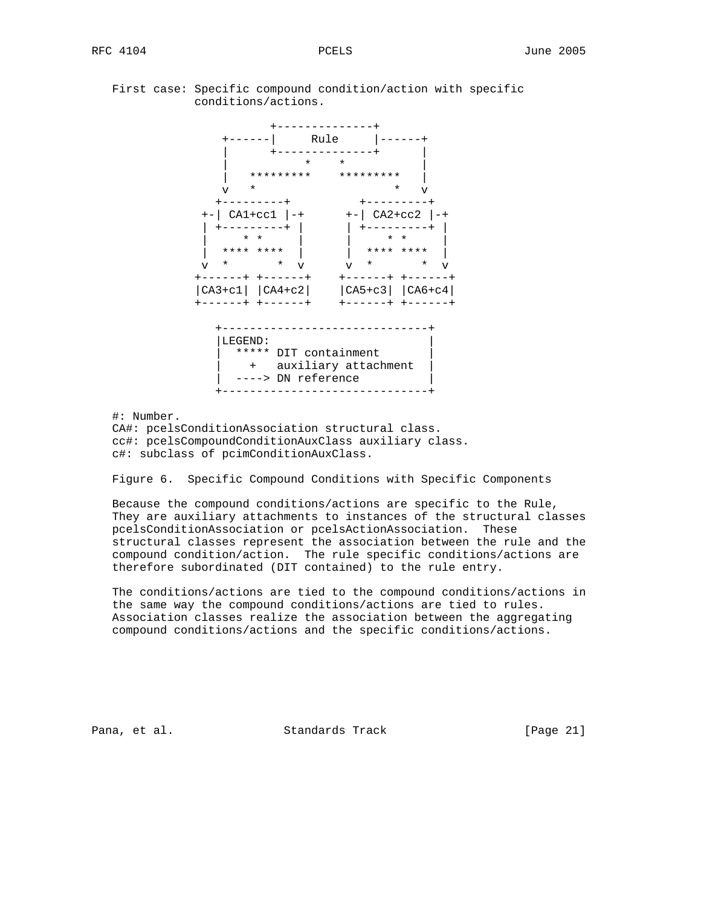### First case: Specific compound condition/action with specific conditions/actions.



#: Number.

 CA#: pcelsConditionAssociation structural class. cc#: pcelsCompoundConditionAuxClass auxiliary class. c#: subclass of pcimConditionAuxClass.

Figure 6. Specific Compound Conditions with Specific Components

 Because the compound conditions/actions are specific to the Rule, They are auxiliary attachments to instances of the structural classes pcelsConditionAssociation or pcelsActionAssociation. These structural classes represent the association between the rule and the compound condition/action. The rule specific conditions/actions are therefore subordinated (DIT contained) to the rule entry.

 The conditions/actions are tied to the compound conditions/actions in the same way the compound conditions/actions are tied to rules. Association classes realize the association between the aggregating compound conditions/actions and the specific conditions/actions.

Pana, et al. Standards Track [Page 21]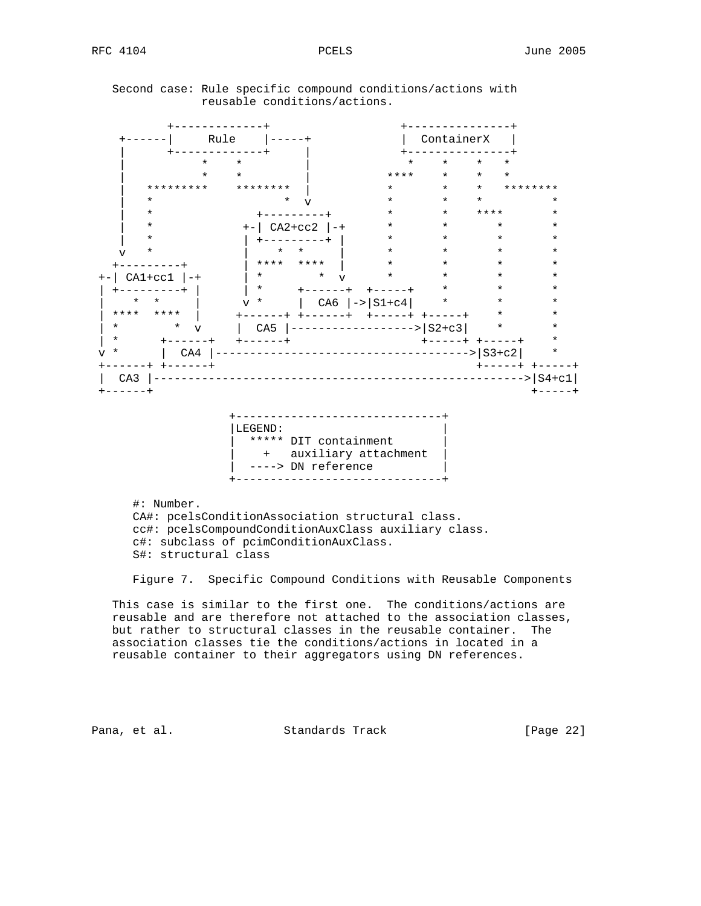+-------------+ +---------------+ +------| Rule |-----+ | ContainerX | | +-------------+ | +---------------+ | \* \* \* | \* \* \* \* \* | \* \* \* | \*\*\*\* \* \* \* | \*\*\*\*\*\*\*\*\* \*\*\*\*\*\*\*\* | \* \* \* \*\*\*\*\*\*\*\* | \* \* \* \* v \* \* \* \* \* \* \* | \* +---------+ \* \* \*\*\*\* \* | \* +-| CA2+cc2 |-+ \* \* \* \* | \* | +---------+ | \* \* \* \* v \* | \* \* | \* \* \* \* +---------+ | \*\*\*\* \*\*\*\* | \* \* \* \* +-| CA1+cc1 |-+ | \* \* v \* \* \* \* | +--------+ | | \* +------+ +------+ \* \* \* | \* \* | v \* | CA6 |->|S1+c4| \* \* \* \* | \*\*\*\* \*\*\*\* | +------+ +------+ +-----+ +-----+ \* \* | \* \* v | CA5 |------------------>|S2+c3| \* \* | \* +------+ +------+ +-----+ +-----+ \* v \* | CA4 |----------------------------------->|S3+c2| \* +------+ +------+ +-----+ +-----+ | CA3 |------------------------------------------------------>|S4+c1| +------+ +-----+ +------------------------------+  $\vert$  LEGEND: | \*\*\*\*\* DIT containment | | + auxiliary attachment | | ----> DN reference +------------------------------+

 Second case: Rule specific compound conditions/actions with reusable conditions/actions.

 #: Number. CA#: pcelsConditionAssociation structural class. cc#: pcelsCompoundConditionAuxClass auxiliary class. c#: subclass of pcimConditionAuxClass. S#: structural class

Figure 7. Specific Compound Conditions with Reusable Components

 This case is similar to the first one. The conditions/actions are reusable and are therefore not attached to the association classes, but rather to structural classes in the reusable container. The association classes tie the conditions/actions in located in a reusable container to their aggregators using DN references.

Pana, et al. Standards Track [Page 22]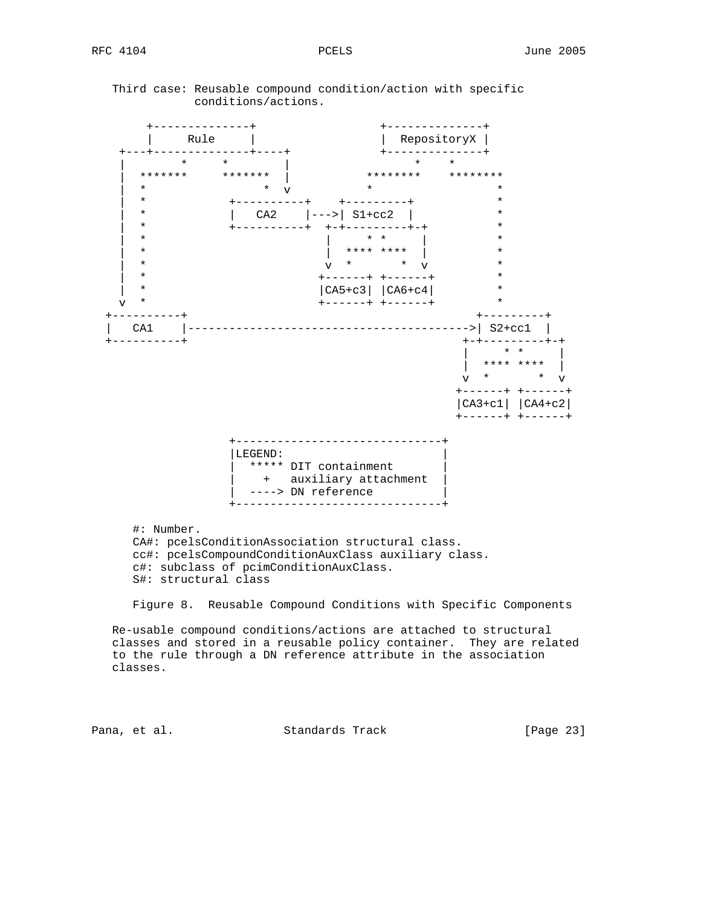Third case: Reusable compound condition/action with specific conditions/actions.



 Re-usable compound conditions/actions are attached to structural classes and stored in a reusable policy container. They are related to the rule through a DN reference attribute in the association classes.

Pana, et al. Standards Track [Page 23]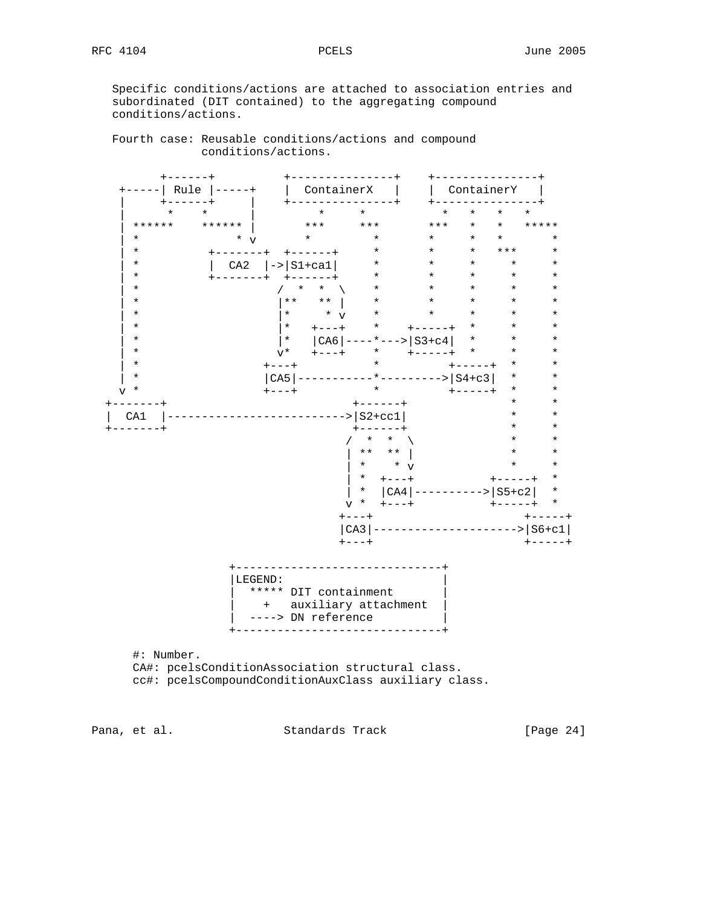Specific conditions/actions are attached to association entries and subordinated (DIT contained) to the aggregating compound conditions/actions.

 Fourth case: Reusable conditions/actions and compound conditions/actions.



Pana, et al. Standards Track [Page 24]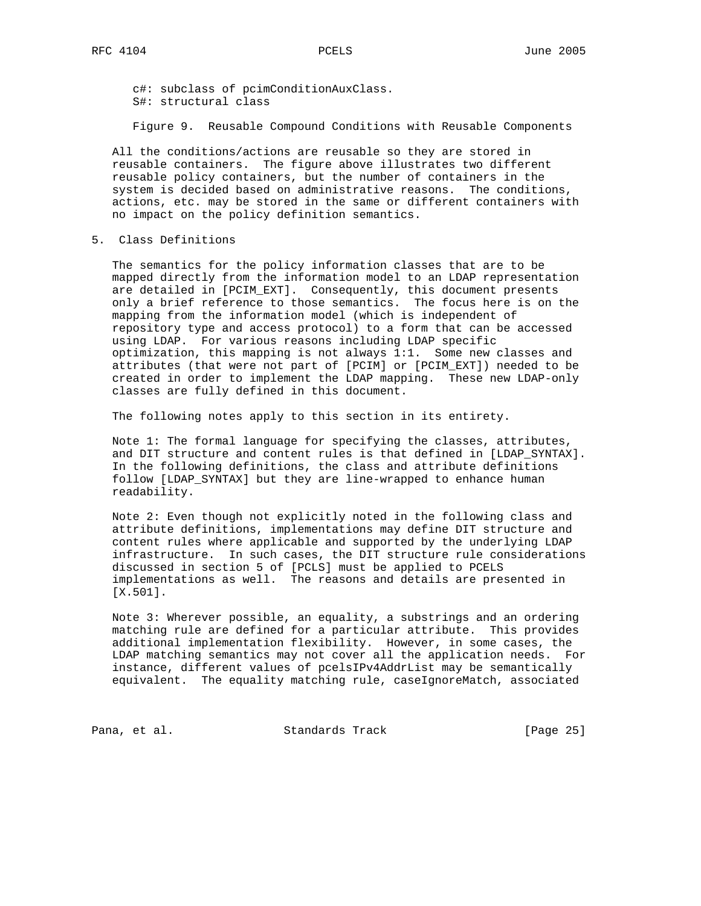c#: subclass of pcimConditionAuxClass. S#: structural class

Figure 9. Reusable Compound Conditions with Reusable Components

 All the conditions/actions are reusable so they are stored in reusable containers. The figure above illustrates two different reusable policy containers, but the number of containers in the system is decided based on administrative reasons. The conditions, actions, etc. may be stored in the same or different containers with no impact on the policy definition semantics.

5. Class Definitions

 The semantics for the policy information classes that are to be mapped directly from the information model to an LDAP representation are detailed in [PCIM\_EXT]. Consequently, this document presents only a brief reference to those semantics. The focus here is on the mapping from the information model (which is independent of repository type and access protocol) to a form that can be accessed using LDAP. For various reasons including LDAP specific optimization, this mapping is not always 1:1. Some new classes and attributes (that were not part of [PCIM] or [PCIM\_EXT]) needed to be created in order to implement the LDAP mapping. These new LDAP-only classes are fully defined in this document.

The following notes apply to this section in its entirety.

 Note 1: The formal language for specifying the classes, attributes, and DIT structure and content rules is that defined in [LDAP\_SYNTAX]. In the following definitions, the class and attribute definitions follow [LDAP\_SYNTAX] but they are line-wrapped to enhance human readability.

 Note 2: Even though not explicitly noted in the following class and attribute definitions, implementations may define DIT structure and content rules where applicable and supported by the underlying LDAP infrastructure. In such cases, the DIT structure rule considerations discussed in section 5 of [PCLS] must be applied to PCELS implementations as well. The reasons and details are presented in [X.501].

 Note 3: Wherever possible, an equality, a substrings and an ordering matching rule are defined for a particular attribute. This provides additional implementation flexibility. However, in some cases, the LDAP matching semantics may not cover all the application needs. For instance, different values of pcelsIPv4AddrList may be semantically equivalent. The equality matching rule, caseIgnoreMatch, associated

Pana, et al. Standards Track [Page 25]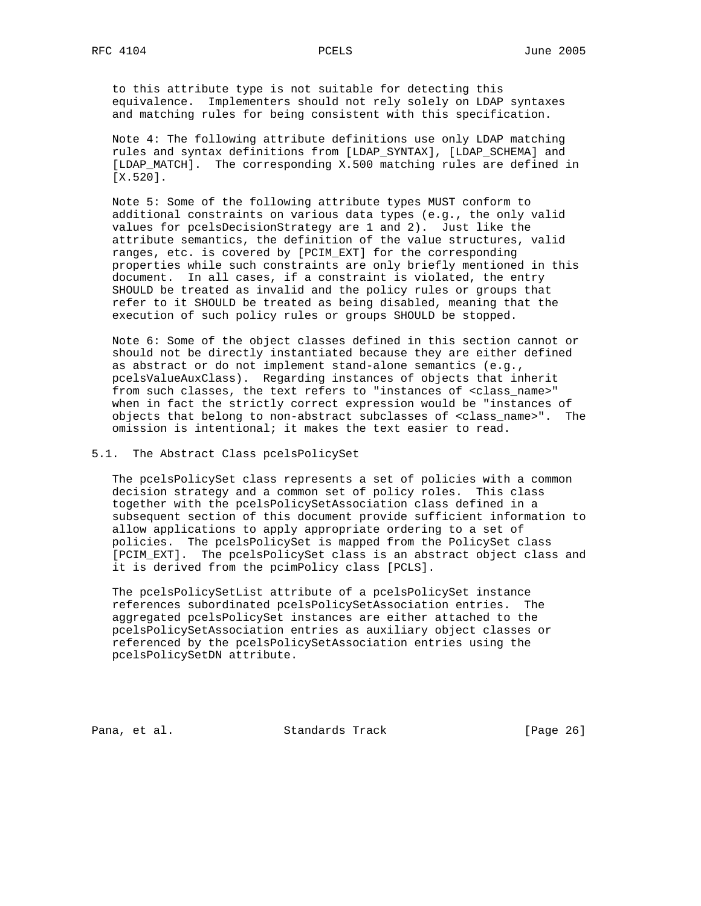to this attribute type is not suitable for detecting this equivalence. Implementers should not rely solely on LDAP syntaxes and matching rules for being consistent with this specification.

 Note 4: The following attribute definitions use only LDAP matching rules and syntax definitions from [LDAP\_SYNTAX], [LDAP\_SCHEMA] and [LDAP\_MATCH]. The corresponding X.500 matching rules are defined in [X.520].

 Note 5: Some of the following attribute types MUST conform to additional constraints on various data types (e.g., the only valid values for pcelsDecisionStrategy are 1 and 2). Just like the attribute semantics, the definition of the value structures, valid ranges, etc. is covered by [PCIM\_EXT] for the corresponding properties while such constraints are only briefly mentioned in this document. In all cases, if a constraint is violated, the entry SHOULD be treated as invalid and the policy rules or groups that refer to it SHOULD be treated as being disabled, meaning that the execution of such policy rules or groups SHOULD be stopped.

 Note 6: Some of the object classes defined in this section cannot or should not be directly instantiated because they are either defined as abstract or do not implement stand-alone semantics (e.g., pcelsValueAuxClass). Regarding instances of objects that inherit from such classes, the text refers to "instances of <class\_name>" when in fact the strictly correct expression would be "instances of objects that belong to non-abstract subclasses of <class\_name>". The omission is intentional; it makes the text easier to read.

5.1. The Abstract Class pcelsPolicySet

 The pcelsPolicySet class represents a set of policies with a common decision strategy and a common set of policy roles. This class together with the pcelsPolicySetAssociation class defined in a subsequent section of this document provide sufficient information to allow applications to apply appropriate ordering to a set of policies. The pcelsPolicySet is mapped from the PolicySet class [PCIM\_EXT]. The pcelsPolicySet class is an abstract object class and it is derived from the pcimPolicy class [PCLS].

 The pcelsPolicySetList attribute of a pcelsPolicySet instance references subordinated pcelsPolicySetAssociation entries. The aggregated pcelsPolicySet instances are either attached to the pcelsPolicySetAssociation entries as auxiliary object classes or referenced by the pcelsPolicySetAssociation entries using the pcelsPolicySetDN attribute.

Pana, et al. Standards Track [Page 26]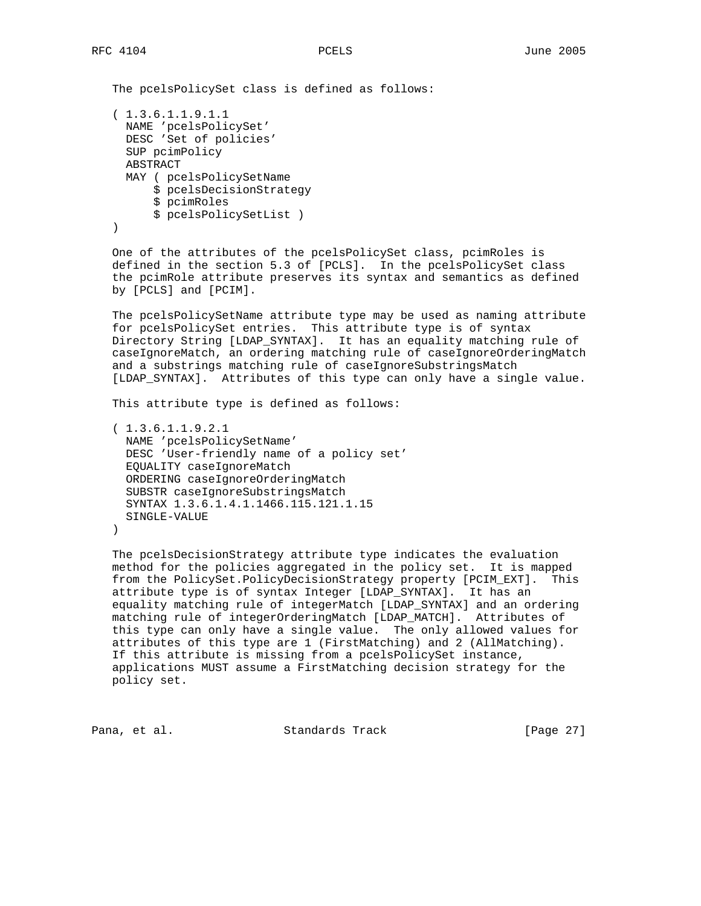The pcelsPolicySet class is defined as follows:

```
 ( 1.3.6.1.1.9.1.1
  NAME 'pcelsPolicySet'
  DESC 'Set of policies'
  SUP pcimPolicy
   ABSTRACT
   MAY ( pcelsPolicySetName
       $ pcelsDecisionStrategy
       $ pcimRoles
       $ pcelsPolicySetList )
 )
```
 One of the attributes of the pcelsPolicySet class, pcimRoles is defined in the section 5.3 of [PCLS]. In the pcelsPolicySet class the pcimRole attribute preserves its syntax and semantics as defined by [PCLS] and [PCIM].

 The pcelsPolicySetName attribute type may be used as naming attribute for pcelsPolicySet entries. This attribute type is of syntax Directory String [LDAP\_SYNTAX]. It has an equality matching rule of caseIgnoreMatch, an ordering matching rule of caseIgnoreOrderingMatch and a substrings matching rule of caseIgnoreSubstringsMatch [LDAP\_SYNTAX]. Attributes of this type can only have a single value.

This attribute type is defined as follows:

 ( 1.3.6.1.1.9.2.1 NAME 'pcelsPolicySetName' DESC 'User-friendly name of a policy set' EQUALITY caseIgnoreMatch ORDERING caseIgnoreOrderingMatch SUBSTR caseIgnoreSubstringsMatch SYNTAX 1.3.6.1.4.1.1466.115.121.1.15 SINGLE-VALUE )

 The pcelsDecisionStrategy attribute type indicates the evaluation method for the policies aggregated in the policy set. It is mapped from the PolicySet.PolicyDecisionStrategy property [PCIM\_EXT]. This attribute type is of syntax Integer [LDAP\_SYNTAX]. It has an equality matching rule of integerMatch [LDAP\_SYNTAX] and an ordering matching rule of integerOrderingMatch [LDAP\_MATCH]. Attributes of this type can only have a single value. The only allowed values for attributes of this type are 1 (FirstMatching) and 2 (AllMatching). If this attribute is missing from a pcelsPolicySet instance, applications MUST assume a FirstMatching decision strategy for the policy set.

Pana, et al. Standards Track [Page 27]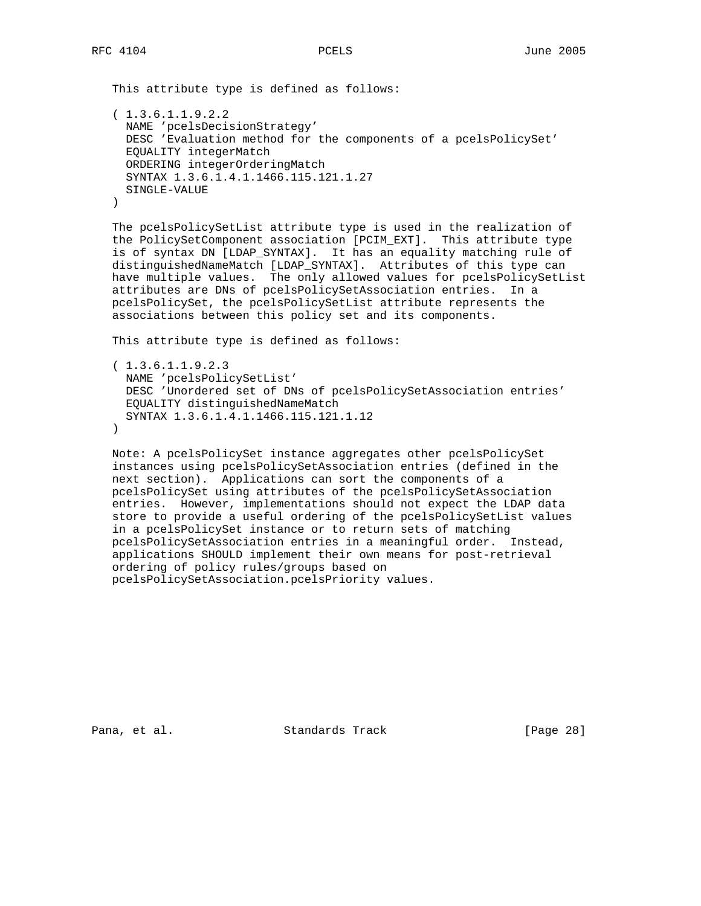This attribute type is defined as follows: ( 1.3.6.1.1.9.2.2 NAME 'pcelsDecisionStrategy' DESC 'Evaluation method for the components of a pcelsPolicySet' EQUALITY integerMatch ORDERING integerOrderingMatch SYNTAX 1.3.6.1.4.1.1466.115.121.1.27 SINGLE-VALUE

)

 The pcelsPolicySetList attribute type is used in the realization of the PolicySetComponent association [PCIM\_EXT]. This attribute type is of syntax DN [LDAP\_SYNTAX]. It has an equality matching rule of distinguishedNameMatch [LDAP\_SYNTAX]. Attributes of this type can have multiple values. The only allowed values for pcelsPolicySetList attributes are DNs of pcelsPolicySetAssociation entries. In a pcelsPolicySet, the pcelsPolicySetList attribute represents the associations between this policy set and its components.

This attribute type is defined as follows:

```
 ( 1.3.6.1.1.9.2.3
  NAME 'pcelsPolicySetList'
  DESC 'Unordered set of DNs of pcelsPolicySetAssociation entries'
  EQUALITY distinguishedNameMatch
  SYNTAX 1.3.6.1.4.1.1466.115.121.1.12
 )
```
 Note: A pcelsPolicySet instance aggregates other pcelsPolicySet instances using pcelsPolicySetAssociation entries (defined in the next section). Applications can sort the components of a pcelsPolicySet using attributes of the pcelsPolicySetAssociation entries. However, implementations should not expect the LDAP data store to provide a useful ordering of the pcelsPolicySetList values in a pcelsPolicySet instance or to return sets of matching pcelsPolicySetAssociation entries in a meaningful order. Instead, applications SHOULD implement their own means for post-retrieval ordering of policy rules/groups based on pcelsPolicySetAssociation.pcelsPriority values.

Pana, et al. Standards Track [Page 28]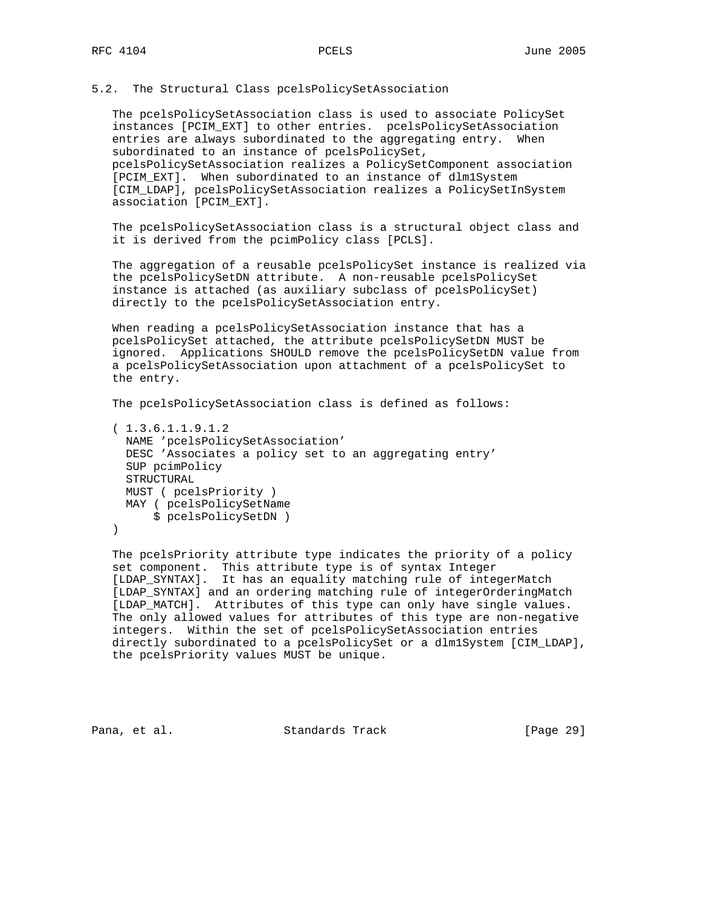## 5.2. The Structural Class pcelsPolicySetAssociation

 The pcelsPolicySetAssociation class is used to associate PolicySet instances [PCIM\_EXT] to other entries. pcelsPolicySetAssociation entries are always subordinated to the aggregating entry. When subordinated to an instance of pcelsPolicySet, pcelsPolicySetAssociation realizes a PolicySetComponent association [PCIM\_EXT]. When subordinated to an instance of dlm1System [CIM\_LDAP], pcelsPolicySetAssociation realizes a PolicySetInSystem association [PCIM\_EXT].

 The pcelsPolicySetAssociation class is a structural object class and it is derived from the pcimPolicy class [PCLS].

 The aggregation of a reusable pcelsPolicySet instance is realized via the pcelsPolicySetDN attribute. A non-reusable pcelsPolicySet instance is attached (as auxiliary subclass of pcelsPolicySet) directly to the pcelsPolicySetAssociation entry.

 When reading a pcelsPolicySetAssociation instance that has a pcelsPolicySet attached, the attribute pcelsPolicySetDN MUST be ignored. Applications SHOULD remove the pcelsPolicySetDN value from a pcelsPolicySetAssociation upon attachment of a pcelsPolicySet to the entry.

The pcelsPolicySetAssociation class is defined as follows:

 ( 1.3.6.1.1.9.1.2 NAME 'pcelsPolicySetAssociation' DESC 'Associates a policy set to an aggregating entry' SUP pcimPolicy STRUCTURAL MUST ( pcelsPriority ) MAY ( pcelsPolicySetName \$ pcelsPolicySetDN ) )

 The pcelsPriority attribute type indicates the priority of a policy set component. This attribute type is of syntax Integer [LDAP\_SYNTAX]. It has an equality matching rule of integerMatch [LDAP\_SYNTAX] and an ordering matching rule of integerOrderingMatch [LDAP\_MATCH]. Attributes of this type can only have single values. The only allowed values for attributes of this type are non-negative integers. Within the set of pcelsPolicySetAssociation entries directly subordinated to a pcelsPolicySet or a dlm1System [CIM\_LDAP], the pcelsPriority values MUST be unique.

Pana, et al. Standards Track [Page 29]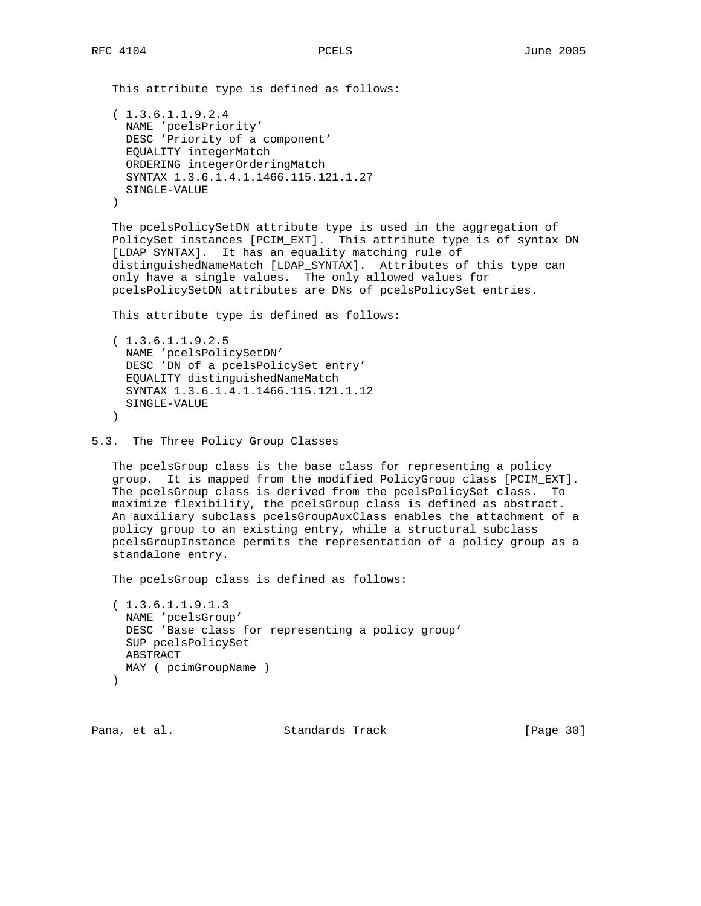This attribute type is defined as follows: ( 1.3.6.1.1.9.2.4 NAME 'pcelsPriority' DESC 'Priority of a component' EQUALITY integerMatch ORDERING integerOrderingMatch SYNTAX 1.3.6.1.4.1.1466.115.121.1.27 SINGLE-VALUE ) The pcelsPolicySetDN attribute type is used in the aggregation of PolicySet instances [PCIM\_EXT]. This attribute type is of syntax DN [LDAP\_SYNTAX]. It has an equality matching rule of distinguishedNameMatch [LDAP\_SYNTAX]. Attributes of this type can only have a single values. The only allowed values for pcelsPolicySetDN attributes are DNs of pcelsPolicySet entries. This attribute type is defined as follows: ( 1.3.6.1.1.9.2.5 NAME 'pcelsPolicySetDN' DESC 'DN of a pcelsPolicySet entry' EQUALITY distinguishedNameMatch SYNTAX 1.3.6.1.4.1.1466.115.121.1.12 SINGLE-VALUE ) 5.3. The Three Policy Group Classes The pcelsGroup class is the base class for representing a policy

 group. It is mapped from the modified PolicyGroup class [PCIM\_EXT]. The pcelsGroup class is derived from the pcelsPolicySet class. To maximize flexibility, the pcelsGroup class is defined as abstract. An auxiliary subclass pcelsGroupAuxClass enables the attachment of a policy group to an existing entry, while a structural subclass pcelsGroupInstance permits the representation of a policy group as a standalone entry.

The pcelsGroup class is defined as follows:

 ( 1.3.6.1.1.9.1.3 NAME 'pcelsGroup' DESC 'Base class for representing a policy group' SUP pcelsPolicySet ABSTRACT MAY ( pcimGroupName ) )

Pana, et al. Standards Track [Page 30]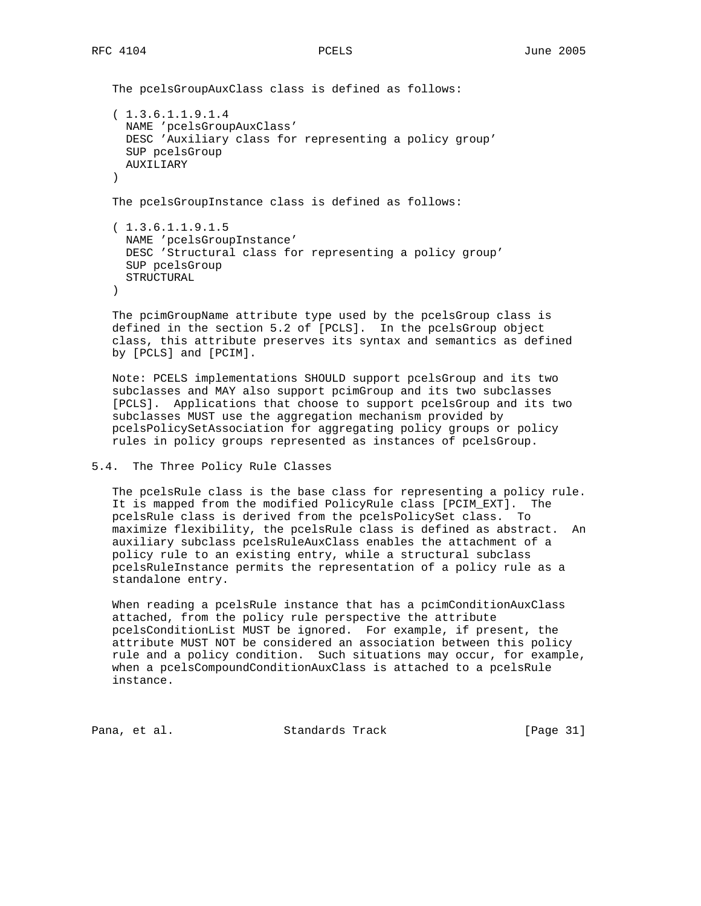The pcelsGroupAuxClass class is defined as follows:

```
 ( 1.3.6.1.1.9.1.4
  NAME 'pcelsGroupAuxClass'
  DESC 'Auxiliary class for representing a policy group'
  SUP pcelsGroup
  AUXILIARY
 )
```
The pcelsGroupInstance class is defined as follows:

```
 ( 1.3.6.1.1.9.1.5
  NAME 'pcelsGroupInstance'
  DESC 'Structural class for representing a policy group'
  SUP pcelsGroup
  STRUCTURAL
 )
```
 The pcimGroupName attribute type used by the pcelsGroup class is defined in the section 5.2 of [PCLS]. In the pcelsGroup object class, this attribute preserves its syntax and semantics as defined by [PCLS] and [PCIM].

 Note: PCELS implementations SHOULD support pcelsGroup and its two subclasses and MAY also support pcimGroup and its two subclasses [PCLS]. Applications that choose to support pcelsGroup and its two subclasses MUST use the aggregation mechanism provided by pcelsPolicySetAssociation for aggregating policy groups or policy rules in policy groups represented as instances of pcelsGroup.

## 5.4. The Three Policy Rule Classes

 The pcelsRule class is the base class for representing a policy rule. It is mapped from the modified PolicyRule class [PCIM\_EXT]. The pcelsRule class is derived from the pcelsPolicySet class. To maximize flexibility, the pcelsRule class is defined as abstract. An auxiliary subclass pcelsRuleAuxClass enables the attachment of a policy rule to an existing entry, while a structural subclass pcelsRuleInstance permits the representation of a policy rule as a standalone entry.

 When reading a pcelsRule instance that has a pcimConditionAuxClass attached, from the policy rule perspective the attribute pcelsConditionList MUST be ignored. For example, if present, the attribute MUST NOT be considered an association between this policy rule and a policy condition. Such situations may occur, for example, when a pcelsCompoundConditionAuxClass is attached to a pcelsRule instance.

Pana, et al. Standards Track [Page 31]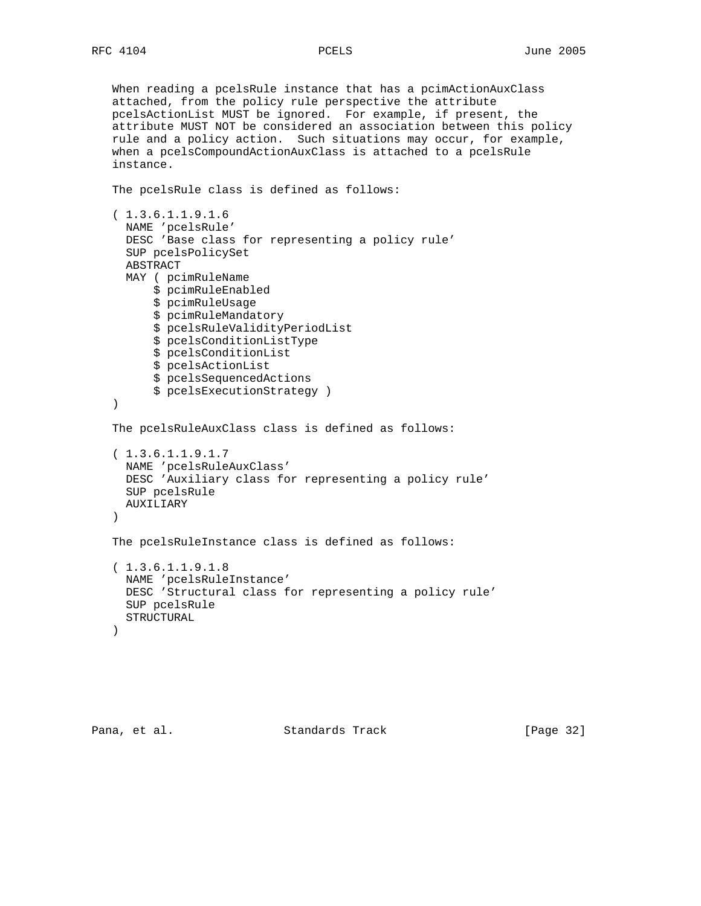When reading a pcelsRule instance that has a pcimActionAuxClass attached, from the policy rule perspective the attribute pcelsActionList MUST be ignored. For example, if present, the attribute MUST NOT be considered an association between this policy rule and a policy action. Such situations may occur, for example, when a pcelsCompoundActionAuxClass is attached to a pcelsRule instance. The pcelsRule class is defined as follows: ( 1.3.6.1.1.9.1.6 NAME 'pcelsRule' DESC 'Base class for representing a policy rule' SUP pcelsPolicySet ABSTRACT MAY ( pcimRuleName \$ pcimRuleEnabled \$ pcimRuleUsage \$ pcimRuleMandatory \$ pcelsRuleValidityPeriodList \$ pcelsConditionListType \$ pcelsConditionList \$ pcelsActionList \$ pcelsSequencedActions \$ pcelsExecutionStrategy ) ) The pcelsRuleAuxClass class is defined as follows: ( 1.3.6.1.1.9.1.7 NAME 'pcelsRuleAuxClass' DESC 'Auxiliary class for representing a policy rule' SUP pcelsRule AUXILIARY ) The pcelsRuleInstance class is defined as follows: ( 1.3.6.1.1.9.1.8 NAME 'pcelsRuleInstance' DESC 'Structural class for representing a policy rule' SUP pcelsRule STRUCTURAL )

Pana, et al. Standards Track [Page 32]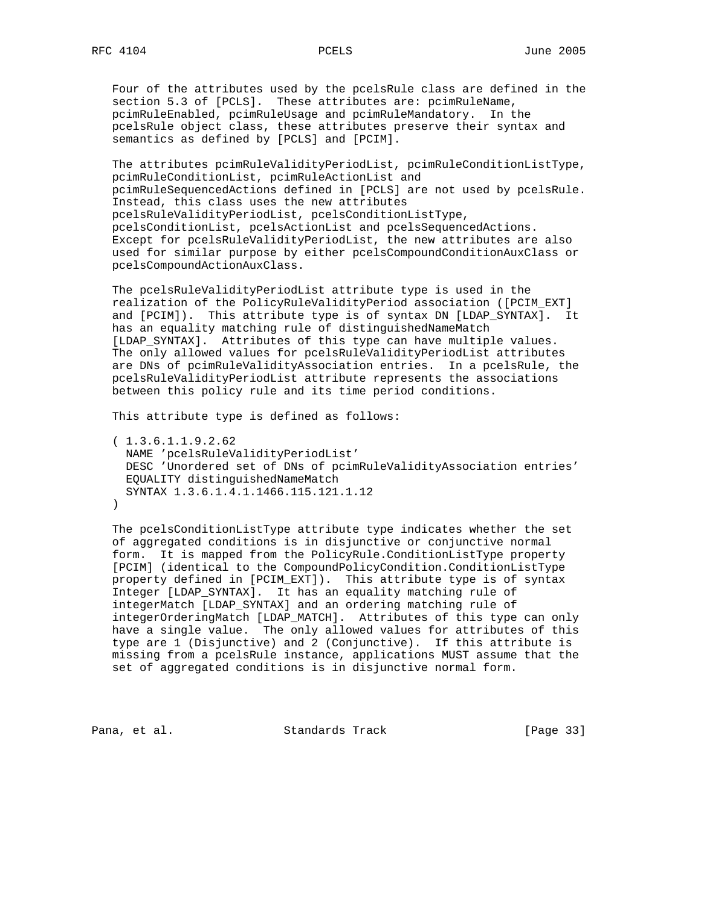Four of the attributes used by the pcelsRule class are defined in the section 5.3 of [PCLS]. These attributes are: pcimRuleName, pcimRuleEnabled, pcimRuleUsage and pcimRuleMandatory. In the pcelsRule object class, these attributes preserve their syntax and semantics as defined by [PCLS] and [PCIM].

 The attributes pcimRuleValidityPeriodList, pcimRuleConditionListType, pcimRuleConditionList, pcimRuleActionList and pcimRuleSequencedActions defined in [PCLS] are not used by pcelsRule. Instead, this class uses the new attributes pcelsRuleValidityPeriodList, pcelsConditionListType, pcelsConditionList, pcelsActionList and pcelsSequencedActions. Except for pcelsRuleValidityPeriodList, the new attributes are also used for similar purpose by either pcelsCompoundConditionAuxClass or pcelsCompoundActionAuxClass.

 The pcelsRuleValidityPeriodList attribute type is used in the realization of the PolicyRuleValidityPeriod association ([PCIM\_EXT] and [PCIM]). This attribute type is of syntax DN [LDAP\_SYNTAX]. It has an equality matching rule of distinguishedNameMatch [LDAP\_SYNTAX]. Attributes of this type can have multiple values. The only allowed values for pcelsRuleValidityPeriodList attributes are DNs of pcimRuleValidityAssociation entries. In a pcelsRule, the pcelsRuleValidityPeriodList attribute represents the associations between this policy rule and its time period conditions.

This attribute type is defined as follows:

```
 ( 1.3.6.1.1.9.2.62
  NAME 'pcelsRuleValidityPeriodList'
  DESC 'Unordered set of DNs of pcimRuleValidityAssociation entries'
  EQUALITY distinguishedNameMatch
  SYNTAX 1.3.6.1.4.1.1466.115.121.1.12
 )
```
 The pcelsConditionListType attribute type indicates whether the set of aggregated conditions is in disjunctive or conjunctive normal form. It is mapped from the PolicyRule.ConditionListType property [PCIM] (identical to the CompoundPolicyCondition.ConditionListType property defined in [PCIM\_EXT]). This attribute type is of syntax Integer [LDAP\_SYNTAX]. It has an equality matching rule of integerMatch [LDAP\_SYNTAX] and an ordering matching rule of integerOrderingMatch [LDAP\_MATCH]. Attributes of this type can only have a single value. The only allowed values for attributes of this type are 1 (Disjunctive) and 2 (Conjunctive). If this attribute is missing from a pcelsRule instance, applications MUST assume that the set of aggregated conditions is in disjunctive normal form.

Pana, et al. Standards Track [Page 33]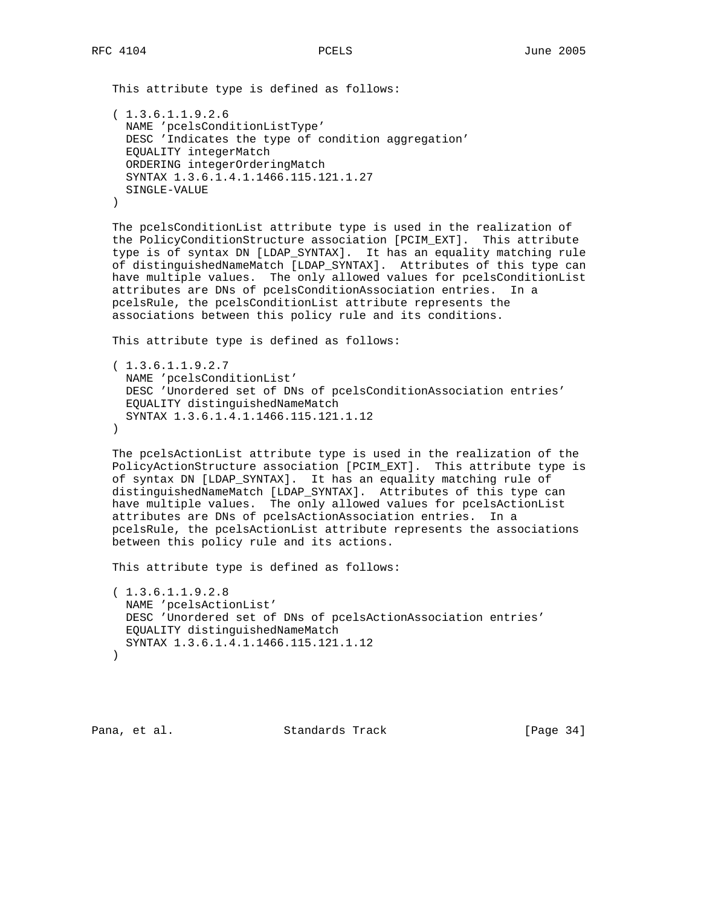This attribute type is defined as follows:

```
 ( 1.3.6.1.1.9.2.6
  NAME 'pcelsConditionListType'
  DESC 'Indicates the type of condition aggregation'
  EQUALITY integerMatch
  ORDERING integerOrderingMatch
  SYNTAX 1.3.6.1.4.1.1466.115.121.1.27
  SINGLE-VALUE
 )
```
 The pcelsConditionList attribute type is used in the realization of the PolicyConditionStructure association [PCIM\_EXT]. This attribute type is of syntax DN [LDAP\_SYNTAX]. It has an equality matching rule of distinguishedNameMatch [LDAP\_SYNTAX]. Attributes of this type can have multiple values. The only allowed values for pcelsConditionList attributes are DNs of pcelsConditionAssociation entries. In a pcelsRule, the pcelsConditionList attribute represents the associations between this policy rule and its conditions.

This attribute type is defined as follows:

```
 ( 1.3.6.1.1.9.2.7
  NAME 'pcelsConditionList'
  DESC 'Unordered set of DNs of pcelsConditionAssociation entries'
  EQUALITY distinguishedNameMatch
  SYNTAX 1.3.6.1.4.1.1466.115.121.1.12
\lambda
```
 The pcelsActionList attribute type is used in the realization of the PolicyActionStructure association [PCIM\_EXT]. This attribute type is of syntax DN [LDAP\_SYNTAX]. It has an equality matching rule of distinguishedNameMatch [LDAP\_SYNTAX]. Attributes of this type can have multiple values. The only allowed values for pcelsActionList attributes are DNs of pcelsActionAssociation entries. In a pcelsRule, the pcelsActionList attribute represents the associations between this policy rule and its actions.

This attribute type is defined as follows:

```
 ( 1.3.6.1.1.9.2.8
  NAME 'pcelsActionList'
  DESC 'Unordered set of DNs of pcelsActionAssociation entries'
  EQUALITY distinguishedNameMatch
  SYNTAX 1.3.6.1.4.1.1466.115.121.1.12
 )
```
Pana, et al. Standards Track [Page 34]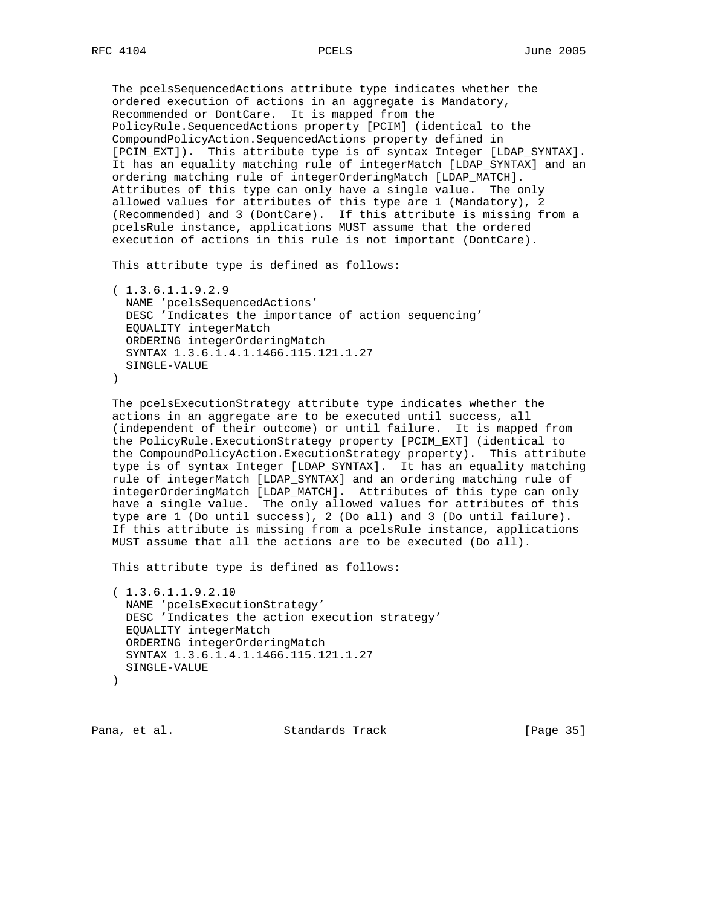The pcelsSequencedActions attribute type indicates whether the ordered execution of actions in an aggregate is Mandatory, Recommended or DontCare. It is mapped from the PolicyRule.SequencedActions property [PCIM] (identical to the CompoundPolicyAction.SequencedActions property defined in [PCIM\_EXT]). This attribute type is of syntax Integer [LDAP\_SYNTAX]. It has an equality matching rule of integerMatch [LDAP\_SYNTAX] and an ordering matching rule of integerOrderingMatch [LDAP\_MATCH]. Attributes of this type can only have a single value. The only allowed values for attributes of this type are 1 (Mandatory), 2 (Recommended) and 3 (DontCare). If this attribute is missing from a pcelsRule instance, applications MUST assume that the ordered execution of actions in this rule is not important (DontCare).

This attribute type is defined as follows:

```
 ( 1.3.6.1.1.9.2.9
  NAME 'pcelsSequencedActions'
  DESC 'Indicates the importance of action sequencing'
  EQUALITY integerMatch
   ORDERING integerOrderingMatch
  SYNTAX 1.3.6.1.4.1.1466.115.121.1.27
  SINGLE-VALUE
\lambda
```
 The pcelsExecutionStrategy attribute type indicates whether the actions in an aggregate are to be executed until success, all (independent of their outcome) or until failure. It is mapped from the PolicyRule.ExecutionStrategy property [PCIM\_EXT] (identical to the CompoundPolicyAction.ExecutionStrategy property). This attribute type is of syntax Integer [LDAP\_SYNTAX]. It has an equality matching rule of integerMatch [LDAP\_SYNTAX] and an ordering matching rule of integerOrderingMatch [LDAP\_MATCH]. Attributes of this type can only have a single value. The only allowed values for attributes of this type are 1 (Do until success), 2 (Do all) and 3 (Do until failure). If this attribute is missing from a pcelsRule instance, applications MUST assume that all the actions are to be executed (Do all).

This attribute type is defined as follows:

```
 ( 1.3.6.1.1.9.2.10
  NAME 'pcelsExecutionStrategy'
  DESC 'Indicates the action execution strategy'
  EQUALITY integerMatch
  ORDERING integerOrderingMatch
  SYNTAX 1.3.6.1.4.1.1466.115.121.1.27
  SINGLE-VALUE
 )
```
Pana, et al. Standards Track [Page 35]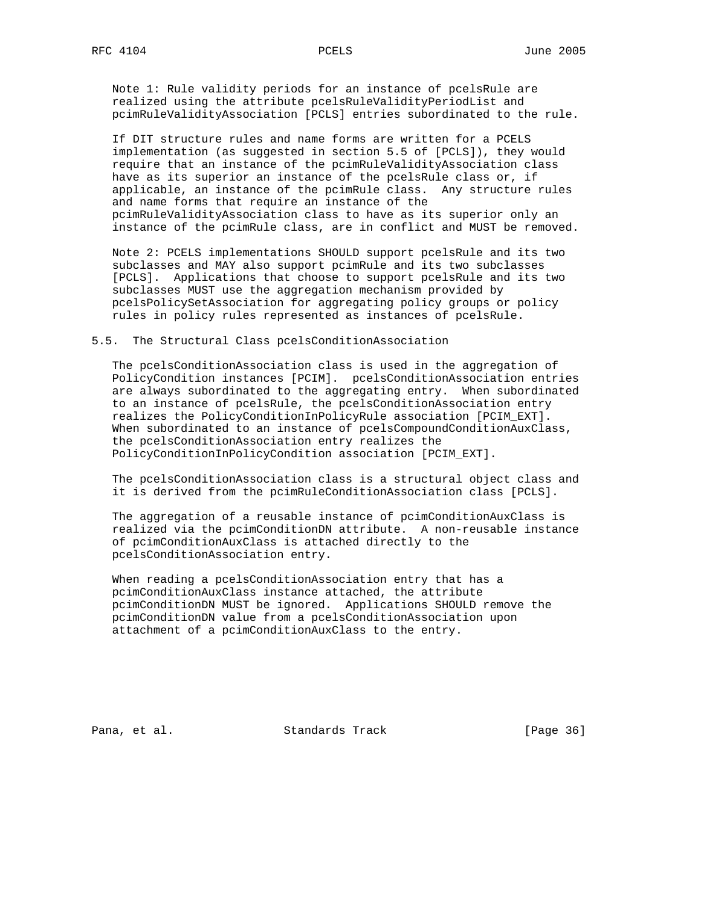Note 1: Rule validity periods for an instance of pcelsRule are realized using the attribute pcelsRuleValidityPeriodList and pcimRuleValidityAssociation [PCLS] entries subordinated to the rule.

 If DIT structure rules and name forms are written for a PCELS implementation (as suggested in section 5.5 of [PCLS]), they would require that an instance of the pcimRuleValidityAssociation class have as its superior an instance of the pcelsRule class or, if applicable, an instance of the pcimRule class. Any structure rules and name forms that require an instance of the pcimRuleValidityAssociation class to have as its superior only an instance of the pcimRule class, are in conflict and MUST be removed.

 Note 2: PCELS implementations SHOULD support pcelsRule and its two subclasses and MAY also support pcimRule and its two subclasses [PCLS]. Applications that choose to support pcelsRule and its two subclasses MUST use the aggregation mechanism provided by pcelsPolicySetAssociation for aggregating policy groups or policy rules in policy rules represented as instances of pcelsRule.

### 5.5. The Structural Class pcelsConditionAssociation

 The pcelsConditionAssociation class is used in the aggregation of PolicyCondition instances [PCIM]. pcelsConditionAssociation entries are always subordinated to the aggregating entry. When subordinated to an instance of pcelsRule, the pcelsConditionAssociation entry realizes the PolicyConditionInPolicyRule association [PCIM\_EXT]. When subordinated to an instance of pcelsCompoundConditionAuxClass, the pcelsConditionAssociation entry realizes the PolicyConditionInPolicyCondition association [PCIM\_EXT].

 The pcelsConditionAssociation class is a structural object class and it is derived from the pcimRuleConditionAssociation class [PCLS].

 The aggregation of a reusable instance of pcimConditionAuxClass is realized via the pcimConditionDN attribute. A non-reusable instance of pcimConditionAuxClass is attached directly to the pcelsConditionAssociation entry.

 When reading a pcelsConditionAssociation entry that has a pcimConditionAuxClass instance attached, the attribute pcimConditionDN MUST be ignored. Applications SHOULD remove the pcimConditionDN value from a pcelsConditionAssociation upon attachment of a pcimConditionAuxClass to the entry.

Pana, et al. Standards Track [Page 36]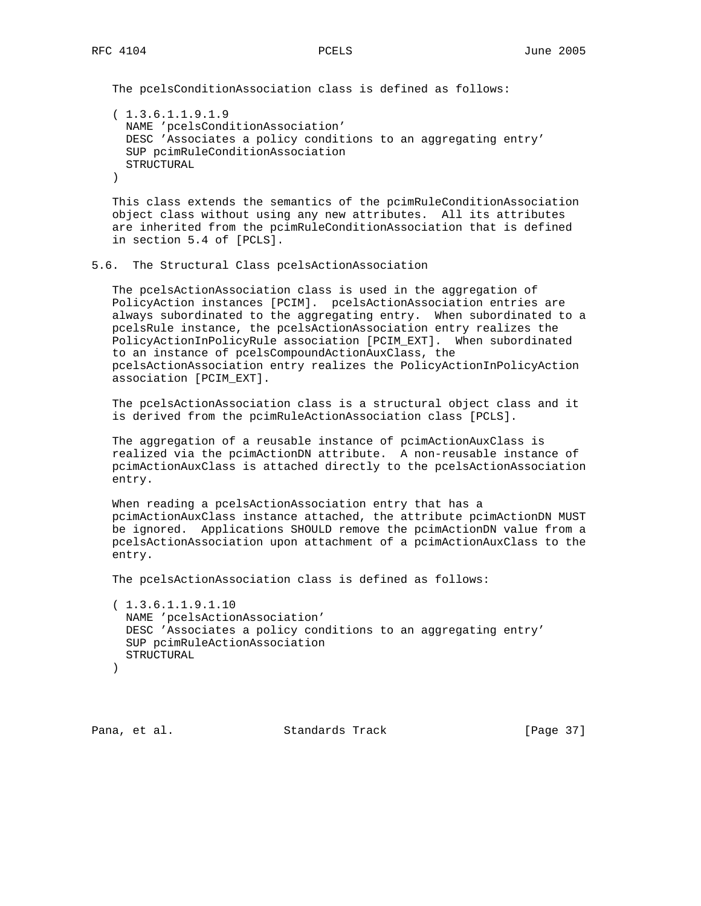The pcelsConditionAssociation class is defined as follows:

 ( 1.3.6.1.1.9.1.9 NAME 'pcelsConditionAssociation' DESC 'Associates a policy conditions to an aggregating entry' SUP pcimRuleConditionAssociation STRUCTURAL )

 This class extends the semantics of the pcimRuleConditionAssociation object class without using any new attributes. All its attributes are inherited from the pcimRuleConditionAssociation that is defined in section 5.4 of [PCLS].

## 5.6. The Structural Class pcelsActionAssociation

 The pcelsActionAssociation class is used in the aggregation of PolicyAction instances [PCIM]. pcelsActionAssociation entries are always subordinated to the aggregating entry. When subordinated to a pcelsRule instance, the pcelsActionAssociation entry realizes the PolicyActionInPolicyRule association [PCIM\_EXT]. When subordinated to an instance of pcelsCompoundActionAuxClass, the pcelsActionAssociation entry realizes the PolicyActionInPolicyAction association [PCIM\_EXT].

 The pcelsActionAssociation class is a structural object class and it is derived from the pcimRuleActionAssociation class [PCLS].

 The aggregation of a reusable instance of pcimActionAuxClass is realized via the pcimActionDN attribute. A non-reusable instance of pcimActionAuxClass is attached directly to the pcelsActionAssociation entry.

 When reading a pcelsActionAssociation entry that has a pcimActionAuxClass instance attached, the attribute pcimActionDN MUST be ignored. Applications SHOULD remove the pcimActionDN value from a pcelsActionAssociation upon attachment of a pcimActionAuxClass to the entry.

The pcelsActionAssociation class is defined as follows:

```
 ( 1.3.6.1.1.9.1.10
  NAME 'pcelsActionAssociation'
  DESC 'Associates a policy conditions to an aggregating entry'
  SUP pcimRuleActionAssociation
  STRUCTURAL
 )
```
Pana, et al. Standards Track [Page 37]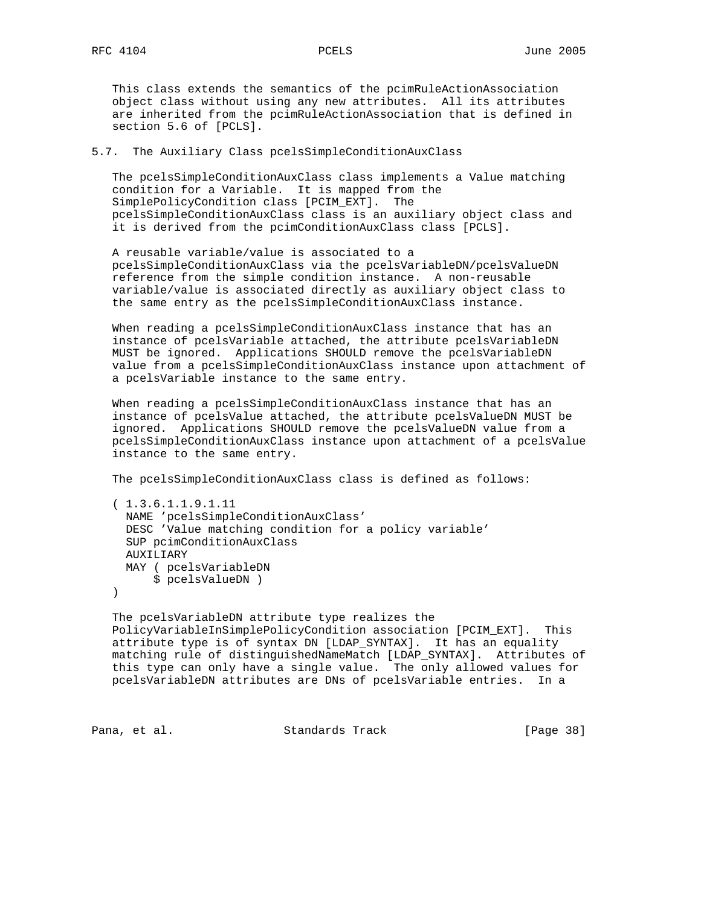This class extends the semantics of the pcimRuleActionAssociation object class without using any new attributes. All its attributes are inherited from the pcimRuleActionAssociation that is defined in section 5.6 of [PCLS].

## 5.7. The Auxiliary Class pcelsSimpleConditionAuxClass

 The pcelsSimpleConditionAuxClass class implements a Value matching condition for a Variable. It is mapped from the SimplePolicyCondition class [PCIM\_EXT]. The pcelsSimpleConditionAuxClass class is an auxiliary object class and it is derived from the pcimConditionAuxClass class [PCLS].

 A reusable variable/value is associated to a pcelsSimpleConditionAuxClass via the pcelsVariableDN/pcelsValueDN reference from the simple condition instance. A non-reusable variable/value is associated directly as auxiliary object class to the same entry as the pcelsSimpleConditionAuxClass instance.

 When reading a pcelsSimpleConditionAuxClass instance that has an instance of pcelsVariable attached, the attribute pcelsVariableDN MUST be ignored. Applications SHOULD remove the pcelsVariableDN value from a pcelsSimpleConditionAuxClass instance upon attachment of a pcelsVariable instance to the same entry.

 When reading a pcelsSimpleConditionAuxClass instance that has an instance of pcelsValue attached, the attribute pcelsValueDN MUST be ignored. Applications SHOULD remove the pcelsValueDN value from a pcelsSimpleConditionAuxClass instance upon attachment of a pcelsValue instance to the same entry.

The pcelsSimpleConditionAuxClass class is defined as follows:

 ( 1.3.6.1.1.9.1.11 NAME 'pcelsSimpleConditionAuxClass' DESC 'Value matching condition for a policy variable' SUP pcimConditionAuxClass AUXILIARY MAY ( pcelsVariableDN \$ pcelsValueDN )

 $)$ 

 The pcelsVariableDN attribute type realizes the PolicyVariableInSimplePolicyCondition association [PCIM\_EXT]. This attribute type is of syntax DN [LDAP\_SYNTAX]. It has an equality matching rule of distinguishedNameMatch [LDAP\_SYNTAX]. Attributes of this type can only have a single value. The only allowed values for pcelsVariableDN attributes are DNs of pcelsVariable entries. In a

Pana, et al. Standards Track [Page 38]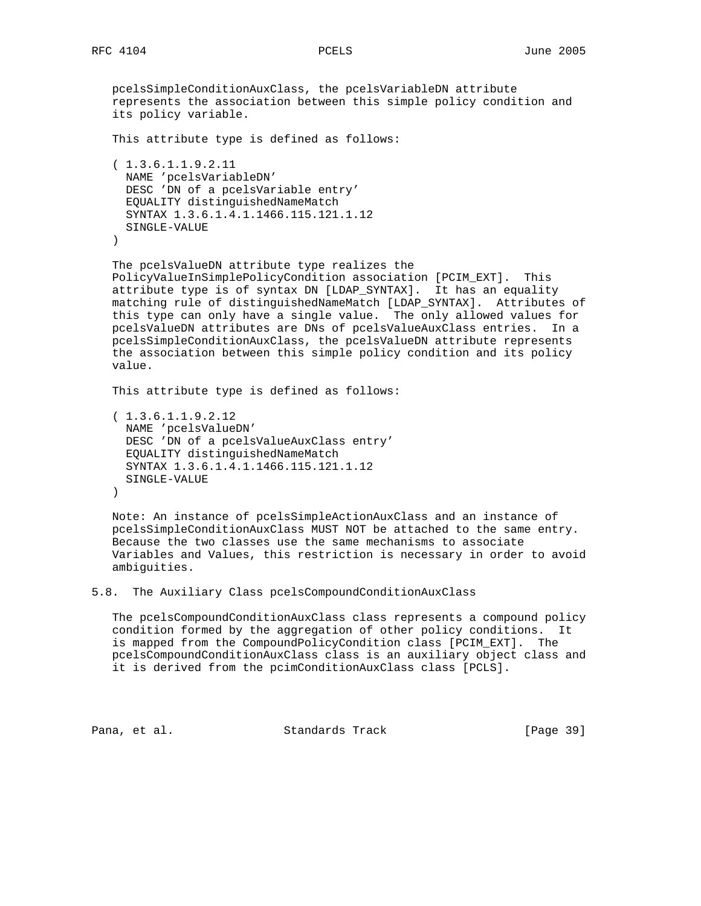pcelsSimpleConditionAuxClass, the pcelsVariableDN attribute represents the association between this simple policy condition and its policy variable.

This attribute type is defined as follows:

 ( 1.3.6.1.1.9.2.11 NAME 'pcelsVariableDN' DESC 'DN of a pcelsVariable entry' EQUALITY distinguishedNameMatch SYNTAX 1.3.6.1.4.1.1466.115.121.1.12 SINGLE-VALUE )

 The pcelsValueDN attribute type realizes the PolicyValueInSimplePolicyCondition association [PCIM\_EXT]. This attribute type is of syntax DN [LDAP\_SYNTAX]. It has an equality matching rule of distinguishedNameMatch [LDAP\_SYNTAX]. Attributes of this type can only have a single value. The only allowed values for pcelsValueDN attributes are DNs of pcelsValueAuxClass entries. In a pcelsSimpleConditionAuxClass, the pcelsValueDN attribute represents the association between this simple policy condition and its policy value.

This attribute type is defined as follows:

 ( 1.3.6.1.1.9.2.12 NAME 'pcelsValueDN' DESC 'DN of a pcelsValueAuxClass entry' EQUALITY distinguishedNameMatch SYNTAX 1.3.6.1.4.1.1466.115.121.1.12 SINGLE-VALUE )

 Note: An instance of pcelsSimpleActionAuxClass and an instance of pcelsSimpleConditionAuxClass MUST NOT be attached to the same entry. Because the two classes use the same mechanisms to associate Variables and Values, this restriction is necessary in order to avoid ambiguities.

5.8. The Auxiliary Class pcelsCompoundConditionAuxClass

 The pcelsCompoundConditionAuxClass class represents a compound policy condition formed by the aggregation of other policy conditions. It is mapped from the CompoundPolicyCondition class [PCIM\_EXT]. The pcelsCompoundConditionAuxClass class is an auxiliary object class and it is derived from the pcimConditionAuxClass class [PCLS].

Pana, et al. Standards Track [Page 39]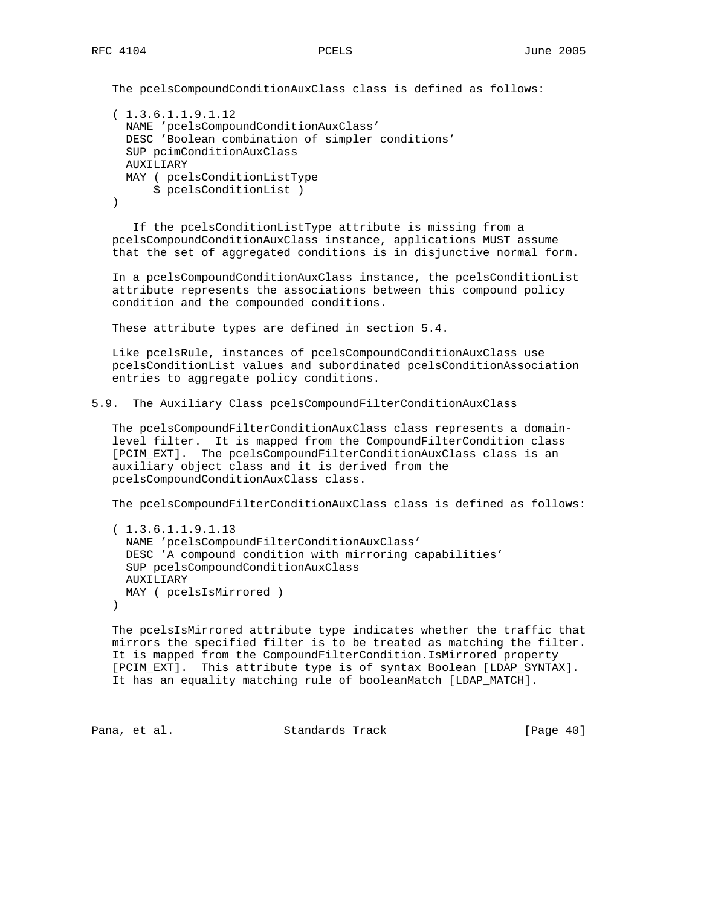The pcelsCompoundConditionAuxClass class is defined as follows:

```
 ( 1.3.6.1.1.9.1.12
  NAME 'pcelsCompoundConditionAuxClass'
  DESC 'Boolean combination of simpler conditions'
  SUP pcimConditionAuxClass
  AUXILIARY
  MAY ( pcelsConditionListType
       $ pcelsConditionList )
 )
```
 If the pcelsConditionListType attribute is missing from a pcelsCompoundConditionAuxClass instance, applications MUST assume that the set of aggregated conditions is in disjunctive normal form.

 In a pcelsCompoundConditionAuxClass instance, the pcelsConditionList attribute represents the associations between this compound policy condition and the compounded conditions.

These attribute types are defined in section 5.4.

 Like pcelsRule, instances of pcelsCompoundConditionAuxClass use pcelsConditionList values and subordinated pcelsConditionAssociation entries to aggregate policy conditions.

5.9. The Auxiliary Class pcelsCompoundFilterConditionAuxClass

 The pcelsCompoundFilterConditionAuxClass class represents a domain level filter. It is mapped from the CompoundFilterCondition class [PCIM\_EXT]. The pcelsCompoundFilterConditionAuxClass class is an auxiliary object class and it is derived from the pcelsCompoundConditionAuxClass class.

The pcelsCompoundFilterConditionAuxClass class is defined as follows:

 ( 1.3.6.1.1.9.1.13 NAME 'pcelsCompoundFilterConditionAuxClass' DESC 'A compound condition with mirroring capabilities' SUP pcelsCompoundConditionAuxClass AUXILIARY MAY ( pcelsIsMirrored )  $\left( \right)$ 

 The pcelsIsMirrored attribute type indicates whether the traffic that mirrors the specified filter is to be treated as matching the filter. It is mapped from the CompoundFilterCondition.IsMirrored property [PCIM\_EXT]. This attribute type is of syntax Boolean [LDAP\_SYNTAX]. It has an equality matching rule of booleanMatch [LDAP\_MATCH].

Pana, et al. Standards Track [Page 40]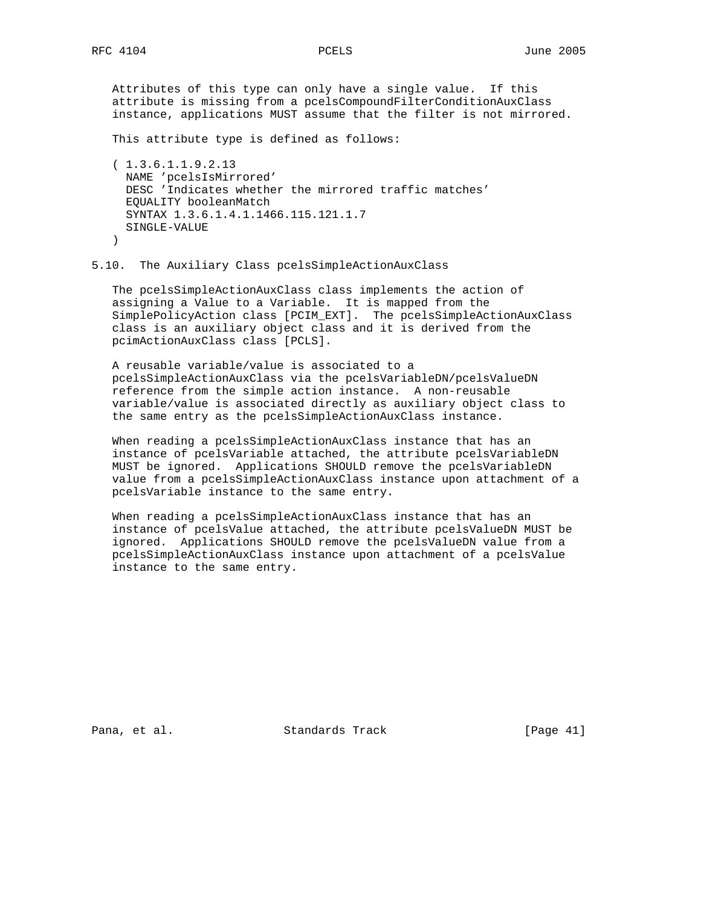# Attributes of this type can only have a single value. If this

 attribute is missing from a pcelsCompoundFilterConditionAuxClass instance, applications MUST assume that the filter is not mirrored.

This attribute type is defined as follows:

```
 ( 1.3.6.1.1.9.2.13
  NAME 'pcelsIsMirrored'
  DESC 'Indicates whether the mirrored traffic matches'
  EQUALITY booleanMatch
  SYNTAX 1.3.6.1.4.1.1466.115.121.1.7
  SINGLE-VALUE
 )
```
# 5.10. The Auxiliary Class pcelsSimpleActionAuxClass

 The pcelsSimpleActionAuxClass class implements the action of assigning a Value to a Variable. It is mapped from the SimplePolicyAction class [PCIM\_EXT]. The pcelsSimpleActionAuxClass class is an auxiliary object class and it is derived from the pcimActionAuxClass class [PCLS].

 A reusable variable/value is associated to a pcelsSimpleActionAuxClass via the pcelsVariableDN/pcelsValueDN reference from the simple action instance. A non-reusable variable/value is associated directly as auxiliary object class to the same entry as the pcelsSimpleActionAuxClass instance.

 When reading a pcelsSimpleActionAuxClass instance that has an instance of pcelsVariable attached, the attribute pcelsVariableDN MUST be ignored. Applications SHOULD remove the pcelsVariableDN value from a pcelsSimpleActionAuxClass instance upon attachment of a pcelsVariable instance to the same entry.

 When reading a pcelsSimpleActionAuxClass instance that has an instance of pcelsValue attached, the attribute pcelsValueDN MUST be ignored. Applications SHOULD remove the pcelsValueDN value from a pcelsSimpleActionAuxClass instance upon attachment of a pcelsValue instance to the same entry.

Pana, et al. Standards Track [Page 41]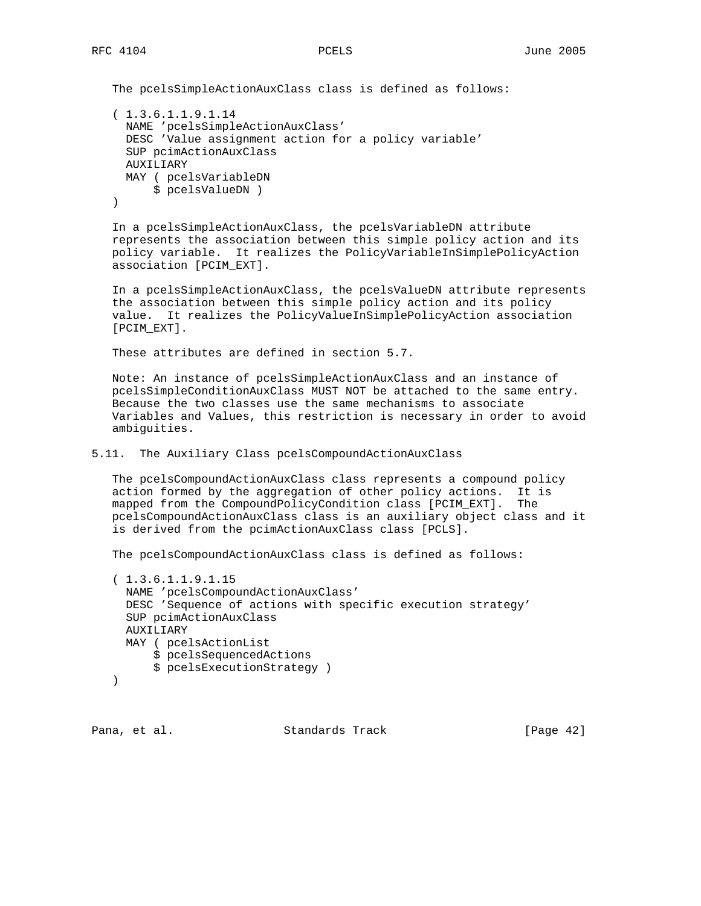The pcelsSimpleActionAuxClass class is defined as follows:

```
 ( 1.3.6.1.1.9.1.14
  NAME 'pcelsSimpleActionAuxClass'
   DESC 'Value assignment action for a policy variable'
  SUP pcimActionAuxClass
  AUXILIARY
  MAY ( pcelsVariableDN
       $ pcelsValueDN )
 )
```
 In a pcelsSimpleActionAuxClass, the pcelsVariableDN attribute represents the association between this simple policy action and its policy variable. It realizes the PolicyVariableInSimplePolicyAction association [PCIM\_EXT].

 In a pcelsSimpleActionAuxClass, the pcelsValueDN attribute represents the association between this simple policy action and its policy value. It realizes the PolicyValueInSimplePolicyAction association [PCIM\_EXT].

These attributes are defined in section 5.7.

 Note: An instance of pcelsSimpleActionAuxClass and an instance of pcelsSimpleConditionAuxClass MUST NOT be attached to the same entry. Because the two classes use the same mechanisms to associate Variables and Values, this restriction is necessary in order to avoid ambiguities.

5.11. The Auxiliary Class pcelsCompoundActionAuxClass

 The pcelsCompoundActionAuxClass class represents a compound policy action formed by the aggregation of other policy actions. It is mapped from the CompoundPolicyCondition class [PCIM\_EXT]. The pcelsCompoundActionAuxClass class is an auxiliary object class and it is derived from the pcimActionAuxClass class [PCLS].

The pcelsCompoundActionAuxClass class is defined as follows:

```
 ( 1.3.6.1.1.9.1.15
  NAME 'pcelsCompoundActionAuxClass'
  DESC 'Sequence of actions with specific execution strategy'
  SUP pcimActionAuxClass
  AUXILIARY
  MAY ( pcelsActionList
       $ pcelsSequencedActions
       $ pcelsExecutionStrategy )
 )
```
Pana, et al. Standards Track [Page 42]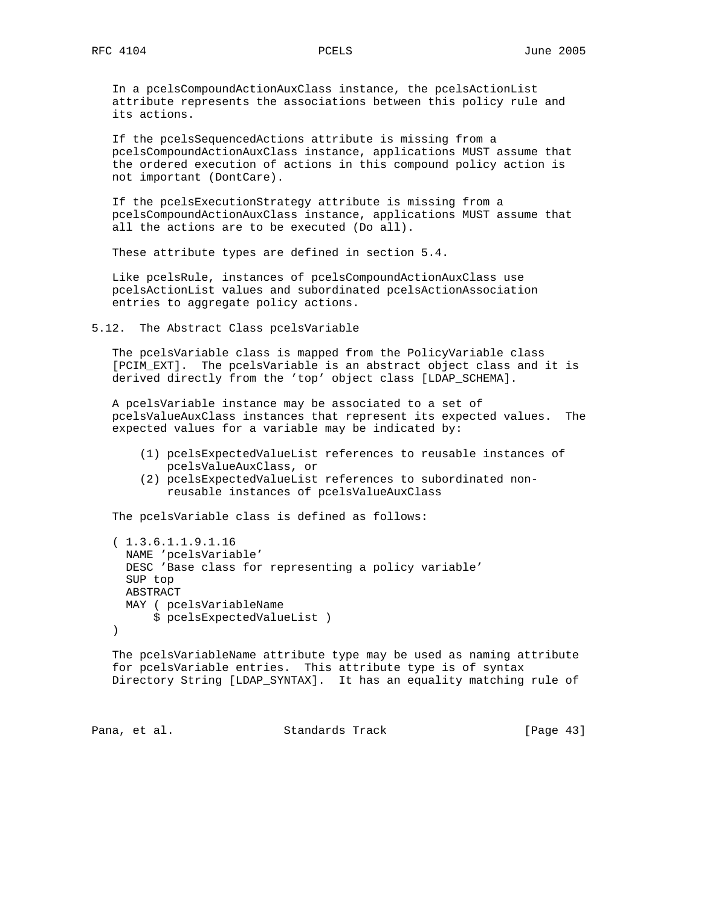In a pcelsCompoundActionAuxClass instance, the pcelsActionList attribute represents the associations between this policy rule and its actions.

 If the pcelsSequencedActions attribute is missing from a pcelsCompoundActionAuxClass instance, applications MUST assume that the ordered execution of actions in this compound policy action is not important (DontCare).

 If the pcelsExecutionStrategy attribute is missing from a pcelsCompoundActionAuxClass instance, applications MUST assume that all the actions are to be executed (Do all).

These attribute types are defined in section 5.4.

 Like pcelsRule, instances of pcelsCompoundActionAuxClass use pcelsActionList values and subordinated pcelsActionAssociation entries to aggregate policy actions.

5.12. The Abstract Class pcelsVariable

 The pcelsVariable class is mapped from the PolicyVariable class [PCIM\_EXT]. The pcelsVariable is an abstract object class and it is derived directly from the 'top' object class [LDAP\_SCHEMA].

 A pcelsVariable instance may be associated to a set of pcelsValueAuxClass instances that represent its expected values. The expected values for a variable may be indicated by:

- (1) pcelsExpectedValueList references to reusable instances of pcelsValueAuxClass, or
- (2) pcelsExpectedValueList references to subordinated non reusable instances of pcelsValueAuxClass

The pcelsVariable class is defined as follows:

```
 ( 1.3.6.1.1.9.1.16
   NAME 'pcelsVariable'
   DESC 'Base class for representing a policy variable'
   SUP top
  ABSTRACT
  MAY ( pcelsVariableName
      $ pcelsExpectedValueList )
 )
```
 The pcelsVariableName attribute type may be used as naming attribute for pcelsVariable entries. This attribute type is of syntax Directory String [LDAP\_SYNTAX]. It has an equality matching rule of

Pana, et al. Standards Track [Page 43]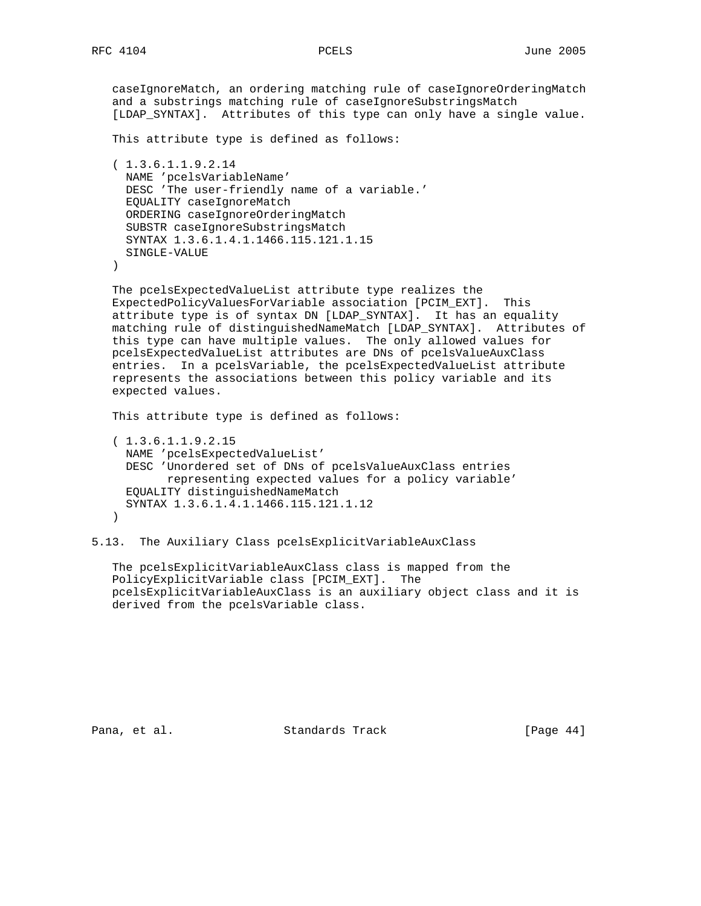caseIgnoreMatch, an ordering matching rule of caseIgnoreOrderingMatch and a substrings matching rule of caseIgnoreSubstringsMatch [LDAP\_SYNTAX]. Attributes of this type can only have a single value. This attribute type is defined as follows: ( 1.3.6.1.1.9.2.14 NAME 'pcelsVariableName' DESC 'The user-friendly name of a variable.' EQUALITY caseIgnoreMatch ORDERING caseIgnoreOrderingMatch SUBSTR caseIgnoreSubstringsMatch SYNTAX 1.3.6.1.4.1.1466.115.121.1.15 SINGLE-VALUE ) The pcelsExpectedValueList attribute type realizes the ExpectedPolicyValuesForVariable association [PCIM\_EXT]. This attribute type is of syntax DN [LDAP\_SYNTAX]. It has an equality matching rule of distinguishedNameMatch [LDAP\_SYNTAX]. Attributes of this type can have multiple values. The only allowed values for pcelsExpectedValueList attributes are DNs of pcelsValueAuxClass entries. In a pcelsVariable, the pcelsExpectedValueList attribute represents the associations between this policy variable and its expected values. This attribute type is defined as follows: ( 1.3.6.1.1.9.2.15 NAME 'pcelsExpectedValueList' DESC 'Unordered set of DNs of pcelsValueAuxClass entries representing expected values for a policy variable'

)

 EQUALITY distinguishedNameMatch SYNTAX 1.3.6.1.4.1.1466.115.121.1.12

derived from the pcelsVariable class.

5.13. The Auxiliary Class pcelsExplicitVariableAuxClass

PolicyExplicitVariable class [PCIM\_EXT]. The

The pcelsExplicitVariableAuxClass class is mapped from the

Pana, et al. Standards Track [Page 44]

pcelsExplicitVariableAuxClass is an auxiliary object class and it is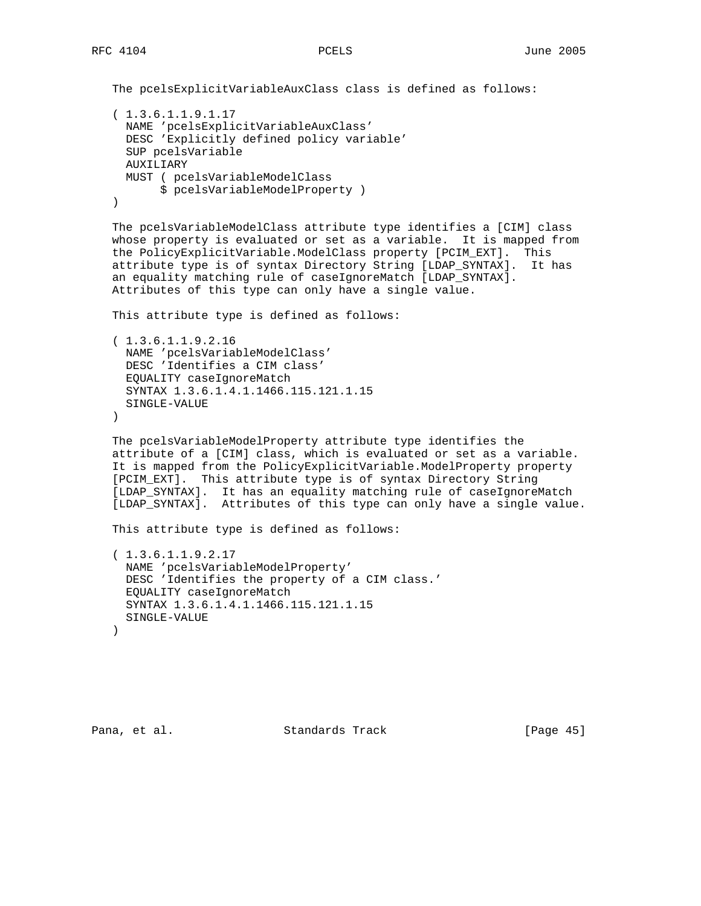```
 The pcelsExplicitVariableAuxClass class is defined as follows:
 ( 1.3.6.1.1.9.1.17
  NAME 'pcelsExplicitVariableAuxClass'
  DESC 'Explicitly defined policy variable'
  SUP pcelsVariable
  AUXILIARY
  MUST ( pcelsVariableModelClass
       $ pcelsVariableModelProperty )
 )
 The pcelsVariableModelClass attribute type identifies a [CIM] class
 whose property is evaluated or set as a variable. It is mapped from
 the PolicyExplicitVariable.ModelClass property [PCIM_EXT]. This
 attribute type is of syntax Directory String [LDAP_SYNTAX]. It has
```
an equality matching rule of caseIgnoreMatch [LDAP\_SYNTAX].

Attributes of this type can only have a single value.

This attribute type is defined as follows:

 ( 1.3.6.1.1.9.2.16 NAME 'pcelsVariableModelClass' DESC 'Identifies a CIM class' EQUALITY caseIgnoreMatch SYNTAX 1.3.6.1.4.1.1466.115.121.1.15 SINGLE-VALUE )

 The pcelsVariableModelProperty attribute type identifies the attribute of a [CIM] class, which is evaluated or set as a variable. It is mapped from the PolicyExplicitVariable.ModelProperty property [PCIM\_EXT]. This attribute type is of syntax Directory String [LDAP\_SYNTAX]. It has an equality matching rule of caseIgnoreMatch [LDAP\_SYNTAX]. Attributes of this type can only have a single value.

This attribute type is defined as follows:

```
 ( 1.3.6.1.1.9.2.17
  NAME 'pcelsVariableModelProperty'
  DESC 'Identifies the property of a CIM class.'
  EQUALITY caseIgnoreMatch
  SYNTAX 1.3.6.1.4.1.1466.115.121.1.15
  SINGLE-VALUE
 )
```
Pana, et al. Standards Track [Page 45]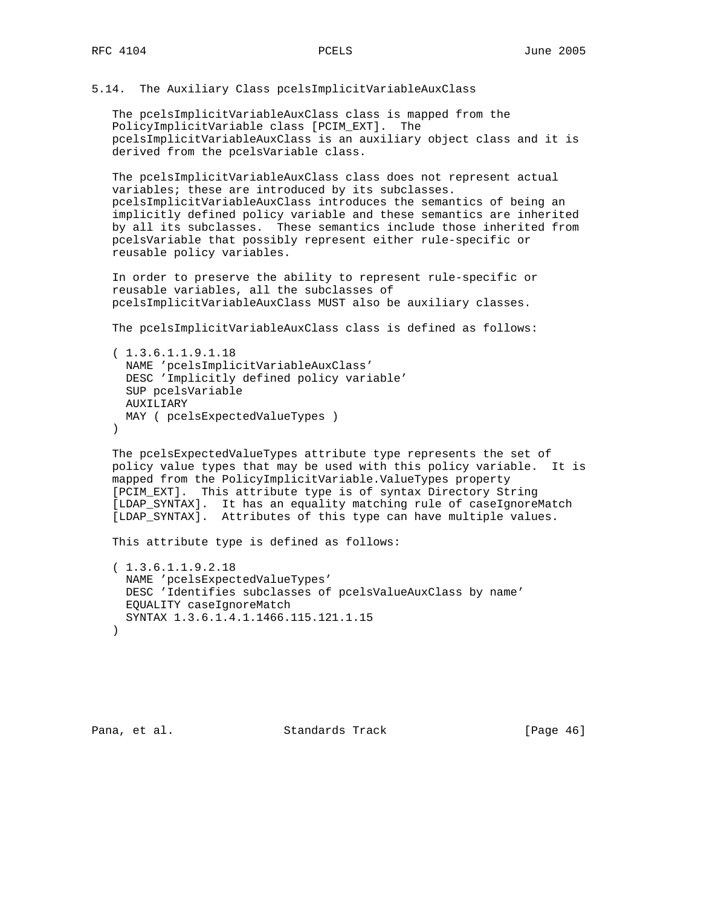5.14. The Auxiliary Class pcelsImplicitVariableAuxClass

 The pcelsImplicitVariableAuxClass class is mapped from the PolicyImplicitVariable class [PCIM\_EXT]. The pcelsImplicitVariableAuxClass is an auxiliary object class and it is derived from the pcelsVariable class.

 The pcelsImplicitVariableAuxClass class does not represent actual variables; these are introduced by its subclasses. pcelsImplicitVariableAuxClass introduces the semantics of being an implicitly defined policy variable and these semantics are inherited by all its subclasses. These semantics include those inherited from pcelsVariable that possibly represent either rule-specific or reusable policy variables.

 In order to preserve the ability to represent rule-specific or reusable variables, all the subclasses of pcelsImplicitVariableAuxClass MUST also be auxiliary classes.

The pcelsImplicitVariableAuxClass class is defined as follows:

```
 ( 1.3.6.1.1.9.1.18
  NAME 'pcelsImplicitVariableAuxClass'
  DESC 'Implicitly defined policy variable'
  SUP pcelsVariable
  AUXILIARY
  MAY ( pcelsExpectedValueTypes )
 )
```
 The pcelsExpectedValueTypes attribute type represents the set of policy value types that may be used with this policy variable. It is mapped from the PolicyImplicitVariable.ValueTypes property [PCIM\_EXT]. This attribute type is of syntax Directory String [LDAP\_SYNTAX]. It has an equality matching rule of caseIgnoreMatch [LDAP\_SYNTAX]. Attributes of this type can have multiple values.

This attribute type is defined as follows:

```
 ( 1.3.6.1.1.9.2.18
  NAME 'pcelsExpectedValueTypes'
  DESC 'Identifies subclasses of pcelsValueAuxClass by name'
  EQUALITY caseIgnoreMatch
  SYNTAX 1.3.6.1.4.1.1466.115.121.1.15
 )
```
Pana, et al. Standards Track [Page 46]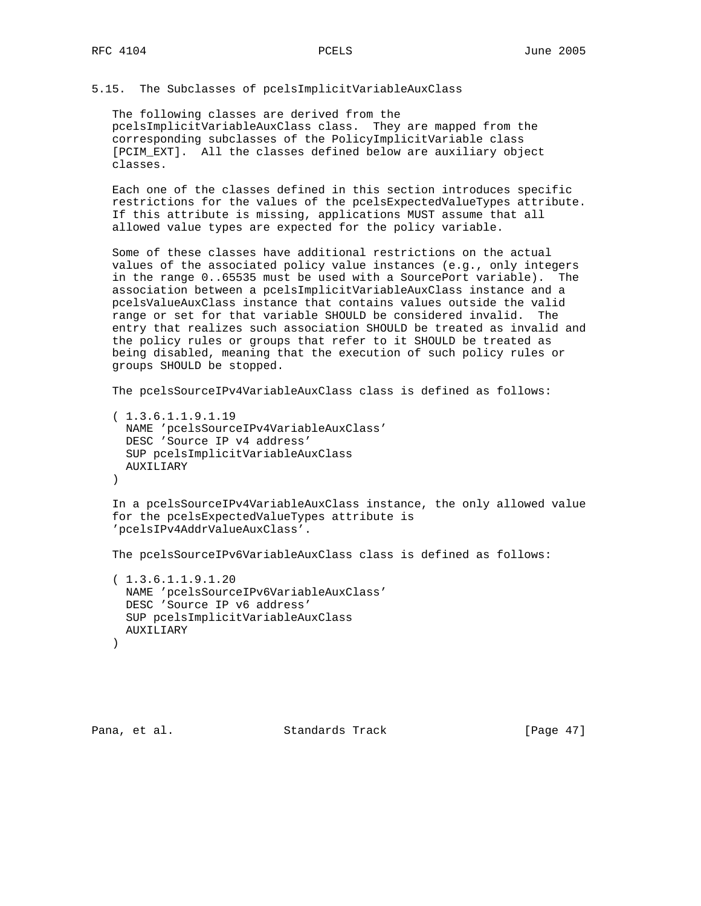# 5.15. The Subclasses of pcelsImplicitVariableAuxClass

 The following classes are derived from the pcelsImplicitVariableAuxClass class. They are mapped from the corresponding subclasses of the PolicyImplicitVariable class [PCIM\_EXT]. All the classes defined below are auxiliary object classes.

 Each one of the classes defined in this section introduces specific restrictions for the values of the pcelsExpectedValueTypes attribute. If this attribute is missing, applications MUST assume that all allowed value types are expected for the policy variable.

 Some of these classes have additional restrictions on the actual values of the associated policy value instances (e.g., only integers in the range 0..65535 must be used with a SourcePort variable). The association between a pcelsImplicitVariableAuxClass instance and a pcelsValueAuxClass instance that contains values outside the valid range or set for that variable SHOULD be considered invalid. The entry that realizes such association SHOULD be treated as invalid and the policy rules or groups that refer to it SHOULD be treated as being disabled, meaning that the execution of such policy rules or groups SHOULD be stopped.

The pcelsSourceIPv4VariableAuxClass class is defined as follows:

```
 ( 1.3.6.1.1.9.1.19
  NAME 'pcelsSourceIPv4VariableAuxClass'
  DESC 'Source IP v4 address'
  SUP pcelsImplicitVariableAuxClass
  AUXILIARY
 )
```
 In a pcelsSourceIPv4VariableAuxClass instance, the only allowed value for the pcelsExpectedValueTypes attribute is 'pcelsIPv4AddrValueAuxClass'.

The pcelsSourceIPv6VariableAuxClass class is defined as follows:

```
 ( 1.3.6.1.1.9.1.20
  NAME 'pcelsSourceIPv6VariableAuxClass'
  DESC 'Source IP v6 address'
  SUP pcelsImplicitVariableAuxClass
  AUXILIARY
 )
```
Pana, et al. Standards Track [Page 47]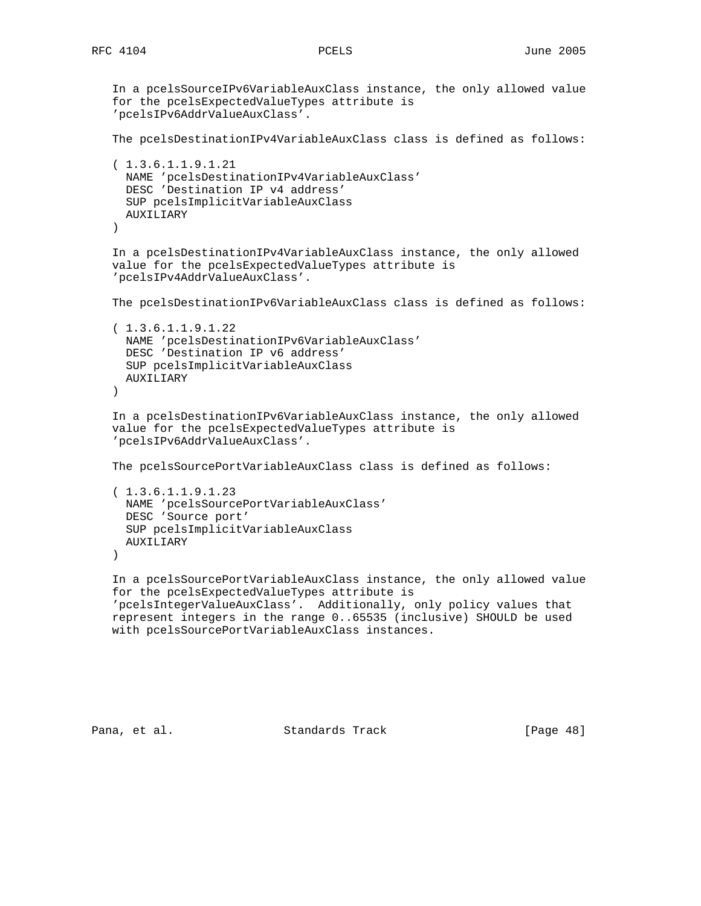```
 In a pcelsSourceIPv6VariableAuxClass instance, the only allowed value
 for the pcelsExpectedValueTypes attribute is
 'pcelsIPv6AddrValueAuxClass'.
 The pcelsDestinationIPv4VariableAuxClass class is defined as follows:
 ( 1.3.6.1.1.9.1.21
  NAME 'pcelsDestinationIPv4VariableAuxClass'
  DESC 'Destination IP v4 address'
  SUP pcelsImplicitVariableAuxClass
  AUXILIARY
 )
 In a pcelsDestinationIPv4VariableAuxClass instance, the only allowed
 value for the pcelsExpectedValueTypes attribute is
 'pcelsIPv4AddrValueAuxClass'.
 The pcelsDestinationIPv6VariableAuxClass class is defined as follows:
 ( 1.3.6.1.1.9.1.22
  NAME 'pcelsDestinationIPv6VariableAuxClass'
  DESC 'Destination IP v6 address'
  SUP pcelsImplicitVariableAuxClass
  AUXILIARY
 )
 In a pcelsDestinationIPv6VariableAuxClass instance, the only allowed
 value for the pcelsExpectedValueTypes attribute is
 'pcelsIPv6AddrValueAuxClass'.
 The pcelsSourcePortVariableAuxClass class is defined as follows:
 ( 1.3.6.1.1.9.1.23
  NAME 'pcelsSourcePortVariableAuxClass'
  DESC 'Source port'
  SUP pcelsImplicitVariableAuxClass
  AUXILIARY
 )
 In a pcelsSourcePortVariableAuxClass instance, the only allowed value
 for the pcelsExpectedValueTypes attribute is
 'pcelsIntegerValueAuxClass'. Additionally, only policy values that
 represent integers in the range 0..65535 (inclusive) SHOULD be used
 with pcelsSourcePortVariableAuxClass instances.
```
Pana, et al. Standards Track [Page 48]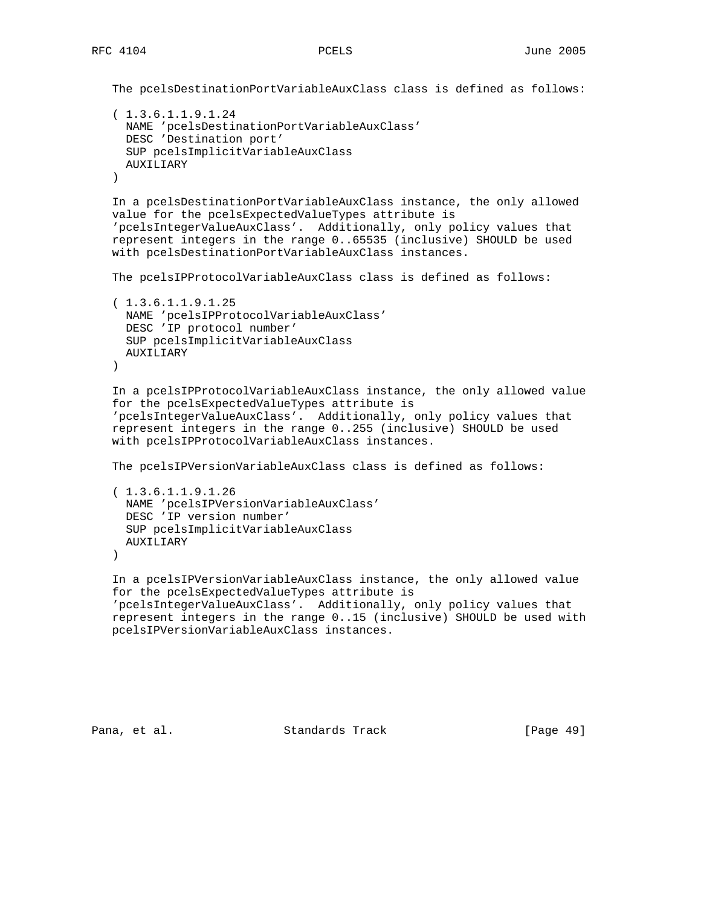```
 The pcelsDestinationPortVariableAuxClass class is defined as follows:
```

```
 ( 1.3.6.1.1.9.1.24
  NAME 'pcelsDestinationPortVariableAuxClass'
  DESC 'Destination port'
  SUP pcelsImplicitVariableAuxClass
  AUXILIARY
 )
```
 In a pcelsDestinationPortVariableAuxClass instance, the only allowed value for the pcelsExpectedValueTypes attribute is 'pcelsIntegerValueAuxClass'. Additionally, only policy values that represent integers in the range 0..65535 (inclusive) SHOULD be used with pcelsDestinationPortVariableAuxClass instances.

```
 The pcelsIPProtocolVariableAuxClass class is defined as follows:
```

```
 ( 1.3.6.1.1.9.1.25
  NAME 'pcelsIPProtocolVariableAuxClass'
   DESC 'IP protocol number'
  SUP pcelsImplicitVariableAuxClass
  AUXILIARY
\left( \right)
```

```
 In a pcelsIPProtocolVariableAuxClass instance, the only allowed value
 for the pcelsExpectedValueTypes attribute is
 'pcelsIntegerValueAuxClass'. Additionally, only policy values that
 represent integers in the range 0..255 (inclusive) SHOULD be used
 with pcelsIPProtocolVariableAuxClass instances.
```

```
 The pcelsIPVersionVariableAuxClass class is defined as follows:
```

```
 ( 1.3.6.1.1.9.1.26
  NAME 'pcelsIPVersionVariableAuxClass'
  DESC 'IP version number'
  SUP pcelsImplicitVariableAuxClass
  AUXILIARY
```
)

```
 In a pcelsIPVersionVariableAuxClass instance, the only allowed value
 for the pcelsExpectedValueTypes attribute is
 'pcelsIntegerValueAuxClass'. Additionally, only policy values that
 represent integers in the range 0..15 (inclusive) SHOULD be used with
 pcelsIPVersionVariableAuxClass instances.
```
Pana, et al. Standards Track [Page 49]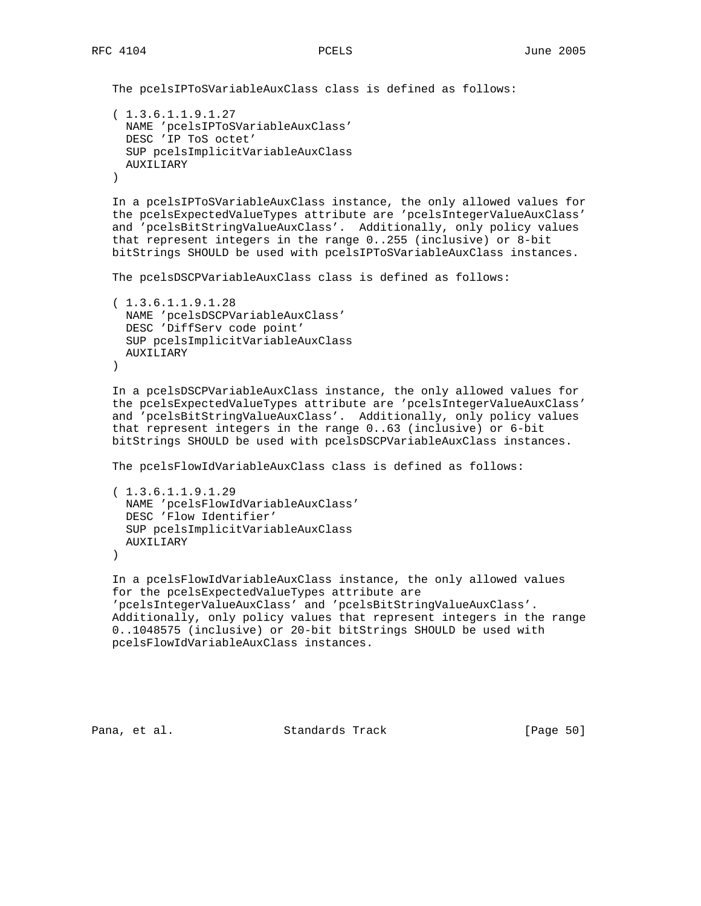The pcelsIPToSVariableAuxClass class is defined as follows:

```
 ( 1.3.6.1.1.9.1.27
  NAME 'pcelsIPToSVariableAuxClass'
  DESC 'IP ToS octet'
  SUP pcelsImplicitVariableAuxClass
  AUXILIARY
 )
```
 In a pcelsIPToSVariableAuxClass instance, the only allowed values for the pcelsExpectedValueTypes attribute are 'pcelsIntegerValueAuxClass' and 'pcelsBitStringValueAuxClass'. Additionally, only policy values that represent integers in the range 0..255 (inclusive) or 8-bit bitStrings SHOULD be used with pcelsIPToSVariableAuxClass instances.

The pcelsDSCPVariableAuxClass class is defined as follows:

```
 ( 1.3.6.1.1.9.1.28
  NAME 'pcelsDSCPVariableAuxClass'
  DESC 'DiffServ code point'
  SUP pcelsImplicitVariableAuxClass
  AUXILIARY
\left( \right)
```
 In a pcelsDSCPVariableAuxClass instance, the only allowed values for the pcelsExpectedValueTypes attribute are 'pcelsIntegerValueAuxClass' and 'pcelsBitStringValueAuxClass'. Additionally, only policy values that represent integers in the range 0..63 (inclusive) or 6-bit bitStrings SHOULD be used with pcelsDSCPVariableAuxClass instances.

The pcelsFlowIdVariableAuxClass class is defined as follows:

```
 ( 1.3.6.1.1.9.1.29
  NAME 'pcelsFlowIdVariableAuxClass'
  DESC 'Flow Identifier'
  SUP pcelsImplicitVariableAuxClass
  AUXILIARY
 )
```
 In a pcelsFlowIdVariableAuxClass instance, the only allowed values for the pcelsExpectedValueTypes attribute are 'pcelsIntegerValueAuxClass' and 'pcelsBitStringValueAuxClass'. Additionally, only policy values that represent integers in the range 0..1048575 (inclusive) or 20-bit bitStrings SHOULD be used with pcelsFlowIdVariableAuxClass instances.

Pana, et al. Standards Track [Page 50]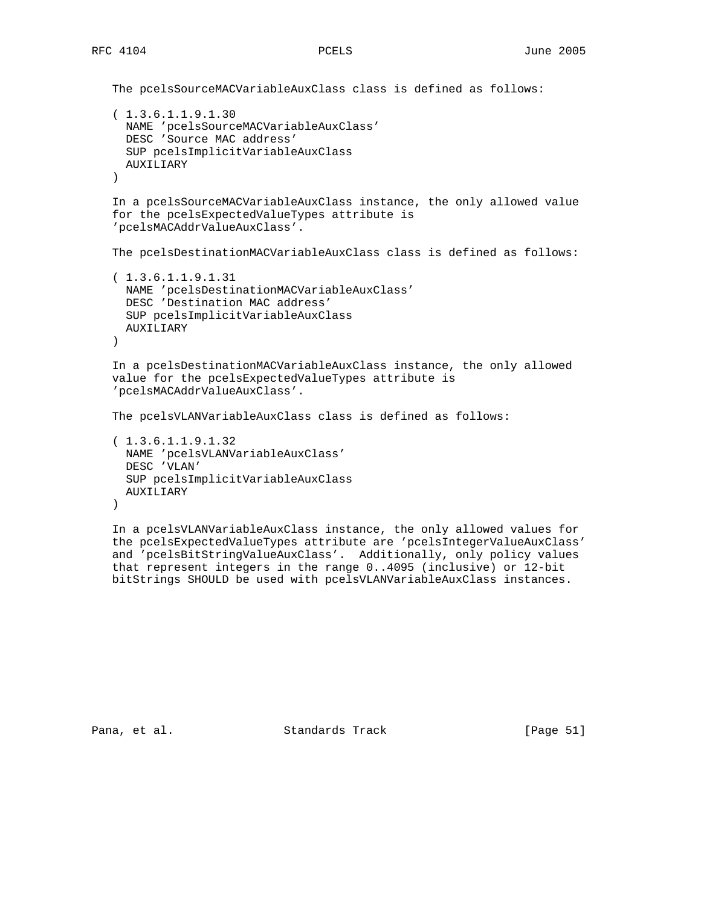```
 The pcelsSourceMACVariableAuxClass class is defined as follows:
 ( 1.3.6.1.1.9.1.30
  NAME 'pcelsSourceMACVariableAuxClass'
  DESC 'Source MAC address'
  SUP pcelsImplicitVariableAuxClass
  AUXILIARY
 )
 In a pcelsSourceMACVariableAuxClass instance, the only allowed value
 for the pcelsExpectedValueTypes attribute is
 'pcelsMACAddrValueAuxClass'.
 The pcelsDestinationMACVariableAuxClass class is defined as follows:
 ( 1.3.6.1.1.9.1.31
  NAME 'pcelsDestinationMACVariableAuxClass'
  DESC 'Destination MAC address'
  SUP pcelsImplicitVariableAuxClass
  AUXILIARY
 )
 In a pcelsDestinationMACVariableAuxClass instance, the only allowed
 value for the pcelsExpectedValueTypes attribute is
 'pcelsMACAddrValueAuxClass'.
 The pcelsVLANVariableAuxClass class is defined as follows:
 ( 1.3.6.1.1.9.1.32
  NAME 'pcelsVLANVariableAuxClass'
  DESC 'VLAN'
  SUP pcelsImplicitVariableAuxClass
  AUXILIARY
 )
```
 In a pcelsVLANVariableAuxClass instance, the only allowed values for the pcelsExpectedValueTypes attribute are 'pcelsIntegerValueAuxClass' and 'pcelsBitStringValueAuxClass'. Additionally, only policy values that represent integers in the range 0..4095 (inclusive) or 12-bit bitStrings SHOULD be used with pcelsVLANVariableAuxClass instances.

Pana, et al. Standards Track [Page 51]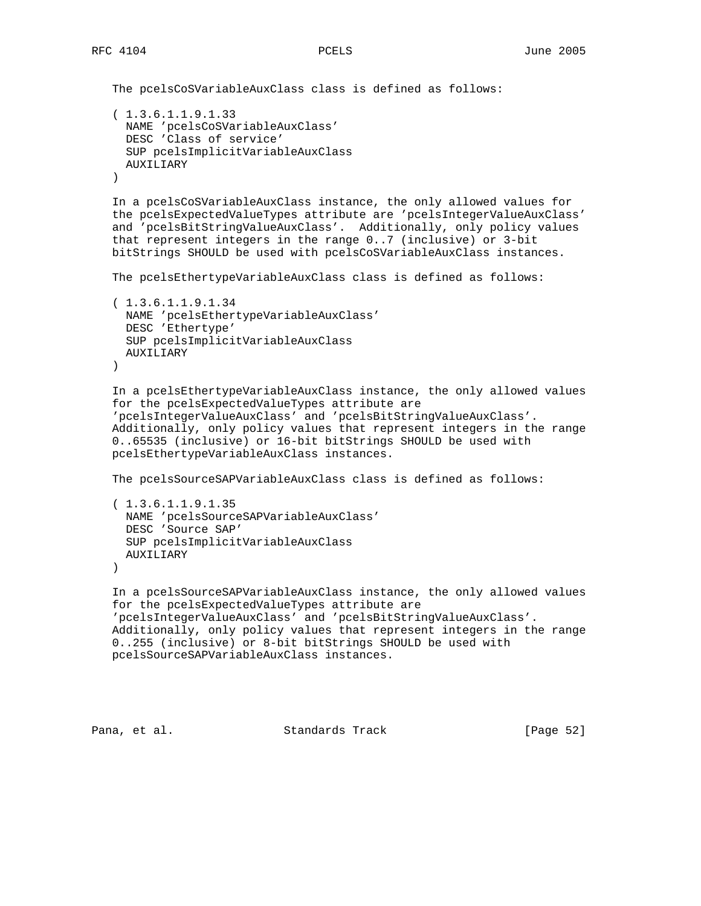```
 The pcelsCoSVariableAuxClass class is defined as follows:
 ( 1.3.6.1.1.9.1.33
   NAME 'pcelsCoSVariableAuxClass'
   DESC 'Class of service'
  SUP pcelsImplicitVariableAuxClass
  AUXILIARY
 )
 In a pcelsCoSVariableAuxClass instance, the only allowed values for
 the pcelsExpectedValueTypes attribute are 'pcelsIntegerValueAuxClass'
 and 'pcelsBitStringValueAuxClass'. Additionally, only policy values
 that represent integers in the range 0..7 (inclusive) or 3-bit
 bitStrings SHOULD be used with pcelsCoSVariableAuxClass instances.
 The pcelsEthertypeVariableAuxClass class is defined as follows:
 ( 1.3.6.1.1.9.1.34
  NAME 'pcelsEthertypeVariableAuxClass'
  DESC 'Ethertype'
  SUP pcelsImplicitVariableAuxClass
  AUXILIARY
\left( \right) In a pcelsEthertypeVariableAuxClass instance, the only allowed values
 for the pcelsExpectedValueTypes attribute are
 'pcelsIntegerValueAuxClass' and 'pcelsBitStringValueAuxClass'.
 Additionally, only policy values that represent integers in the range
 0..65535 (inclusive) or 16-bit bitStrings SHOULD be used with
 pcelsEthertypeVariableAuxClass instances.
 The pcelsSourceSAPVariableAuxClass class is defined as follows:
 ( 1.3.6.1.1.9.1.35
  NAME 'pcelsSourceSAPVariableAuxClass'
  DESC 'Source SAP'
  SUP pcelsImplicitVariableAuxClass
   AUXILIARY
 )
 In a pcelsSourceSAPVariableAuxClass instance, the only allowed values
 for the pcelsExpectedValueTypes attribute are
 'pcelsIntegerValueAuxClass' and 'pcelsBitStringValueAuxClass'.
 Additionally, only policy values that represent integers in the range
 0..255 (inclusive) or 8-bit bitStrings SHOULD be used with
 pcelsSourceSAPVariableAuxClass instances.
```

```
Pana, et al. Standards Track [Page 52]
```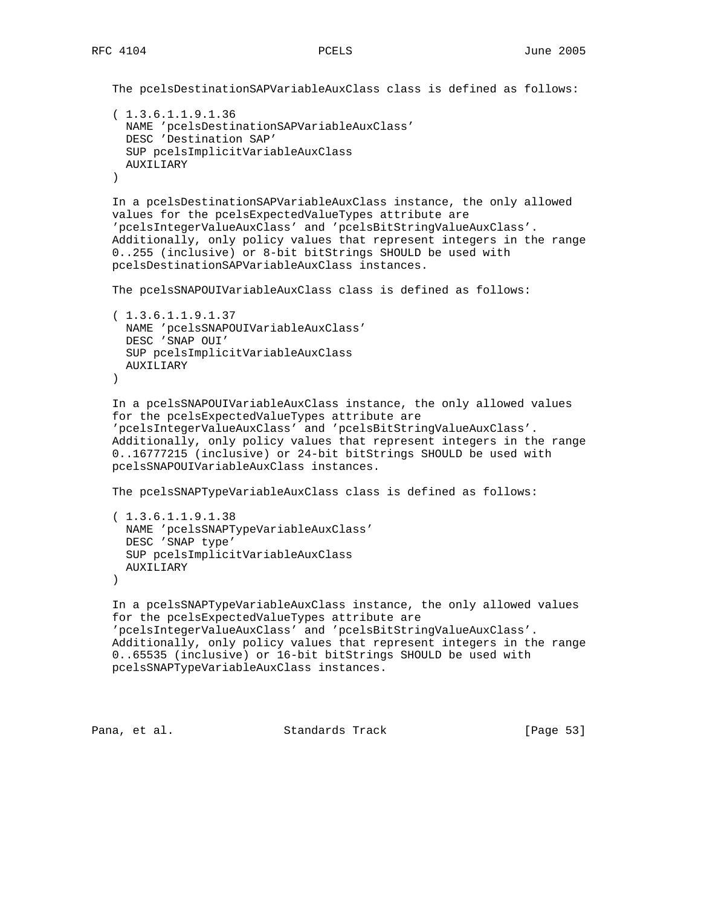```
 The pcelsDestinationSAPVariableAuxClass class is defined as follows:
```

```
 ( 1.3.6.1.1.9.1.36
  NAME 'pcelsDestinationSAPVariableAuxClass'
  DESC 'Destination SAP'
  SUP pcelsImplicitVariableAuxClass
  AUXILIARY
 )
```
 In a pcelsDestinationSAPVariableAuxClass instance, the only allowed values for the pcelsExpectedValueTypes attribute are 'pcelsIntegerValueAuxClass' and 'pcelsBitStringValueAuxClass'. Additionally, only policy values that represent integers in the range 0..255 (inclusive) or 8-bit bitStrings SHOULD be used with pcelsDestinationSAPVariableAuxClass instances.

The pcelsSNAPOUIVariableAuxClass class is defined as follows:

```
 ( 1.3.6.1.1.9.1.37
  NAME 'pcelsSNAPOUIVariableAuxClass'
  DESC 'SNAP OUI'
  SUP pcelsImplicitVariableAuxClass
  AUXILIARY
\lambda
```
 In a pcelsSNAPOUIVariableAuxClass instance, the only allowed values for the pcelsExpectedValueTypes attribute are 'pcelsIntegerValueAuxClass' and 'pcelsBitStringValueAuxClass'. Additionally, only policy values that represent integers in the range 0..16777215 (inclusive) or 24-bit bitStrings SHOULD be used with pcelsSNAPOUIVariableAuxClass instances.

The pcelsSNAPTypeVariableAuxClass class is defined as follows:

```
 ( 1.3.6.1.1.9.1.38
  NAME 'pcelsSNAPTypeVariableAuxClass'
  DESC 'SNAP type'
   SUP pcelsImplicitVariableAuxClass
  AUXILIARY
 )
```
 In a pcelsSNAPTypeVariableAuxClass instance, the only allowed values for the pcelsExpectedValueTypes attribute are 'pcelsIntegerValueAuxClass' and 'pcelsBitStringValueAuxClass'. Additionally, only policy values that represent integers in the range 0..65535 (inclusive) or 16-bit bitStrings SHOULD be used with pcelsSNAPTypeVariableAuxClass instances.

```
Pana, et al. Standards Track [Page 53]
```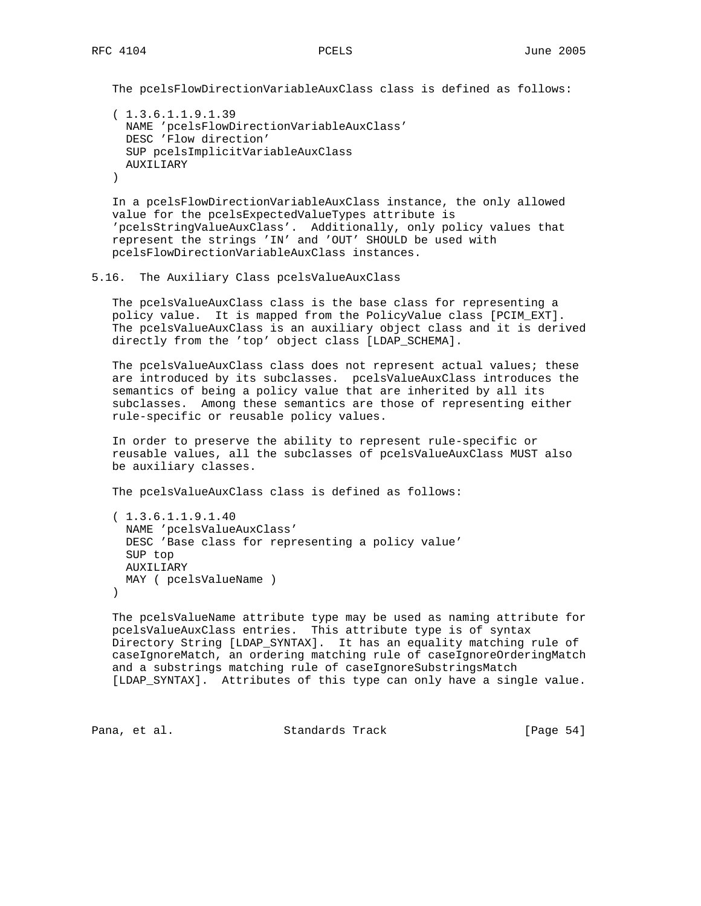The pcelsFlowDirectionVariableAuxClass class is defined as follows:

```
 ( 1.3.6.1.1.9.1.39
  NAME 'pcelsFlowDirectionVariableAuxClass'
  DESC 'Flow direction'
  SUP pcelsImplicitVariableAuxClass
  AUXILIARY
\lambda
```
 In a pcelsFlowDirectionVariableAuxClass instance, the only allowed value for the pcelsExpectedValueTypes attribute is 'pcelsStringValueAuxClass'. Additionally, only policy values that represent the strings 'IN' and 'OUT' SHOULD be used with pcelsFlowDirectionVariableAuxClass instances.

### 5.16. The Auxiliary Class pcelsValueAuxClass

 The pcelsValueAuxClass class is the base class for representing a policy value. It is mapped from the PolicyValue class [PCIM\_EXT]. The pcelsValueAuxClass is an auxiliary object class and it is derived directly from the 'top' object class [LDAP\_SCHEMA].

 The pcelsValueAuxClass class does not represent actual values; these are introduced by its subclasses. pcelsValueAuxClass introduces the semantics of being a policy value that are inherited by all its subclasses. Among these semantics are those of representing either rule-specific or reusable policy values.

 In order to preserve the ability to represent rule-specific or reusable values, all the subclasses of pcelsValueAuxClass MUST also be auxiliary classes.

The pcelsValueAuxClass class is defined as follows:

```
 ( 1.3.6.1.1.9.1.40
  NAME 'pcelsValueAuxClass'
   DESC 'Base class for representing a policy value'
   SUP top
   AUXILIARY
  MAY ( pcelsValueName )
 )
```
 The pcelsValueName attribute type may be used as naming attribute for pcelsValueAuxClass entries. This attribute type is of syntax Directory String [LDAP\_SYNTAX]. It has an equality matching rule of caseIgnoreMatch, an ordering matching rule of caseIgnoreOrderingMatch and a substrings matching rule of caseIgnoreSubstringsMatch [LDAP\_SYNTAX]. Attributes of this type can only have a single value.

```
Pana, et al. Standards Track [Page 54]
```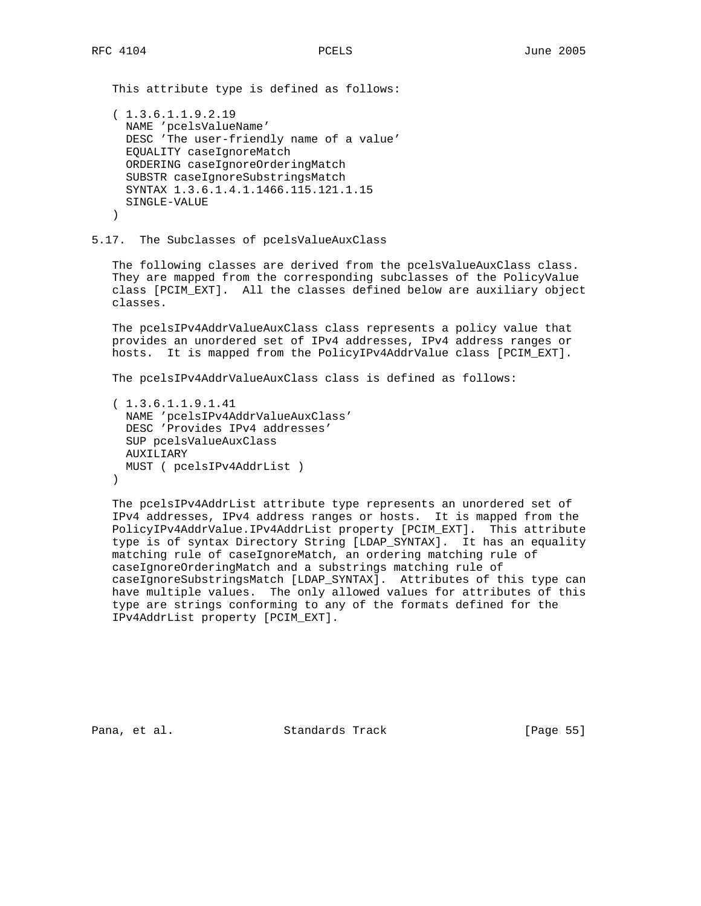This attribute type is defined as follows:

```
 ( 1.3.6.1.1.9.2.19
  NAME 'pcelsValueName'
  DESC 'The user-friendly name of a value'
  EQUALITY caseIgnoreMatch
  ORDERING caseIgnoreOrderingMatch
  SUBSTR caseIgnoreSubstringsMatch
  SYNTAX 1.3.6.1.4.1.1466.115.121.1.15
  SINGLE-VALUE
 )
```
### 5.17. The Subclasses of pcelsValueAuxClass

 The following classes are derived from the pcelsValueAuxClass class. They are mapped from the corresponding subclasses of the PolicyValue class [PCIM\_EXT]. All the classes defined below are auxiliary object classes.

 The pcelsIPv4AddrValueAuxClass class represents a policy value that provides an unordered set of IPv4 addresses, IPv4 address ranges or hosts. It is mapped from the PolicyIPv4AddrValue class [PCIM\_EXT].

The pcelsIPv4AddrValueAuxClass class is defined as follows:

```
 ( 1.3.6.1.1.9.1.41
   NAME 'pcelsIPv4AddrValueAuxClass'
  DESC 'Provides IPv4 addresses'
  SUP pcelsValueAuxClass
  AUXILIARY
  MUST ( pcelsIPv4AddrList )
 )
```
 The pcelsIPv4AddrList attribute type represents an unordered set of IPv4 addresses, IPv4 address ranges or hosts. It is mapped from the PolicyIPv4AddrValue.IPv4AddrList property [PCIM\_EXT]. This attribute type is of syntax Directory String [LDAP\_SYNTAX]. It has an equality matching rule of caseIgnoreMatch, an ordering matching rule of caseIgnoreOrderingMatch and a substrings matching rule of caseIgnoreSubstringsMatch [LDAP\_SYNTAX]. Attributes of this type can have multiple values. The only allowed values for attributes of this type are strings conforming to any of the formats defined for the IPv4AddrList property [PCIM\_EXT].

Pana, et al. Standards Track [Page 55]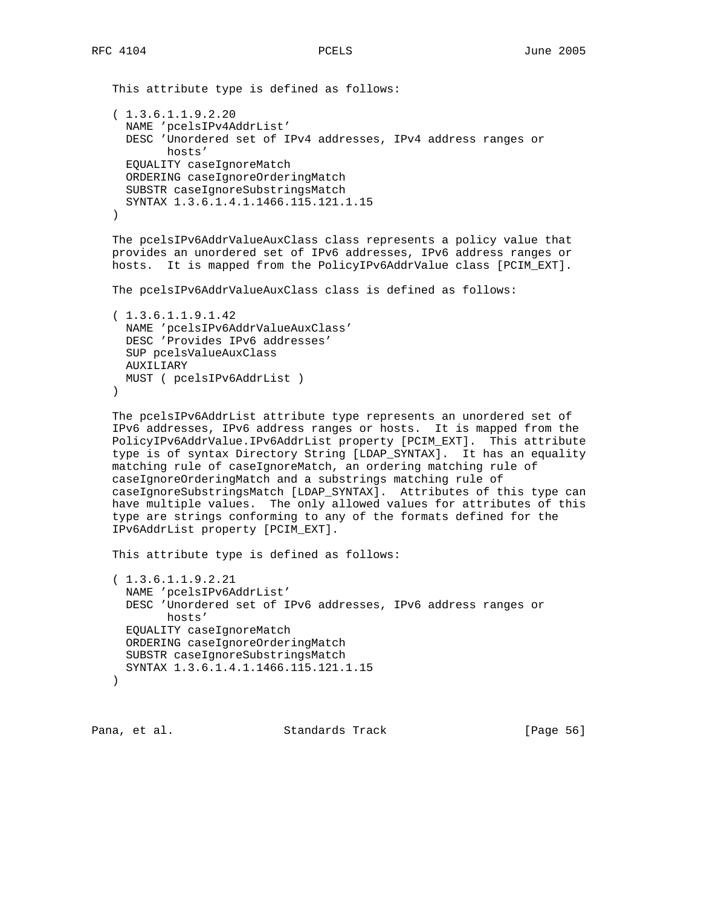```
 This attribute type is defined as follows:
 ( 1.3.6.1.1.9.2.20
  NAME 'pcelsIPv4AddrList'
  DESC 'Unordered set of IPv4 addresses, IPv4 address ranges or
         hosts'
  EQUALITY caseIgnoreMatch
  ORDERING caseIgnoreOrderingMatch
  SUBSTR caseIgnoreSubstringsMatch
  SYNTAX 1.3.6.1.4.1.1466.115.121.1.15
 )
```
 The pcelsIPv6AddrValueAuxClass class represents a policy value that provides an unordered set of IPv6 addresses, IPv6 address ranges or hosts. It is mapped from the PolicyIPv6AddrValue class [PCIM\_EXT].

The pcelsIPv6AddrValueAuxClass class is defined as follows:

```
 ( 1.3.6.1.1.9.1.42
  NAME 'pcelsIPv6AddrValueAuxClass'
  DESC 'Provides IPv6 addresses'
  SUP pcelsValueAuxClass
  AUXILIARY
  MUST ( pcelsIPv6AddrList )
 )
```
 The pcelsIPv6AddrList attribute type represents an unordered set of IPv6 addresses, IPv6 address ranges or hosts. It is mapped from the PolicyIPv6AddrValue.IPv6AddrList property [PCIM\_EXT]. This attribute type is of syntax Directory String [LDAP\_SYNTAX]. It has an equality matching rule of caseIgnoreMatch, an ordering matching rule of caseIgnoreOrderingMatch and a substrings matching rule of caseIgnoreSubstringsMatch [LDAP\_SYNTAX]. Attributes of this type can have multiple values. The only allowed values for attributes of this type are strings conforming to any of the formats defined for the IPv6AddrList property [PCIM\_EXT].

This attribute type is defined as follows:

 ( 1.3.6.1.1.9.2.21 NAME 'pcelsIPv6AddrList' DESC 'Unordered set of IPv6 addresses, IPv6 address ranges or hosts' EQUALITY caseIgnoreMatch ORDERING caseIgnoreOrderingMatch SUBSTR caseIgnoreSubstringsMatch SYNTAX 1.3.6.1.4.1.1466.115.121.1.15 )

Pana, et al. Standards Track [Page 56]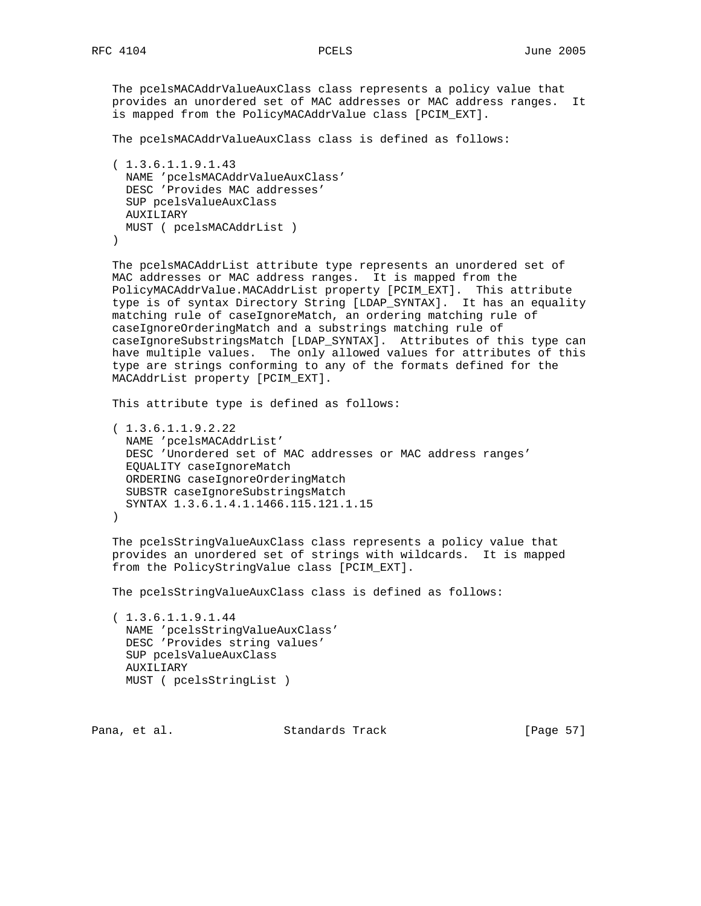The pcelsMACAddrValueAuxClass class represents a policy value that provides an unordered set of MAC addresses or MAC address ranges. It is mapped from the PolicyMACAddrValue class [PCIM\_EXT].

The pcelsMACAddrValueAuxClass class is defined as follows:

```
 ( 1.3.6.1.1.9.1.43
  NAME 'pcelsMACAddrValueAuxClass'
  DESC 'Provides MAC addresses'
  SUP pcelsValueAuxClass
  AUXILIARY
  MUST ( pcelsMACAddrList )
 )
```
 The pcelsMACAddrList attribute type represents an unordered set of MAC addresses or MAC address ranges. It is mapped from the PolicyMACAddrValue.MACAddrList property [PCIM\_EXT]. This attribute type is of syntax Directory String [LDAP\_SYNTAX]. It has an equality matching rule of caseIgnoreMatch, an ordering matching rule of caseIgnoreOrderingMatch and a substrings matching rule of caseIgnoreSubstringsMatch [LDAP\_SYNTAX]. Attributes of this type can have multiple values. The only allowed values for attributes of this type are strings conforming to any of the formats defined for the MACAddrList property [PCIM\_EXT].

This attribute type is defined as follows:

```
 ( 1.3.6.1.1.9.2.22
  NAME 'pcelsMACAddrList'
  DESC 'Unordered set of MAC addresses or MAC address ranges'
  EQUALITY caseIgnoreMatch
  ORDERING caseIgnoreOrderingMatch
  SUBSTR caseIgnoreSubstringsMatch
  SYNTAX 1.3.6.1.4.1.1466.115.121.1.15
 )
```
 The pcelsStringValueAuxClass class represents a policy value that provides an unordered set of strings with wildcards. It is mapped from the PolicyStringValue class [PCIM\_EXT].

The pcelsStringValueAuxClass class is defined as follows:

 ( 1.3.6.1.1.9.1.44 NAME 'pcelsStringValueAuxClass' DESC 'Provides string values' SUP pcelsValueAuxClass AUXILIARY MUST ( pcelsStringList )

Pana, et al. Standards Track [Page 57]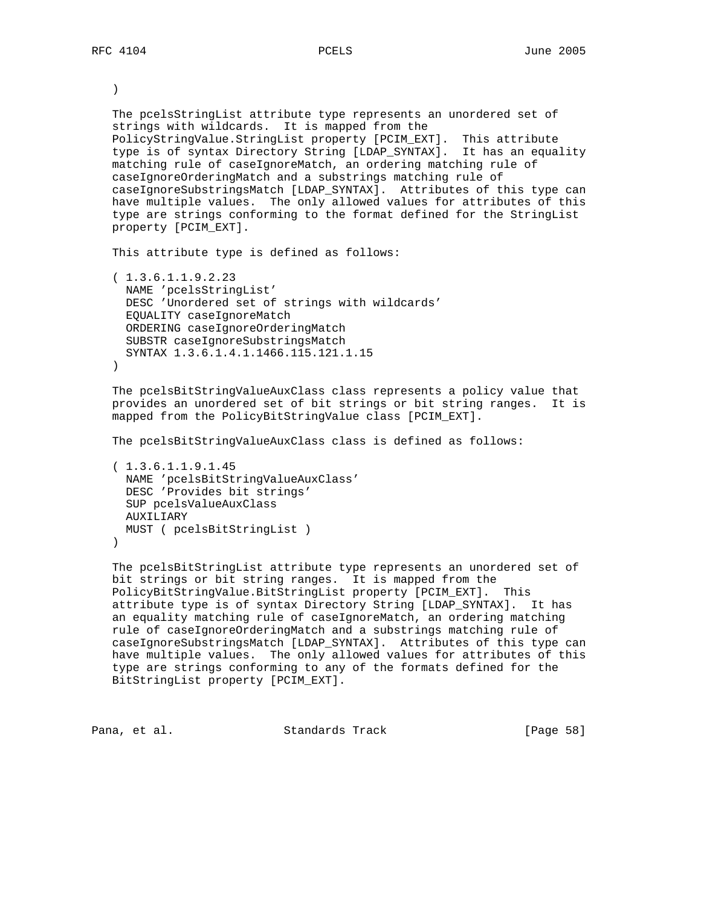)

 The pcelsStringList attribute type represents an unordered set of strings with wildcards. It is mapped from the PolicyStringValue.StringList property [PCIM\_EXT]. This attribute type is of syntax Directory String [LDAP\_SYNTAX]. It has an equality matching rule of caseIgnoreMatch, an ordering matching rule of caseIgnoreOrderingMatch and a substrings matching rule of caseIgnoreSubstringsMatch [LDAP\_SYNTAX]. Attributes of this type can have multiple values. The only allowed values for attributes of this type are strings conforming to the format defined for the StringList property [PCIM\_EXT].

This attribute type is defined as follows:

 ( 1.3.6.1.1.9.2.23 NAME 'pcelsStringList' DESC 'Unordered set of strings with wildcards' EQUALITY caseIgnoreMatch ORDERING caseIgnoreOrderingMatch SUBSTR caseIgnoreSubstringsMatch SYNTAX 1.3.6.1.4.1.1466.115.121.1.15  $\left( \right)$ 

 The pcelsBitStringValueAuxClass class represents a policy value that provides an unordered set of bit strings or bit string ranges. It is mapped from the PolicyBitStringValue class [PCIM\_EXT].

The pcelsBitStringValueAuxClass class is defined as follows:

```
 ( 1.3.6.1.1.9.1.45
  NAME 'pcelsBitStringValueAuxClass'
  DESC 'Provides bit strings'
  SUP pcelsValueAuxClass
  AUXILIARY
  MUST ( pcelsBitStringList )
 )
```
 The pcelsBitStringList attribute type represents an unordered set of bit strings or bit string ranges. It is mapped from the PolicyBitStringValue.BitStringList property [PCIM\_EXT]. This attribute type is of syntax Directory String [LDAP\_SYNTAX]. It has an equality matching rule of caseIgnoreMatch, an ordering matching rule of caseIgnoreOrderingMatch and a substrings matching rule of caseIgnoreSubstringsMatch [LDAP\_SYNTAX]. Attributes of this type can have multiple values. The only allowed values for attributes of this type are strings conforming to any of the formats defined for the BitStringList property [PCIM\_EXT].

Pana, et al. Standards Track [Page 58]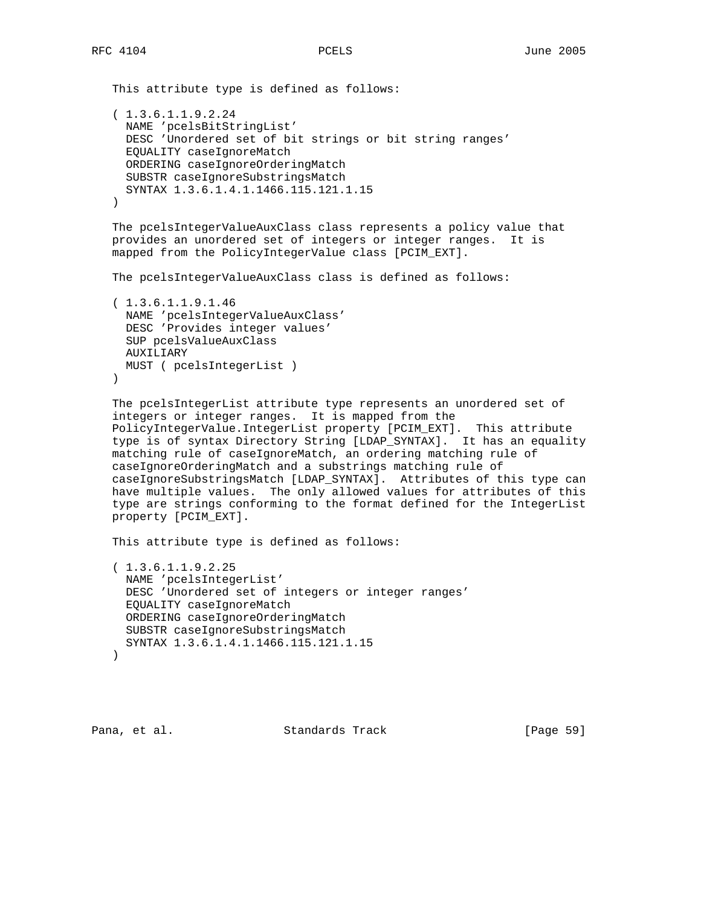This attribute type is defined as follows: ( 1.3.6.1.1.9.2.24

```
 NAME 'pcelsBitStringList'
  DESC 'Unordered set of bit strings or bit string ranges'
  EQUALITY caseIgnoreMatch
  ORDERING caseIgnoreOrderingMatch
  SUBSTR caseIgnoreSubstringsMatch
  SYNTAX 1.3.6.1.4.1.1466.115.121.1.15
 )
```
 The pcelsIntegerValueAuxClass class represents a policy value that provides an unordered set of integers or integer ranges. It is mapped from the PolicyIntegerValue class [PCIM\_EXT].

The pcelsIntegerValueAuxClass class is defined as follows:

```
 ( 1.3.6.1.1.9.1.46
  NAME 'pcelsIntegerValueAuxClass'
  DESC 'Provides integer values'
  SUP pcelsValueAuxClass
  AUXILIARY
  MUST ( pcelsIntegerList )
\lambda
```

```
 The pcelsIntegerList attribute type represents an unordered set of
 integers or integer ranges. It is mapped from the
 PolicyIntegerValue.IntegerList property [PCIM_EXT]. This attribute
 type is of syntax Directory String [LDAP_SYNTAX]. It has an equality
 matching rule of caseIgnoreMatch, an ordering matching rule of
 caseIgnoreOrderingMatch and a substrings matching rule of
 caseIgnoreSubstringsMatch [LDAP_SYNTAX]. Attributes of this type can
 have multiple values. The only allowed values for attributes of this
 type are strings conforming to the format defined for the IntegerList
 property [PCIM_EXT].
```
This attribute type is defined as follows:

```
 ( 1.3.6.1.1.9.2.25
  NAME 'pcelsIntegerList'
  DESC 'Unordered set of integers or integer ranges'
  EQUALITY caseIgnoreMatch
  ORDERING caseIgnoreOrderingMatch
  SUBSTR caseIgnoreSubstringsMatch
  SYNTAX 1.3.6.1.4.1.1466.115.121.1.15
 )
```
Pana, et al. Standards Track [Page 59]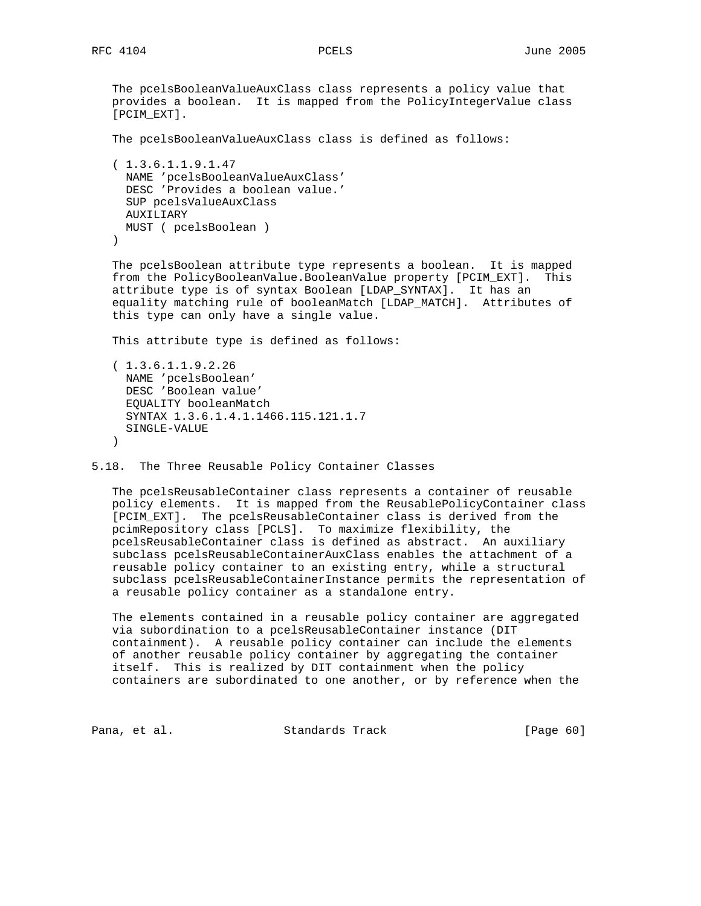# The pcelsBooleanValueAuxClass class represents a policy value that provides a boolean. It is mapped from the PolicyIntegerValue class [PCIM\_EXT].

The pcelsBooleanValueAuxClass class is defined as follows:

```
 ( 1.3.6.1.1.9.1.47
  NAME 'pcelsBooleanValueAuxClass'
  DESC 'Provides a boolean value.'
  SUP pcelsValueAuxClass
  AUXILIARY
  MUST ( pcelsBoolean )
 )
```
 The pcelsBoolean attribute type represents a boolean. It is mapped from the PolicyBooleanValue.BooleanValue property [PCIM\_EXT]. This attribute type is of syntax Boolean [LDAP\_SYNTAX]. It has an equality matching rule of booleanMatch [LDAP\_MATCH]. Attributes of this type can only have a single value.

This attribute type is defined as follows:

```
 ( 1.3.6.1.1.9.2.26
  NAME 'pcelsBoolean'
  DESC 'Boolean value'
  EQUALITY booleanMatch
  SYNTAX 1.3.6.1.4.1.1466.115.121.1.7
  SINGLE-VALUE
 )
```
5.18. The Three Reusable Policy Container Classes

 The pcelsReusableContainer class represents a container of reusable policy elements. It is mapped from the ReusablePolicyContainer class [PCIM\_EXT]. The pcelsReusableContainer class is derived from the pcimRepository class [PCLS]. To maximize flexibility, the pcelsReusableContainer class is defined as abstract. An auxiliary subclass pcelsReusableContainerAuxClass enables the attachment of a reusable policy container to an existing entry, while a structural subclass pcelsReusableContainerInstance permits the representation of a reusable policy container as a standalone entry.

 The elements contained in a reusable policy container are aggregated via subordination to a pcelsReusableContainer instance (DIT containment). A reusable policy container can include the elements of another reusable policy container by aggregating the container itself. This is realized by DIT containment when the policy containers are subordinated to one another, or by reference when the

Pana, et al. Standards Track [Page 60]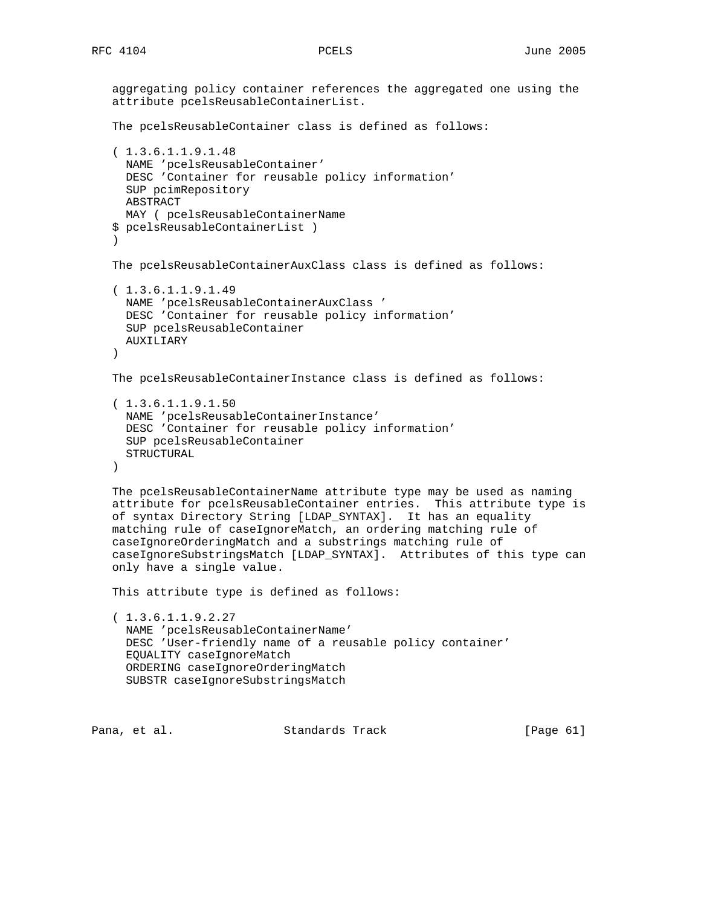```
 aggregating policy container references the aggregated one using the
   attribute pcelsReusableContainerList.
   The pcelsReusableContainer class is defined as follows:
   ( 1.3.6.1.1.9.1.48
     NAME 'pcelsReusableContainer'
     DESC 'Container for reusable policy information'
     SUP pcimRepository
     ABSTRACT
     MAY ( pcelsReusableContainerName
   $ pcelsReusableContainerList )
\overline{\phantom{a}} The pcelsReusableContainerAuxClass class is defined as follows:
   ( 1.3.6.1.1.9.1.49
     NAME 'pcelsReusableContainerAuxClass '
     DESC 'Container for reusable policy information'
     SUP pcelsReusableContainer
     AUXILIARY
   )
   The pcelsReusableContainerInstance class is defined as follows:
    ( 1.3.6.1.1.9.1.50
     NAME 'pcelsReusableContainerInstance'
     DESC 'Container for reusable policy information'
     SUP pcelsReusableContainer
     STRUCTURAL
   )
   The pcelsReusableContainerName attribute type may be used as naming
   attribute for pcelsReusableContainer entries. This attribute type is
   of syntax Directory String [LDAP_SYNTAX]. It has an equality
   matching rule of caseIgnoreMatch, an ordering matching rule of
   caseIgnoreOrderingMatch and a substrings matching rule of
   caseIgnoreSubstringsMatch [LDAP_SYNTAX]. Attributes of this type can
   only have a single value.
   This attribute type is defined as follows:
   ( 1.3.6.1.1.9.2.27
     NAME 'pcelsReusableContainerName'
     DESC 'User-friendly name of a reusable policy container'
     EQUALITY caseIgnoreMatch
     ORDERING caseIgnoreOrderingMatch
     SUBSTR caseIgnoreSubstringsMatch
```
Pana, et al. Standards Track [Page 61]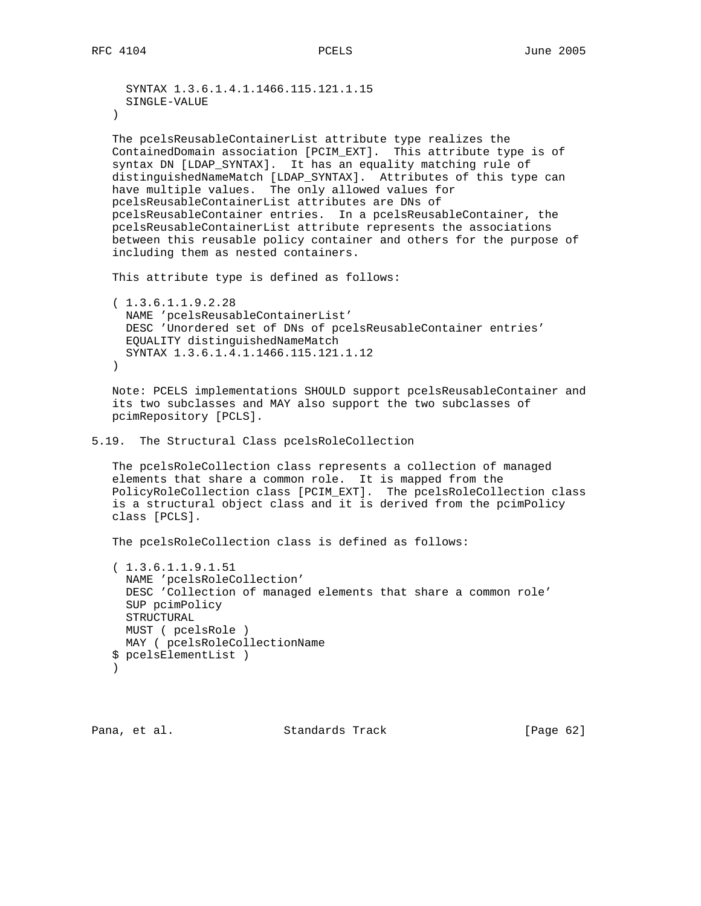```
 SYNTAX 1.3.6.1.4.1.1466.115.121.1.15
      SINGLE-VALUE
    )
    The pcelsReusableContainerList attribute type realizes the
    ContainedDomain association [PCIM_EXT]. This attribute type is of
    syntax DN [LDAP_SYNTAX]. It has an equality matching rule of
    distinguishedNameMatch [LDAP_SYNTAX]. Attributes of this type can
   have multiple values. The only allowed values for
   pcelsReusableContainerList attributes are DNs of
   pcelsReusableContainer entries. In a pcelsReusableContainer, the
   pcelsReusableContainerList attribute represents the associations
   between this reusable policy container and others for the purpose of
    including them as nested containers.
   This attribute type is defined as follows:
    ( 1.3.6.1.1.9.2.28
     NAME 'pcelsReusableContainerList'
     DESC 'Unordered set of DNs of pcelsReusableContainer entries'
     EQUALITY distinguishedNameMatch
     SYNTAX 1.3.6.1.4.1.1466.115.121.1.12
   \left( \right) Note: PCELS implementations SHOULD support pcelsReusableContainer and
    its two subclasses and MAY also support the two subclasses of
   pcimRepository [PCLS].
5.19. The Structural Class pcelsRoleCollection
    The pcelsRoleCollection class represents a collection of managed
    elements that share a common role. It is mapped from the
    PolicyRoleCollection class [PCIM_EXT]. The pcelsRoleCollection class
    is a structural object class and it is derived from the pcimPolicy
   class [PCLS].
   The pcelsRoleCollection class is defined as follows:
    ( 1.3.6.1.1.9.1.51
     NAME 'pcelsRoleCollection'
     DESC 'Collection of managed elements that share a common role'
     SUP pcimPolicy
     STRUCTURAL
```

```
 $ pcelsElementList )
\overline{\phantom{a}}
```
MUST ( pcelsRole )

MAY ( pcelsRoleCollectionName

Pana, et al. Standards Track [Page 62]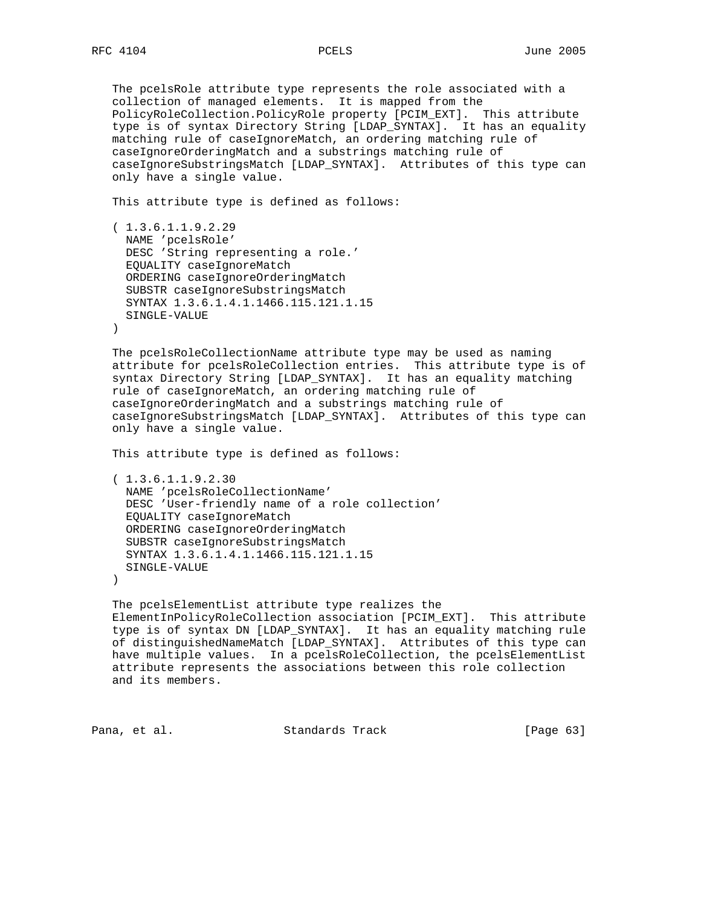The pcelsRole attribute type represents the role associated with a collection of managed elements. It is mapped from the PolicyRoleCollection.PolicyRole property [PCIM\_EXT]. This attribute type is of syntax Directory String [LDAP\_SYNTAX]. It has an equality matching rule of caseIgnoreMatch, an ordering matching rule of caseIgnoreOrderingMatch and a substrings matching rule of caseIgnoreSubstringsMatch [LDAP\_SYNTAX]. Attributes of this type can only have a single value.

This attribute type is defined as follows:

```
 ( 1.3.6.1.1.9.2.29
  NAME 'pcelsRole'
  DESC 'String representing a role.'
  EQUALITY caseIgnoreMatch
  ORDERING caseIgnoreOrderingMatch
  SUBSTR caseIgnoreSubstringsMatch
  SYNTAX 1.3.6.1.4.1.1466.115.121.1.15
  SINGLE-VALUE
```
)

 The pcelsRoleCollectionName attribute type may be used as naming attribute for pcelsRoleCollection entries. This attribute type is of syntax Directory String [LDAP\_SYNTAX]. It has an equality matching rule of caseIgnoreMatch, an ordering matching rule of caseIgnoreOrderingMatch and a substrings matching rule of caseIgnoreSubstringsMatch [LDAP\_SYNTAX]. Attributes of this type can only have a single value.

This attribute type is defined as follows:

```
 ( 1.3.6.1.1.9.2.30
  NAME 'pcelsRoleCollectionName'
  DESC 'User-friendly name of a role collection'
  EQUALITY caseIgnoreMatch
  ORDERING caseIgnoreOrderingMatch
  SUBSTR caseIgnoreSubstringsMatch
  SYNTAX 1.3.6.1.4.1.1466.115.121.1.15
  SINGLE-VALUE
```
)

```
 The pcelsElementList attribute type realizes the
 ElementInPolicyRoleCollection association [PCIM_EXT]. This attribute
 type is of syntax DN [LDAP_SYNTAX]. It has an equality matching rule
 of distinguishedNameMatch [LDAP_SYNTAX]. Attributes of this type can
 have multiple values. In a pcelsRoleCollection, the pcelsElementList
 attribute represents the associations between this role collection
 and its members.
```
Pana, et al. Standards Track [Page 63]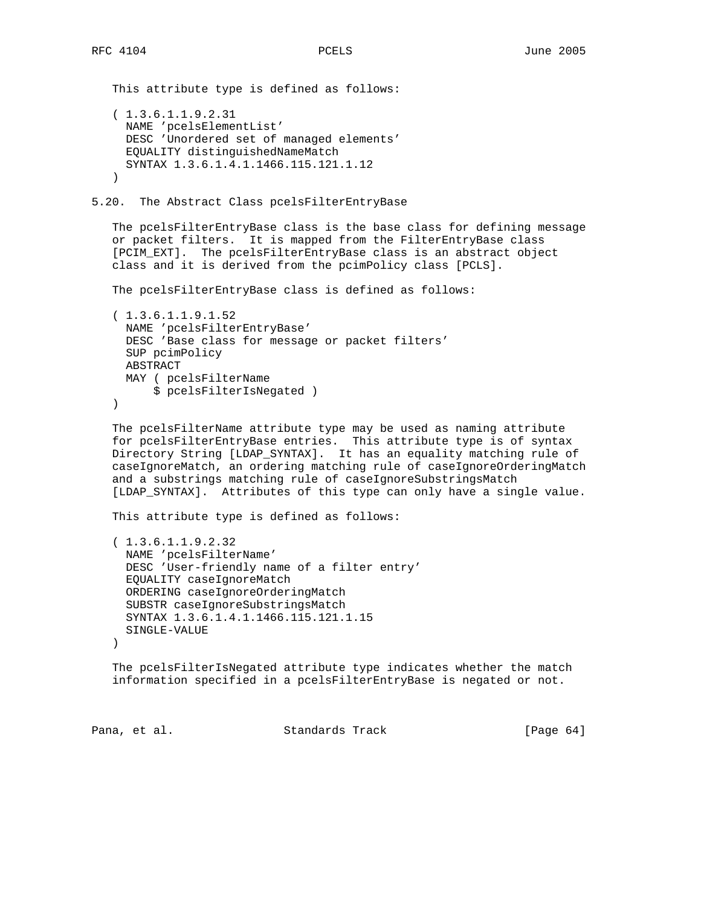```
 This attribute type is defined as follows:
    ( 1.3.6.1.1.9.2.31
     NAME 'pcelsElementList'
     DESC 'Unordered set of managed elements'
     EQUALITY distinguishedNameMatch
      SYNTAX 1.3.6.1.4.1.1466.115.121.1.12
    )
5.20. The Abstract Class pcelsFilterEntryBase
    The pcelsFilterEntryBase class is the base class for defining message
    or packet filters. It is mapped from the FilterEntryBase class
    [PCIM_EXT]. The pcelsFilterEntryBase class is an abstract object
    class and it is derived from the pcimPolicy class [PCLS].
   The pcelsFilterEntryBase class is defined as follows:
    ( 1.3.6.1.1.9.1.52
     NAME 'pcelsFilterEntryBase'
     DESC 'Base class for message or packet filters'
     SUP pcimPolicy
     ABSTRACT
     MAY ( pcelsFilterName
          $ pcelsFilterIsNegated )
    )
    The pcelsFilterName attribute type may be used as naming attribute
    for pcelsFilterEntryBase entries. This attribute type is of syntax
    Directory String [LDAP_SYNTAX]. It has an equality matching rule of
    caseIgnoreMatch, an ordering matching rule of caseIgnoreOrderingMatch
    and a substrings matching rule of caseIgnoreSubstringsMatch
    [LDAP_SYNTAX]. Attributes of this type can only have a single value.
    This attribute type is defined as follows:
    ( 1.3.6.1.1.9.2.32
      NAME 'pcelsFilterName'
      DESC 'User-friendly name of a filter entry'
      EQUALITY caseIgnoreMatch
      ORDERING caseIgnoreOrderingMatch
      SUBSTR caseIgnoreSubstringsMatch
      SYNTAX 1.3.6.1.4.1.1466.115.121.1.15
     SINGLE-VALUE
   \left( \right) The pcelsFilterIsNegated attribute type indicates whether the match
    information specified in a pcelsFilterEntryBase is negated or not.
```
Pana, et al. Standards Track [Page 64]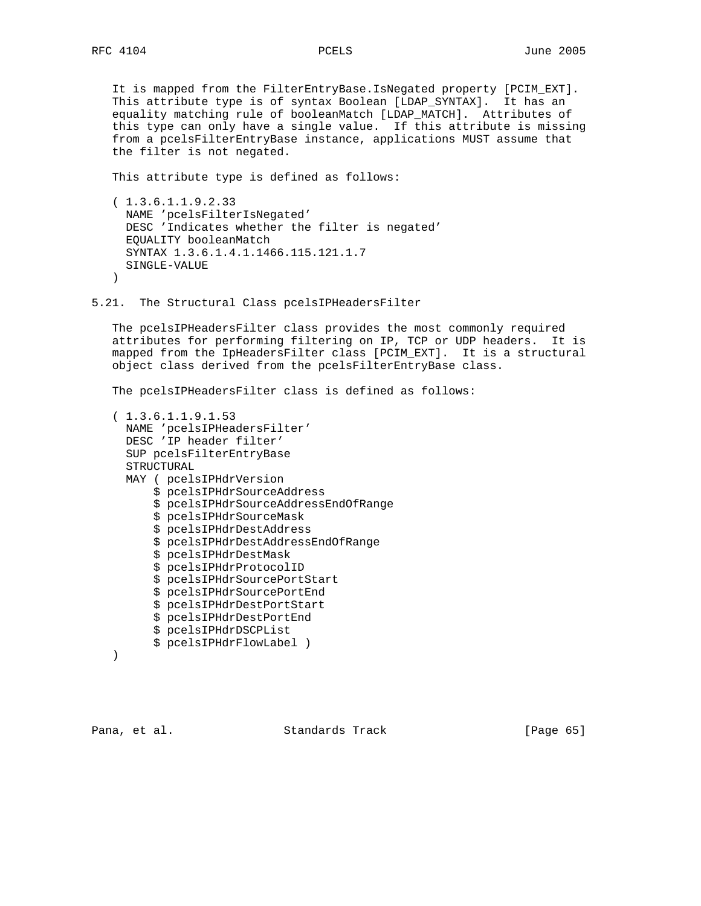It is mapped from the FilterEntryBase.IsNegated property [PCIM\_EXT]. This attribute type is of syntax Boolean [LDAP\_SYNTAX]. It has an equality matching rule of booleanMatch [LDAP\_MATCH]. Attributes of this type can only have a single value. If this attribute is missing from a pcelsFilterEntryBase instance, applications MUST assume that the filter is not negated.

This attribute type is defined as follows:

 ( 1.3.6.1.1.9.2.33 NAME 'pcelsFilterIsNegated' DESC 'Indicates whether the filter is negated' EQUALITY booleanMatch SYNTAX 1.3.6.1.4.1.1466.115.121.1.7 SINGLE-VALUE  $\lambda$ 

5.21. The Structural Class pcelsIPHeadersFilter

 The pcelsIPHeadersFilter class provides the most commonly required attributes for performing filtering on IP, TCP or UDP headers. It is mapped from the IpHeadersFilter class [PCIM\_EXT]. It is a structural object class derived from the pcelsFilterEntryBase class.

The pcelsIPHeadersFilter class is defined as follows:

```
 ( 1.3.6.1.1.9.1.53
  NAME 'pcelsIPHeadersFilter'
  DESC 'IP header filter'
  SUP pcelsFilterEntryBase
  STRUCTURAL
  MAY ( pcelsIPHdrVersion
       $ pcelsIPHdrSourceAddress
       $ pcelsIPHdrSourceAddressEndOfRange
       $ pcelsIPHdrSourceMask
       $ pcelsIPHdrDestAddress
       $ pcelsIPHdrDestAddressEndOfRange
       $ pcelsIPHdrDestMask
       $ pcelsIPHdrProtocolID
       $ pcelsIPHdrSourcePortStart
       $ pcelsIPHdrSourcePortEnd
       $ pcelsIPHdrDestPortStart
       $ pcelsIPHdrDestPortEnd
       $ pcelsIPHdrDSCPList
       $ pcelsIPHdrFlowLabel )
```

```
 )
```
Pana, et al. Standards Track [Page 65]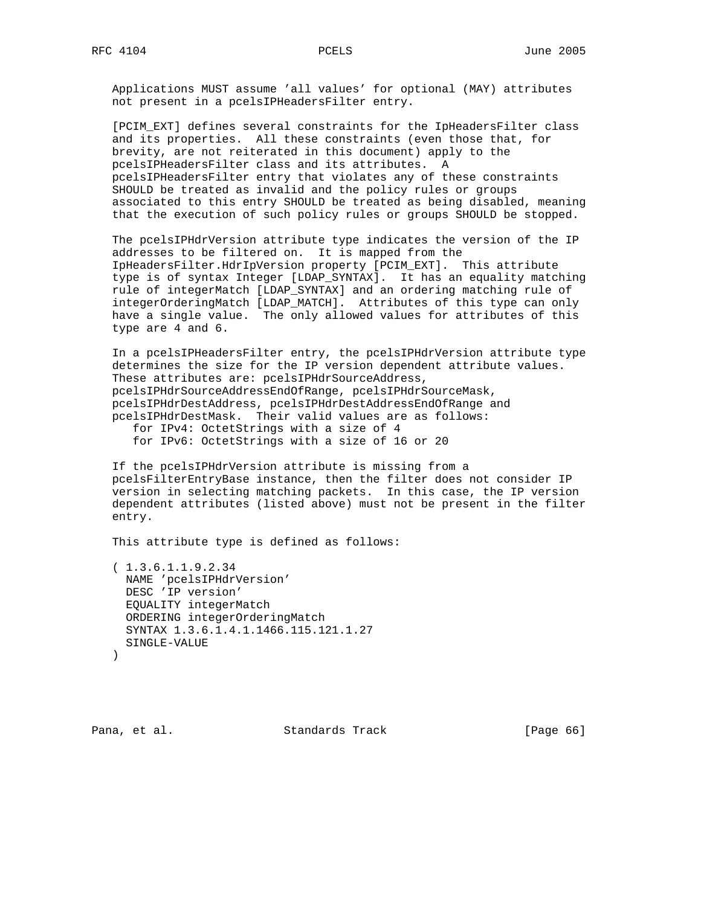Applications MUST assume 'all values' for optional (MAY) attributes not present in a pcelsIPHeadersFilter entry.

 [PCIM\_EXT] defines several constraints for the IpHeadersFilter class and its properties. All these constraints (even those that, for brevity, are not reiterated in this document) apply to the pcelsIPHeadersFilter class and its attributes. A pcelsIPHeadersFilter entry that violates any of these constraints SHOULD be treated as invalid and the policy rules or groups associated to this entry SHOULD be treated as being disabled, meaning that the execution of such policy rules or groups SHOULD be stopped.

 The pcelsIPHdrVersion attribute type indicates the version of the IP addresses to be filtered on. It is mapped from the IpHeadersFilter.HdrIpVersion property [PCIM\_EXT]. This attribute type is of syntax Integer [LDAP\_SYNTAX]. It has an equality matching rule of integerMatch [LDAP\_SYNTAX] and an ordering matching rule of integerOrderingMatch [LDAP\_MATCH]. Attributes of this type can only have a single value. The only allowed values for attributes of this type are 4 and 6.

 In a pcelsIPHeadersFilter entry, the pcelsIPHdrVersion attribute type determines the size for the IP version dependent attribute values. These attributes are: pcelsIPHdrSourceAddress, pcelsIPHdrSourceAddressEndOfRange, pcelsIPHdrSourceMask, pcelsIPHdrDestAddress, pcelsIPHdrDestAddressEndOfRange and pcelsIPHdrDestMask. Their valid values are as follows:

 for IPv4: OctetStrings with a size of 4 for IPv6: OctetStrings with a size of 16 or 20

 If the pcelsIPHdrVersion attribute is missing from a pcelsFilterEntryBase instance, then the filter does not consider IP version in selecting matching packets. In this case, the IP version dependent attributes (listed above) must not be present in the filter entry.

This attribute type is defined as follows:

 ( 1.3.6.1.1.9.2.34 NAME 'pcelsIPHdrVersion' DESC 'IP version' EQUALITY integerMatch ORDERING integerOrderingMatch SYNTAX 1.3.6.1.4.1.1466.115.121.1.27 SINGLE-VALUE )

Pana, et al. Standards Track [Page 66]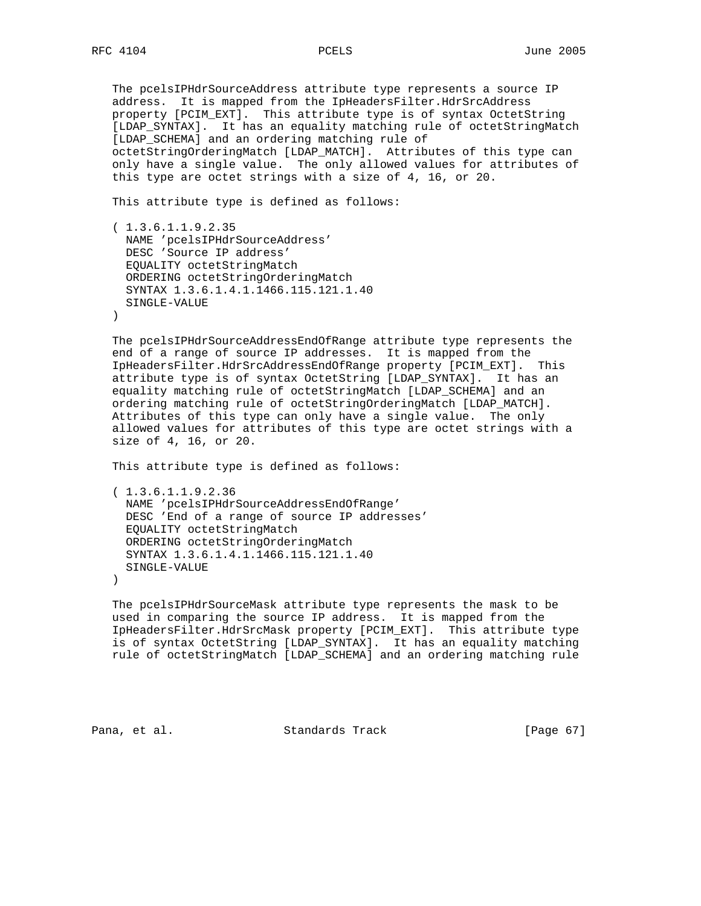The pcelsIPHdrSourceAddress attribute type represents a source IP address. It is mapped from the IpHeadersFilter.HdrSrcAddress property [PCIM\_EXT]. This attribute type is of syntax OctetString [LDAP\_SYNTAX]. It has an equality matching rule of octetStringMatch [LDAP\_SCHEMA] and an ordering matching rule of octetStringOrderingMatch [LDAP\_MATCH]. Attributes of this type can only have a single value. The only allowed values for attributes of this type are octet strings with a size of 4, 16, or 20.

This attribute type is defined as follows:

 ( 1.3.6.1.1.9.2.35 NAME 'pcelsIPHdrSourceAddress' DESC 'Source IP address' EQUALITY octetStringMatch ORDERING octetStringOrderingMatch SYNTAX 1.3.6.1.4.1.1466.115.121.1.40 SINGLE-VALUE  $)$ 

 The pcelsIPHdrSourceAddressEndOfRange attribute type represents the end of a range of source IP addresses. It is mapped from the IpHeadersFilter.HdrSrcAddressEndOfRange property [PCIM\_EXT]. This attribute type is of syntax OctetString [LDAP\_SYNTAX]. It has an equality matching rule of octetStringMatch [LDAP\_SCHEMA] and an ordering matching rule of octetStringOrderingMatch [LDAP\_MATCH]. Attributes of this type can only have a single value. The only allowed values for attributes of this type are octet strings with a size of 4, 16, or 20.

This attribute type is defined as follows:

 ( 1.3.6.1.1.9.2.36 NAME 'pcelsIPHdrSourceAddressEndOfRange' DESC 'End of a range of source IP addresses' EQUALITY octetStringMatch ORDERING octetStringOrderingMatch SYNTAX 1.3.6.1.4.1.1466.115.121.1.40 SINGLE-VALUE )

 The pcelsIPHdrSourceMask attribute type represents the mask to be used in comparing the source IP address. It is mapped from the IpHeadersFilter.HdrSrcMask property [PCIM\_EXT]. This attribute type is of syntax OctetString [LDAP\_SYNTAX]. It has an equality matching rule of octetStringMatch [LDAP\_SCHEMA] and an ordering matching rule

Pana, et al. Standards Track [Page 67]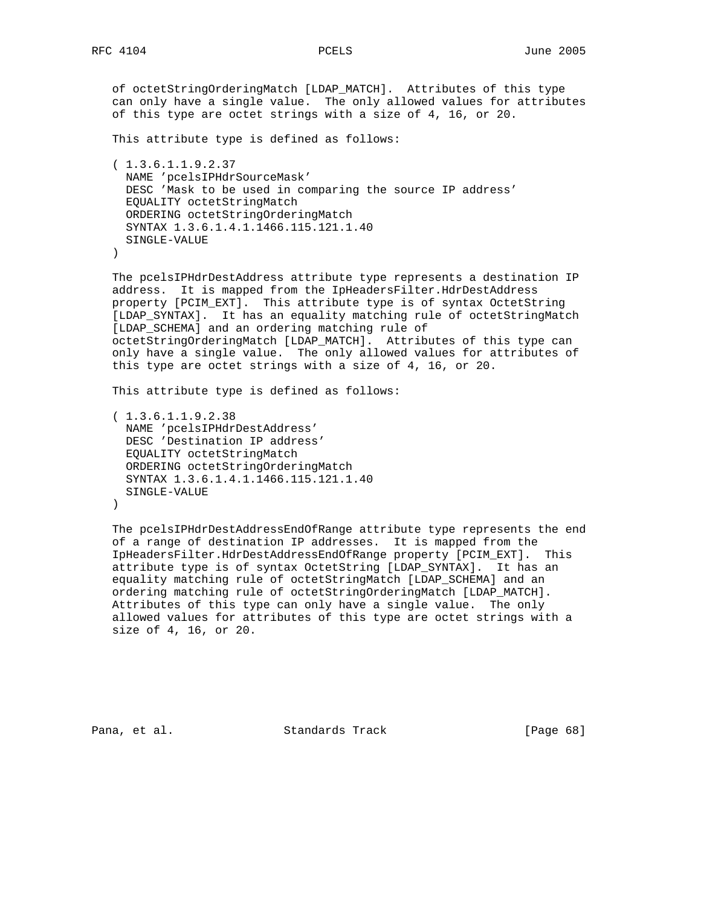of octetStringOrderingMatch [LDAP\_MATCH]. Attributes of this type can only have a single value. The only allowed values for attributes of this type are octet strings with a size of 4, 16, or 20.

This attribute type is defined as follows:

```
 ( 1.3.6.1.1.9.2.37
  NAME 'pcelsIPHdrSourceMask'
  DESC 'Mask to be used in comparing the source IP address'
  EQUALITY octetStringMatch
  ORDERING octetStringOrderingMatch
  SYNTAX 1.3.6.1.4.1.1466.115.121.1.40
  SINGLE-VALUE
```
)

 The pcelsIPHdrDestAddress attribute type represents a destination IP address. It is mapped from the IpHeadersFilter.HdrDestAddress property [PCIM\_EXT]. This attribute type is of syntax OctetString [LDAP\_SYNTAX]. It has an equality matching rule of octetStringMatch [LDAP\_SCHEMA] and an ordering matching rule of octetStringOrderingMatch [LDAP\_MATCH]. Attributes of this type can only have a single value. The only allowed values for attributes of this type are octet strings with a size of 4, 16, or 20.

This attribute type is defined as follows:

```
 ( 1.3.6.1.1.9.2.38
  NAME 'pcelsIPHdrDestAddress'
  DESC 'Destination IP address'
  EQUALITY octetStringMatch
  ORDERING octetStringOrderingMatch
  SYNTAX 1.3.6.1.4.1.1466.115.121.1.40
  SINGLE-VALUE
)
```
 The pcelsIPHdrDestAddressEndOfRange attribute type represents the end of a range of destination IP addresses. It is mapped from the IpHeadersFilter.HdrDestAddressEndOfRange property [PCIM\_EXT]. This attribute type is of syntax OctetString [LDAP\_SYNTAX]. It has an equality matching rule of octetStringMatch [LDAP\_SCHEMA] and an ordering matching rule of octetStringOrderingMatch [LDAP\_MATCH]. Attributes of this type can only have a single value. The only allowed values for attributes of this type are octet strings with a size of 4, 16, or 20.

Pana, et al. Standards Track [Page 68]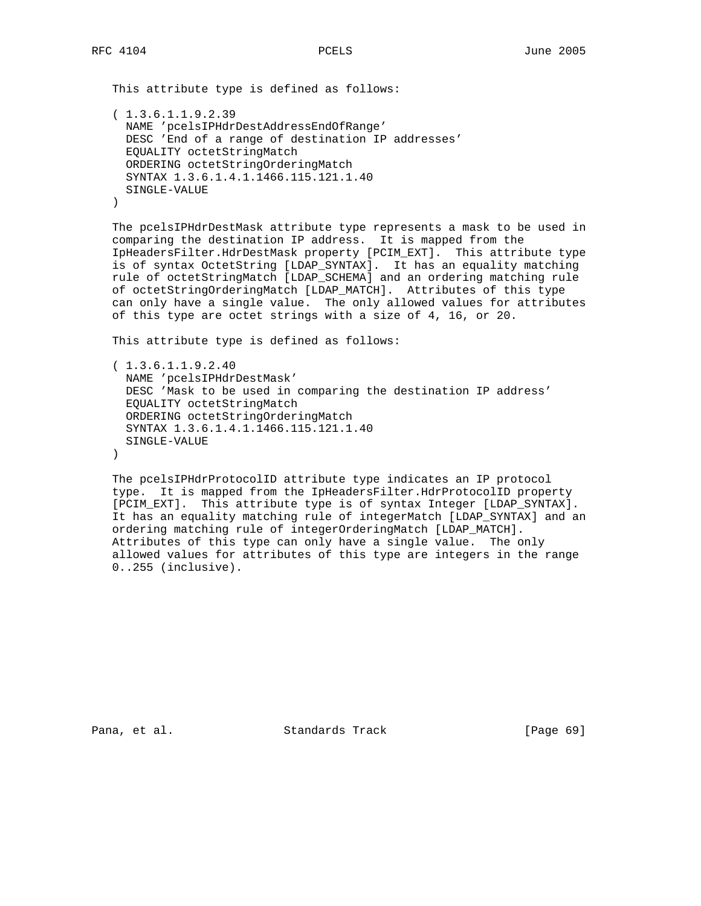This attribute type is defined as follows:

```
 ( 1.3.6.1.1.9.2.39
  NAME 'pcelsIPHdrDestAddressEndOfRange'
  DESC 'End of a range of destination IP addresses'
  EQUALITY octetStringMatch
  ORDERING octetStringOrderingMatch
  SYNTAX 1.3.6.1.4.1.1466.115.121.1.40
  SINGLE-VALUE
 )
```
 The pcelsIPHdrDestMask attribute type represents a mask to be used in comparing the destination IP address. It is mapped from the IpHeadersFilter.HdrDestMask property [PCIM\_EXT]. This attribute type is of syntax OctetString [LDAP\_SYNTAX]. It has an equality matching rule of octetStringMatch [LDAP\_SCHEMA] and an ordering matching rule of octetStringOrderingMatch [LDAP\_MATCH]. Attributes of this type can only have a single value. The only allowed values for attributes of this type are octet strings with a size of 4, 16, or 20.

This attribute type is defined as follows:

```
 ( 1.3.6.1.1.9.2.40
  NAME 'pcelsIPHdrDestMask'
  DESC 'Mask to be used in comparing the destination IP address'
   EQUALITY octetStringMatch
   ORDERING octetStringOrderingMatch
   SYNTAX 1.3.6.1.4.1.1466.115.121.1.40
  SINGLE-VALUE
\lambda
```
 The pcelsIPHdrProtocolID attribute type indicates an IP protocol type. It is mapped from the IpHeadersFilter.HdrProtocolID property [PCIM\_EXT]. This attribute type is of syntax Integer [LDAP\_SYNTAX]. It has an equality matching rule of integerMatch [LDAP\_SYNTAX] and an ordering matching rule of integerOrderingMatch [LDAP\_MATCH]. Attributes of this type can only have a single value. The only allowed values for attributes of this type are integers in the range 0..255 (inclusive).

Pana, et al. Standards Track [Page 69]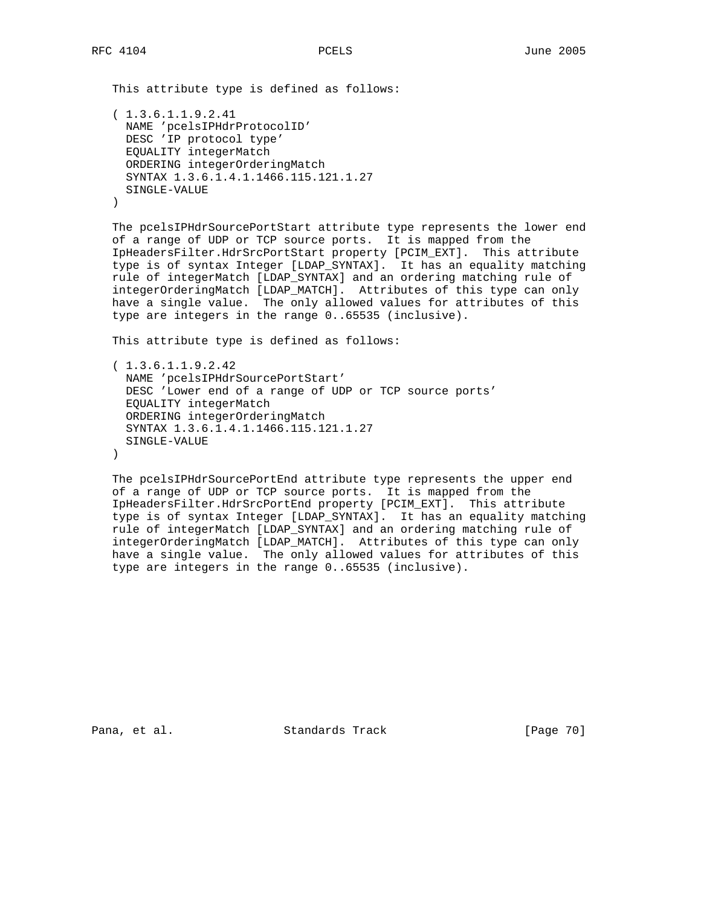This attribute type is defined as follows: ( 1.3.6.1.1.9.2.41 NAME 'pcelsIPHdrProtocolID' DESC 'IP protocol type' EQUALITY integerMatch ORDERING integerOrderingMatch SYNTAX 1.3.6.1.4.1.1466.115.121.1.27 SINGLE-VALUE

)

 The pcelsIPHdrSourcePortStart attribute type represents the lower end of a range of UDP or TCP source ports. It is mapped from the IpHeadersFilter.HdrSrcPortStart property [PCIM\_EXT]. This attribute type is of syntax Integer [LDAP\_SYNTAX]. It has an equality matching rule of integerMatch [LDAP\_SYNTAX] and an ordering matching rule of integerOrderingMatch [LDAP\_MATCH]. Attributes of this type can only have a single value. The only allowed values for attributes of this type are integers in the range 0..65535 (inclusive).

This attribute type is defined as follows:

 ( 1.3.6.1.1.9.2.42 NAME 'pcelsIPHdrSourcePortStart' DESC 'Lower end of a range of UDP or TCP source ports' EQUALITY integerMatch ORDERING integerOrderingMatch SYNTAX 1.3.6.1.4.1.1466.115.121.1.27 SINGLE-VALUE  $\left( \right)$ 

 The pcelsIPHdrSourcePortEnd attribute type represents the upper end of a range of UDP or TCP source ports. It is mapped from the IpHeadersFilter.HdrSrcPortEnd property [PCIM\_EXT]. This attribute type is of syntax Integer [LDAP\_SYNTAX]. It has an equality matching rule of integerMatch [LDAP\_SYNTAX] and an ordering matching rule of integerOrderingMatch [LDAP\_MATCH]. Attributes of this type can only have a single value. The only allowed values for attributes of this type are integers in the range 0..65535 (inclusive).

Pana, et al. Standards Track [Page 70]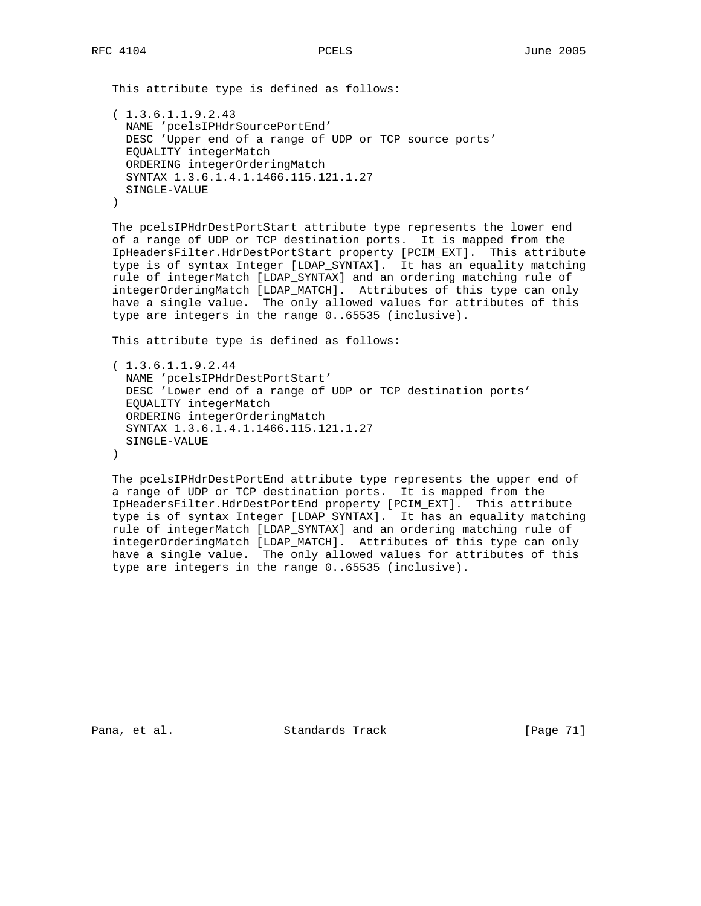This attribute type is defined as follows:

```
 ( 1.3.6.1.1.9.2.43
  NAME 'pcelsIPHdrSourcePortEnd'
  DESC 'Upper end of a range of UDP or TCP source ports'
  EQUALITY integerMatch
  ORDERING integerOrderingMatch
  SYNTAX 1.3.6.1.4.1.1466.115.121.1.27
  SINGLE-VALUE
 )
```
 The pcelsIPHdrDestPortStart attribute type represents the lower end of a range of UDP or TCP destination ports. It is mapped from the IpHeadersFilter.HdrDestPortStart property [PCIM\_EXT]. This attribute type is of syntax Integer [LDAP\_SYNTAX]. It has an equality matching rule of integerMatch [LDAP\_SYNTAX] and an ordering matching rule of integerOrderingMatch [LDAP\_MATCH]. Attributes of this type can only have a single value. The only allowed values for attributes of this type are integers in the range 0..65535 (inclusive).

This attribute type is defined as follows:

```
 ( 1.3.6.1.1.9.2.44
  NAME 'pcelsIPHdrDestPortStart'
  DESC 'Lower end of a range of UDP or TCP destination ports'
   EQUALITY integerMatch
   ORDERING integerOrderingMatch
   SYNTAX 1.3.6.1.4.1.1466.115.121.1.27
  SINGLE-VALUE
\lambda
```
 The pcelsIPHdrDestPortEnd attribute type represents the upper end of a range of UDP or TCP destination ports. It is mapped from the IpHeadersFilter.HdrDestPortEnd property [PCIM\_EXT]. This attribute type is of syntax Integer [LDAP\_SYNTAX]. It has an equality matching rule of integerMatch [LDAP\_SYNTAX] and an ordering matching rule of integerOrderingMatch [LDAP\_MATCH]. Attributes of this type can only have a single value. The only allowed values for attributes of this type are integers in the range 0..65535 (inclusive).

Pana, et al. Standards Track [Page 71]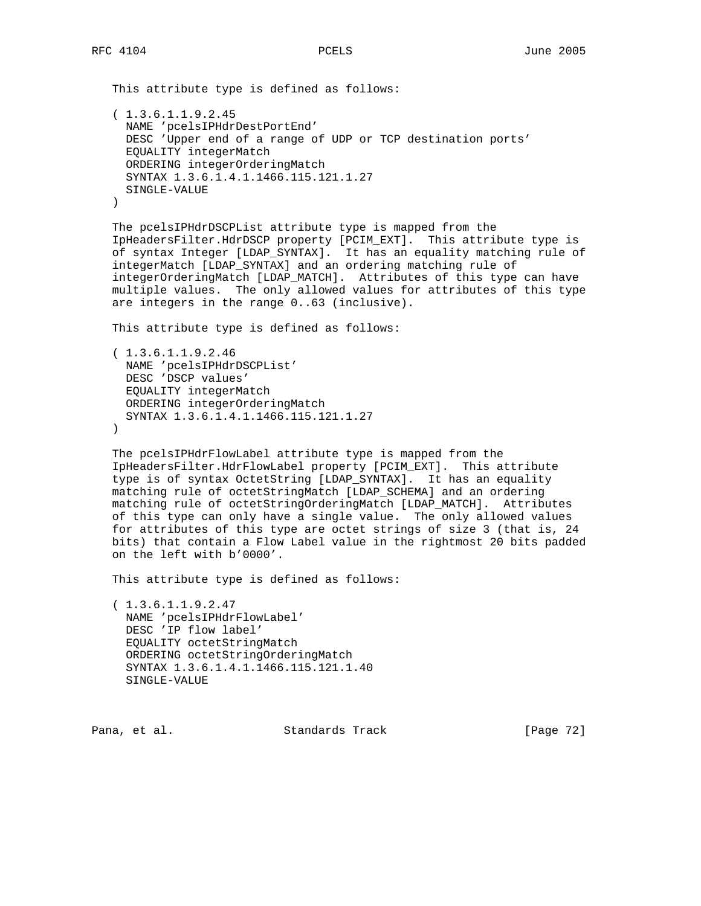This attribute type is defined as follows: ( 1.3.6.1.1.9.2.45 NAME 'pcelsIPHdrDestPortEnd' DESC 'Upper end of a range of UDP or TCP destination ports' EQUALITY integerMatch ORDERING integerOrderingMatch SYNTAX 1.3.6.1.4.1.1466.115.121.1.27 SINGLE-VALUE )

 The pcelsIPHdrDSCPList attribute type is mapped from the IpHeadersFilter.HdrDSCP property [PCIM\_EXT]. This attribute type is of syntax Integer [LDAP\_SYNTAX]. It has an equality matching rule of integerMatch [LDAP\_SYNTAX] and an ordering matching rule of integerOrderingMatch [LDAP\_MATCH]. Attributes of this type can have multiple values. The only allowed values for attributes of this type are integers in the range 0..63 (inclusive).

This attribute type is defined as follows:

```
 ( 1.3.6.1.1.9.2.46
  NAME 'pcelsIPHdrDSCPList'
  DESC 'DSCP values'
  EQUALITY integerMatch
  ORDERING integerOrderingMatch
  SYNTAX 1.3.6.1.4.1.1466.115.121.1.27
)
```
 The pcelsIPHdrFlowLabel attribute type is mapped from the IpHeadersFilter.HdrFlowLabel property [PCIM\_EXT]. This attribute type is of syntax OctetString [LDAP\_SYNTAX]. It has an equality matching rule of octetStringMatch [LDAP\_SCHEMA] and an ordering matching rule of octetStringOrderingMatch [LDAP\_MATCH]. Attributes of this type can only have a single value. The only allowed values for attributes of this type are octet strings of size 3 (that is, 24 bits) that contain a Flow Label value in the rightmost 20 bits padded on the left with b'0000'.

This attribute type is defined as follows:

 ( 1.3.6.1.1.9.2.47 NAME 'pcelsIPHdrFlowLabel' DESC 'IP flow label' EQUALITY octetStringMatch ORDERING octetStringOrderingMatch SYNTAX 1.3.6.1.4.1.1466.115.121.1.40 SINGLE-VALUE

Pana, et al. Standards Track [Page 72]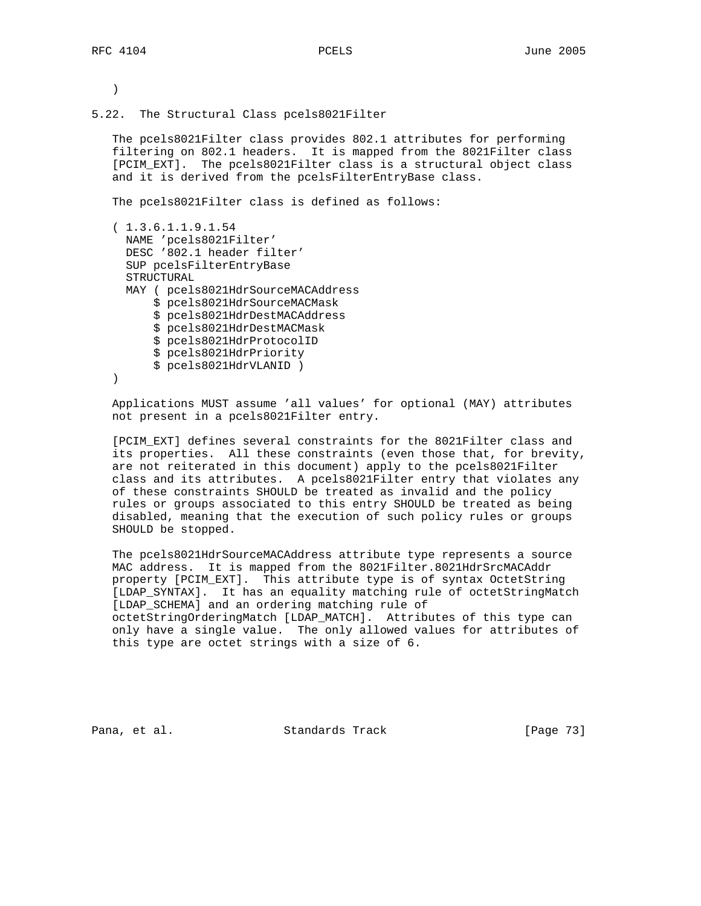)

5.22. The Structural Class pcels8021Filter

 The pcels8021Filter class provides 802.1 attributes for performing filtering on 802.1 headers. It is mapped from the 8021Filter class [PCIM\_EXT]. The pcels8021Filter class is a structural object class and it is derived from the pcelsFilterEntryBase class.

The pcels8021Filter class is defined as follows:

```
 ( 1.3.6.1.1.9.1.54
  NAME 'pcels8021Filter'
  DESC '802.1 header filter'
  SUP pcelsFilterEntryBase
  STRUCTURAL
  MAY ( pcels8021HdrSourceMACAddress
       $ pcels8021HdrSourceMACMask
       $ pcels8021HdrDestMACAddress
       $ pcels8021HdrDestMACMask
       $ pcels8021HdrProtocolID
       $ pcels8021HdrPriority
       $ pcels8021HdrVLANID )
 )
```
 Applications MUST assume 'all values' for optional (MAY) attributes not present in a pcels8021Filter entry.

 [PCIM\_EXT] defines several constraints for the 8021Filter class and its properties. All these constraints (even those that, for brevity, are not reiterated in this document) apply to the pcels8021Filter class and its attributes. A pcels8021Filter entry that violates any of these constraints SHOULD be treated as invalid and the policy rules or groups associated to this entry SHOULD be treated as being disabled, meaning that the execution of such policy rules or groups SHOULD be stopped.

 The pcels8021HdrSourceMACAddress attribute type represents a source MAC address. It is mapped from the 8021Filter.8021HdrSrcMACAddr property [PCIM\_EXT]. This attribute type is of syntax OctetString [LDAP\_SYNTAX]. It has an equality matching rule of octetStringMatch [LDAP\_SCHEMA] and an ordering matching rule of octetStringOrderingMatch [LDAP\_MATCH]. Attributes of this type can only have a single value. The only allowed values for attributes of this type are octet strings with a size of 6.

Pana, et al. Standards Track [Page 73]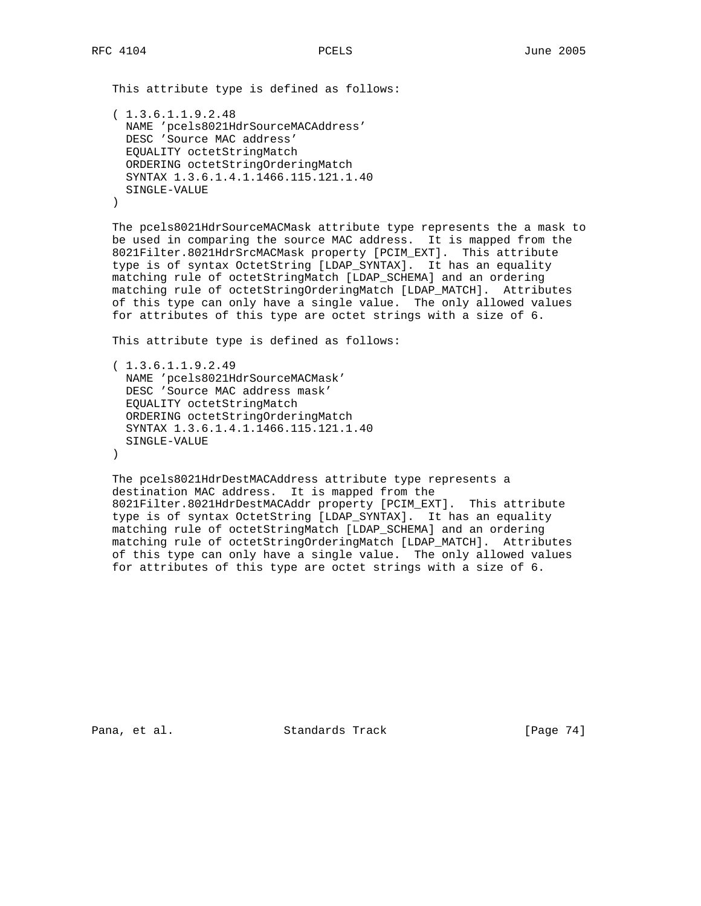This attribute type is defined as follows:

```
 ( 1.3.6.1.1.9.2.48
  NAME 'pcels8021HdrSourceMACAddress'
  DESC 'Source MAC address'
  EQUALITY octetStringMatch
  ORDERING octetStringOrderingMatch
  SYNTAX 1.3.6.1.4.1.1466.115.121.1.40
  SINGLE-VALUE
 )
```
 The pcels8021HdrSourceMACMask attribute type represents the a mask to be used in comparing the source MAC address. It is mapped from the 8021Filter.8021HdrSrcMACMask property [PCIM\_EXT]. This attribute type is of syntax OctetString [LDAP\_SYNTAX]. It has an equality matching rule of octetStringMatch [LDAP\_SCHEMA] and an ordering matching rule of octetStringOrderingMatch [LDAP\_MATCH]. Attributes of this type can only have a single value. The only allowed values for attributes of this type are octet strings with a size of 6.

This attribute type is defined as follows:

```
 ( 1.3.6.1.1.9.2.49
  NAME 'pcels8021HdrSourceMACMask'
  DESC 'Source MAC address mask'
   EQUALITY octetStringMatch
   ORDERING octetStringOrderingMatch
   SYNTAX 1.3.6.1.4.1.1466.115.121.1.40
  SINGLE-VALUE
\lambda
```
 The pcels8021HdrDestMACAddress attribute type represents a destination MAC address. It is mapped from the 8021Filter.8021HdrDestMACAddr property [PCIM\_EXT]. This attribute type is of syntax OctetString [LDAP\_SYNTAX]. It has an equality matching rule of octetStringMatch [LDAP\_SCHEMA] and an ordering matching rule of octetStringOrderingMatch [LDAP\_MATCH]. Attributes of this type can only have a single value. The only allowed values for attributes of this type are octet strings with a size of 6.

Pana, et al. Standards Track [Page 74]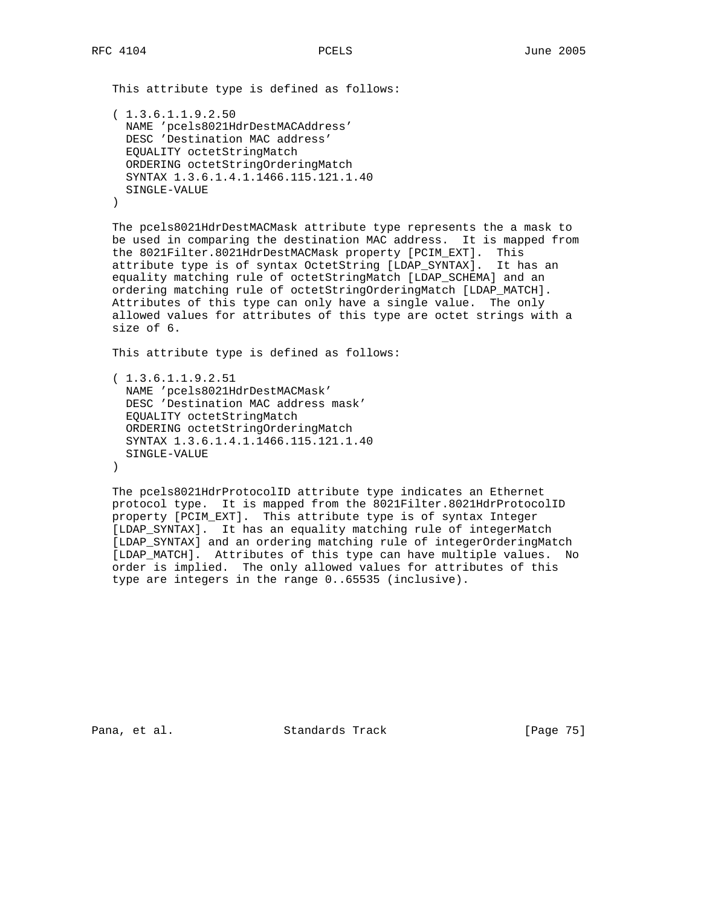This attribute type is defined as follows:

```
 ( 1.3.6.1.1.9.2.50
  NAME 'pcels8021HdrDestMACAddress'
  DESC 'Destination MAC address'
  EQUALITY octetStringMatch
  ORDERING octetStringOrderingMatch
  SYNTAX 1.3.6.1.4.1.1466.115.121.1.40
  SINGLE-VALUE
 )
```
 The pcels8021HdrDestMACMask attribute type represents the a mask to be used in comparing the destination MAC address. It is mapped from the 8021Filter.8021HdrDestMACMask property [PCIM\_EXT]. This attribute type is of syntax OctetString [LDAP\_SYNTAX]. It has an equality matching rule of octetStringMatch [LDAP\_SCHEMA] and an ordering matching rule of octetStringOrderingMatch [LDAP\_MATCH]. Attributes of this type can only have a single value. The only allowed values for attributes of this type are octet strings with a size of 6.

This attribute type is defined as follows:

```
 ( 1.3.6.1.1.9.2.51
  NAME 'pcels8021HdrDestMACMask'
  DESC 'Destination MAC address mask'
  EQUALITY octetStringMatch
  ORDERING octetStringOrderingMatch
  SYNTAX 1.3.6.1.4.1.1466.115.121.1.40
  SINGLE-VALUE
 )
```
 The pcels8021HdrProtocolID attribute type indicates an Ethernet protocol type. It is mapped from the 8021Filter.8021HdrProtocolID property [PCIM\_EXT]. This attribute type is of syntax Integer [LDAP\_SYNTAX]. It has an equality matching rule of integerMatch [LDAP\_SYNTAX] and an ordering matching rule of integerOrderingMatch [LDAP\_MATCH]. Attributes of this type can have multiple values. No order is implied. The only allowed values for attributes of this type are integers in the range 0..65535 (inclusive).

Pana, et al. Standards Track [Page 75]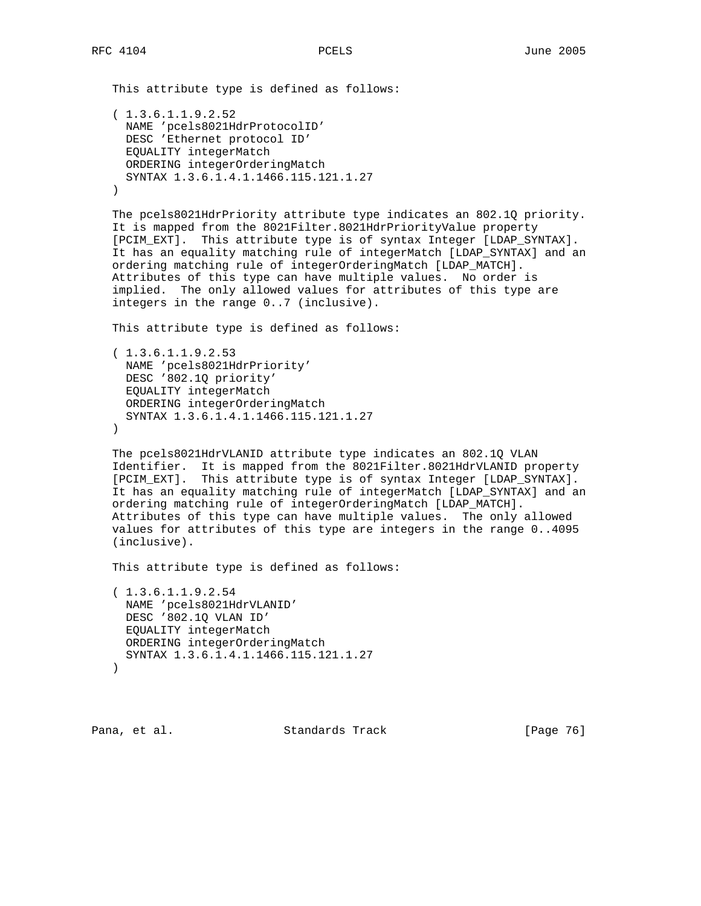This attribute type is defined as follows:

```
 ( 1.3.6.1.1.9.2.52
  NAME 'pcels8021HdrProtocolID'
  DESC 'Ethernet protocol ID'
  EQUALITY integerMatch
  ORDERING integerOrderingMatch
  SYNTAX 1.3.6.1.4.1.1466.115.121.1.27
\lambda
```
 The pcels8021HdrPriority attribute type indicates an 802.1Q priority. It is mapped from the 8021Filter.8021HdrPriorityValue property [PCIM\_EXT]. This attribute type is of syntax Integer [LDAP\_SYNTAX]. It has an equality matching rule of integerMatch [LDAP\_SYNTAX] and an ordering matching rule of integerOrderingMatch [LDAP\_MATCH]. Attributes of this type can have multiple values. No order is implied. The only allowed values for attributes of this type are integers in the range 0..7 (inclusive).

This attribute type is defined as follows:

```
 ( 1.3.6.1.1.9.2.53
  NAME 'pcels8021HdrPriority'
  DESC '802.1Q priority'
  EQUALITY integerMatch
  ORDERING integerOrderingMatch
  SYNTAX 1.3.6.1.4.1.1466.115.121.1.27
 )
```
 The pcels8021HdrVLANID attribute type indicates an 802.1Q VLAN Identifier. It is mapped from the 8021Filter.8021HdrVLANID property [PCIM\_EXT]. This attribute type is of syntax Integer [LDAP\_SYNTAX]. It has an equality matching rule of integerMatch [LDAP\_SYNTAX] and an ordering matching rule of integerOrderingMatch [LDAP\_MATCH]. Attributes of this type can have multiple values. The only allowed values for attributes of this type are integers in the range 0..4095 (inclusive).

This attribute type is defined as follows:

```
 ( 1.3.6.1.1.9.2.54
  NAME 'pcels8021HdrVLANID'
  DESC '802.1Q VLAN ID'
  EQUALITY integerMatch
  ORDERING integerOrderingMatch
  SYNTAX 1.3.6.1.4.1.1466.115.121.1.27
\left( \right)
```
Pana, et al. Standards Track [Page 76]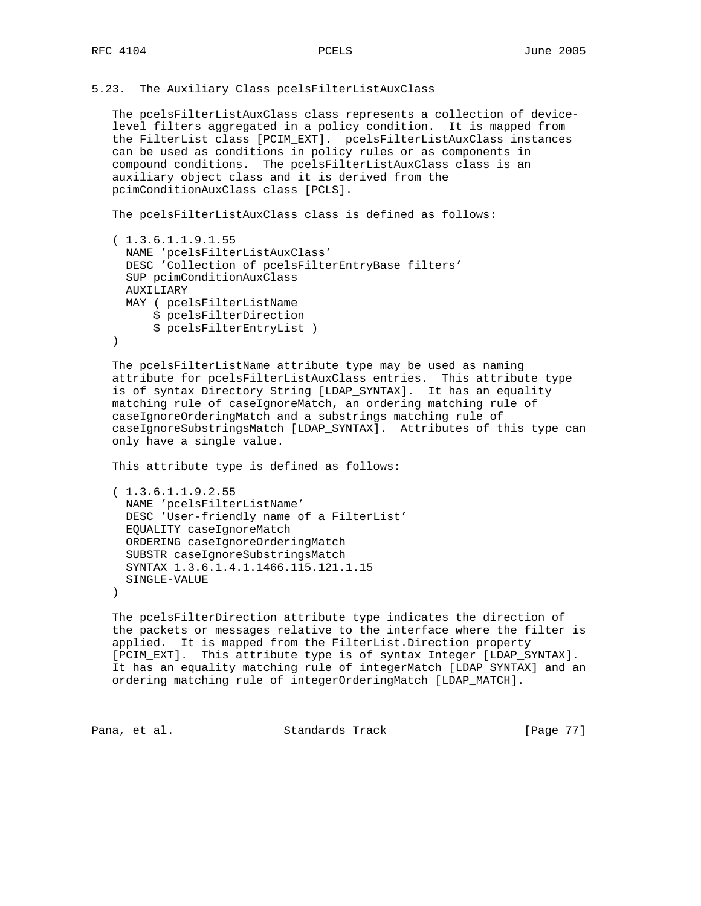5.23. The Auxiliary Class pcelsFilterListAuxClass

 The pcelsFilterListAuxClass class represents a collection of device level filters aggregated in a policy condition. It is mapped from the FilterList class [PCIM\_EXT]. pcelsFilterListAuxClass instances can be used as conditions in policy rules or as components in compound conditions. The pcelsFilterListAuxClass class is an auxiliary object class and it is derived from the pcimConditionAuxClass class [PCLS].

The pcelsFilterListAuxClass class is defined as follows:

```
 ( 1.3.6.1.1.9.1.55
  NAME 'pcelsFilterListAuxClass'
  DESC 'Collection of pcelsFilterEntryBase filters'
  SUP pcimConditionAuxClass
  AUXILIARY
  MAY ( pcelsFilterListName
      $ pcelsFilterDirection
       $ pcelsFilterEntryList )
 )
```
 The pcelsFilterListName attribute type may be used as naming attribute for pcelsFilterListAuxClass entries. This attribute type is of syntax Directory String [LDAP\_SYNTAX]. It has an equality matching rule of caseIgnoreMatch, an ordering matching rule of caseIgnoreOrderingMatch and a substrings matching rule of caseIgnoreSubstringsMatch [LDAP\_SYNTAX]. Attributes of this type can only have a single value.

This attribute type is defined as follows:

```
 ( 1.3.6.1.1.9.2.55
  NAME 'pcelsFilterListName'
  DESC 'User-friendly name of a FilterList'
  EQUALITY caseIgnoreMatch
  ORDERING caseIgnoreOrderingMatch
   SUBSTR caseIgnoreSubstringsMatch
  SYNTAX 1.3.6.1.4.1.1466.115.121.1.15
  SINGLE-VALUE
 )
```
 The pcelsFilterDirection attribute type indicates the direction of the packets or messages relative to the interface where the filter is applied. It is mapped from the FilterList.Direction property [PCIM\_EXT]. This attribute type is of syntax Integer [LDAP\_SYNTAX]. It has an equality matching rule of integerMatch [LDAP\_SYNTAX] and an ordering matching rule of integerOrderingMatch [LDAP\_MATCH].

Pana, et al. Standards Track [Page 77]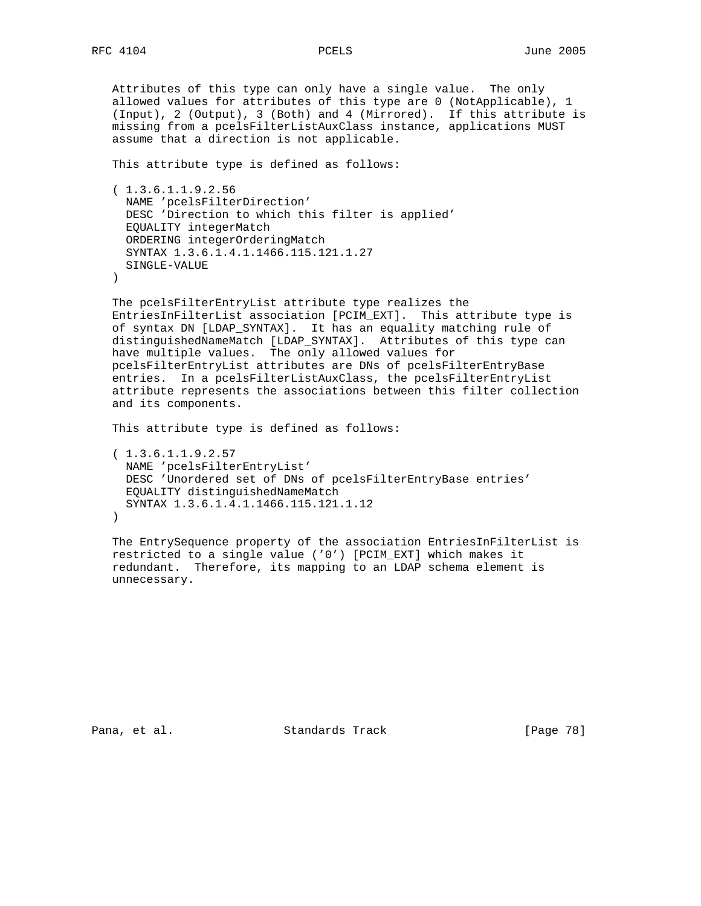Attributes of this type can only have a single value. The only allowed values for attributes of this type are 0 (NotApplicable), 1 (Input), 2 (Output), 3 (Both) and 4 (Mirrored). If this attribute is missing from a pcelsFilterListAuxClass instance, applications MUST assume that a direction is not applicable.

This attribute type is defined as follows:

 ( 1.3.6.1.1.9.2.56 NAME 'pcelsFilterDirection' DESC 'Direction to which this filter is applied' EQUALITY integerMatch ORDERING integerOrderingMatch SYNTAX 1.3.6.1.4.1.1466.115.121.1.27 SINGLE-VALUE  $\lambda$ 

 The pcelsFilterEntryList attribute type realizes the EntriesInFilterList association [PCIM\_EXT]. This attribute type is of syntax DN [LDAP\_SYNTAX]. It has an equality matching rule of distinguishedNameMatch [LDAP\_SYNTAX]. Attributes of this type can have multiple values. The only allowed values for pcelsFilterEntryList attributes are DNs of pcelsFilterEntryBase entries. In a pcelsFilterListAuxClass, the pcelsFilterEntryList attribute represents the associations between this filter collection and its components.

This attribute type is defined as follows:

 ( 1.3.6.1.1.9.2.57 NAME 'pcelsFilterEntryList' DESC 'Unordered set of DNs of pcelsFilterEntryBase entries' EQUALITY distinguishedNameMatch SYNTAX 1.3.6.1.4.1.1466.115.121.1.12  $\left( \right)$ 

 The EntrySequence property of the association EntriesInFilterList is restricted to a single value ('0') [PCIM\_EXT] which makes it redundant. Therefore, its mapping to an LDAP schema element is unnecessary.

Pana, et al. Standards Track [Page 78]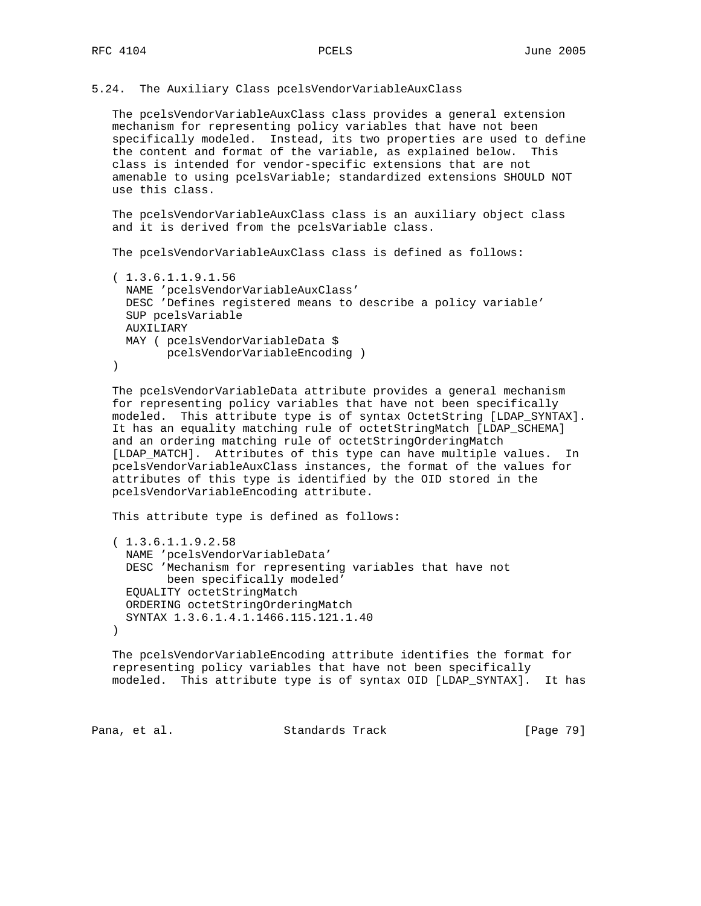## 5.24. The Auxiliary Class pcelsVendorVariableAuxClass

 The pcelsVendorVariableAuxClass class provides a general extension mechanism for representing policy variables that have not been specifically modeled. Instead, its two properties are used to define the content and format of the variable, as explained below. This class is intended for vendor-specific extensions that are not amenable to using pcelsVariable; standardized extensions SHOULD NOT use this class.

 The pcelsVendorVariableAuxClass class is an auxiliary object class and it is derived from the pcelsVariable class.

The pcelsVendorVariableAuxClass class is defined as follows:

```
 ( 1.3.6.1.1.9.1.56
  NAME 'pcelsVendorVariableAuxClass'
  DESC 'Defines registered means to describe a policy variable'
  SUP pcelsVariable
  AUXILIARY
  MAY ( pcelsVendorVariableData $
        pcelsVendorVariableEncoding )
```
 $)$ 

 The pcelsVendorVariableData attribute provides a general mechanism for representing policy variables that have not been specifically modeled. This attribute type is of syntax OctetString [LDAP\_SYNTAX]. It has an equality matching rule of octetStringMatch [LDAP\_SCHEMA] and an ordering matching rule of octetStringOrderingMatch [LDAP\_MATCH]. Attributes of this type can have multiple values. In pcelsVendorVariableAuxClass instances, the format of the values for attributes of this type is identified by the OID stored in the pcelsVendorVariableEncoding attribute.

This attribute type is defined as follows:

```
 ( 1.3.6.1.1.9.2.58
  NAME 'pcelsVendorVariableData'
  DESC 'Mechanism for representing variables that have not
        been specifically modeled'
  EQUALITY octetStringMatch
  ORDERING octetStringOrderingMatch
  SYNTAX 1.3.6.1.4.1.1466.115.121.1.40
)
```
 The pcelsVendorVariableEncoding attribute identifies the format for representing policy variables that have not been specifically modeled. This attribute type is of syntax OID [LDAP\_SYNTAX]. It has

Pana, et al. Standards Track [Page 79]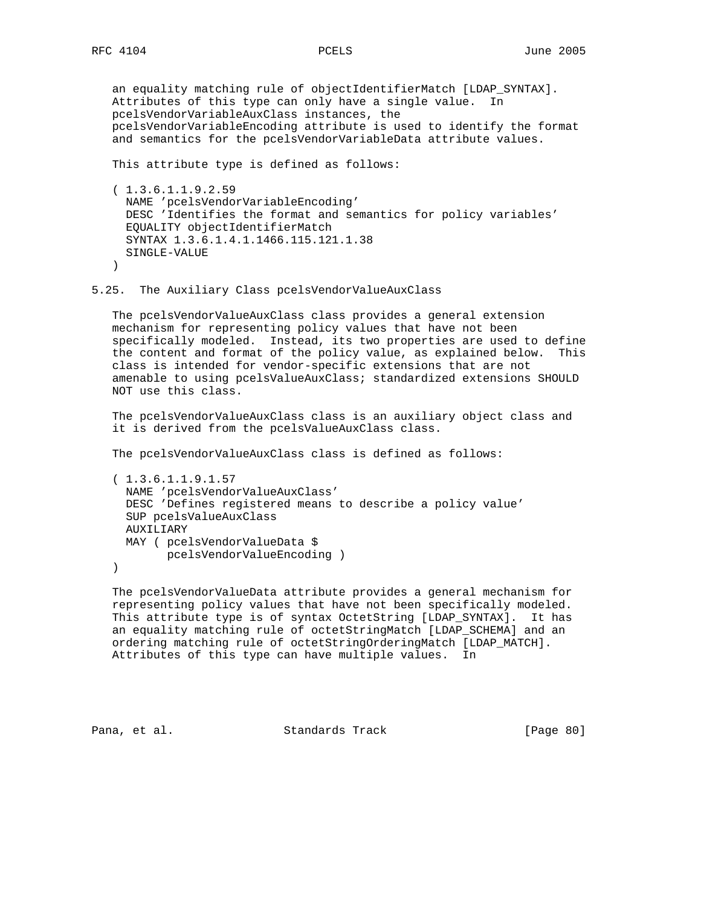an equality matching rule of objectIdentifierMatch [LDAP\_SYNTAX]. Attributes of this type can only have a single value. In pcelsVendorVariableAuxClass instances, the pcelsVendorVariableEncoding attribute is used to identify the format and semantics for the pcelsVendorVariableData attribute values.

This attribute type is defined as follows:

 ( 1.3.6.1.1.9.2.59 NAME 'pcelsVendorVariableEncoding' DESC 'Identifies the format and semantics for policy variables' EQUALITY objectIdentifierMatch SYNTAX 1.3.6.1.4.1.1466.115.121.1.38 SINGLE-VALUE )

5.25. The Auxiliary Class pcelsVendorValueAuxClass

 The pcelsVendorValueAuxClass class provides a general extension mechanism for representing policy values that have not been specifically modeled. Instead, its two properties are used to define the content and format of the policy value, as explained below. This class is intended for vendor-specific extensions that are not amenable to using pcelsValueAuxClass; standardized extensions SHOULD NOT use this class.

 The pcelsVendorValueAuxClass class is an auxiliary object class and it is derived from the pcelsValueAuxClass class.

The pcelsVendorValueAuxClass class is defined as follows:

```
 ( 1.3.6.1.1.9.1.57
  NAME 'pcelsVendorValueAuxClass'
  DESC 'Defines registered means to describe a policy value'
  SUP pcelsValueAuxClass
  AUXILIARY
  MAY ( pcelsVendorValueData $
        pcelsVendorValueEncoding )
```
)

 The pcelsVendorValueData attribute provides a general mechanism for representing policy values that have not been specifically modeled. This attribute type is of syntax OctetString [LDAP\_SYNTAX]. It has an equality matching rule of octetStringMatch [LDAP\_SCHEMA] and an ordering matching rule of octetStringOrderingMatch [LDAP\_MATCH]. Attributes of this type can have multiple values. In

Pana, et al. Standards Track [Page 80]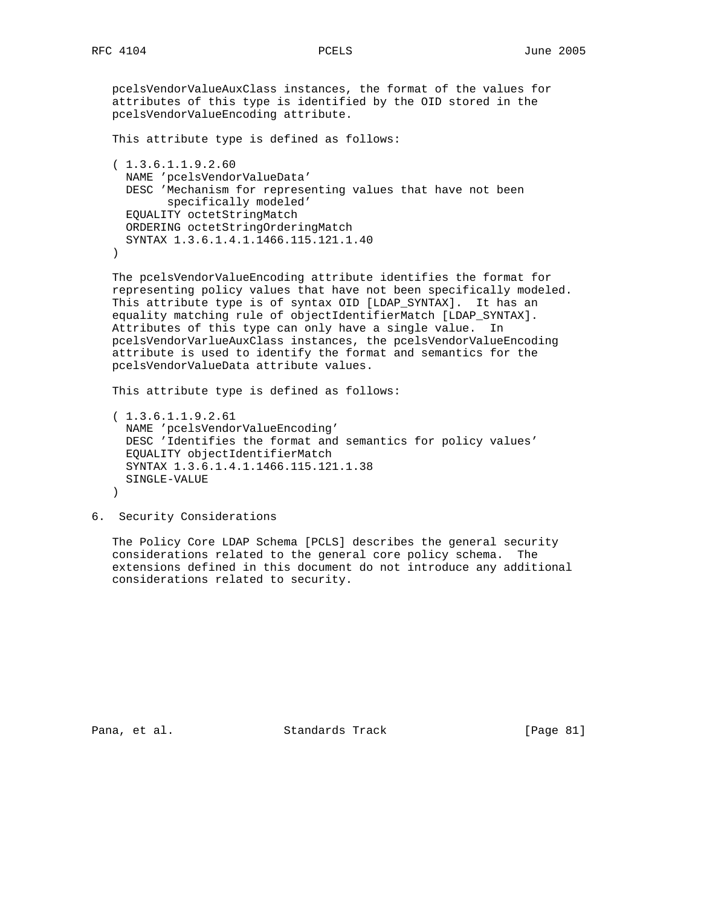pcelsVendorValueAuxClass instances, the format of the values for attributes of this type is identified by the OID stored in the pcelsVendorValueEncoding attribute.

```
 This attribute type is defined as follows:
```

```
 ( 1.3.6.1.1.9.2.60
  NAME 'pcelsVendorValueData'
  DESC 'Mechanism for representing values that have not been
         specifically modeled'
  EQUALITY octetStringMatch
  ORDERING octetStringOrderingMatch
  SYNTAX 1.3.6.1.4.1.1466.115.121.1.40
```
)

 The pcelsVendorValueEncoding attribute identifies the format for representing policy values that have not been specifically modeled. This attribute type is of syntax OID [LDAP\_SYNTAX]. It has an equality matching rule of objectIdentifierMatch [LDAP\_SYNTAX]. Attributes of this type can only have a single value. In pcelsVendorVarlueAuxClass instances, the pcelsVendorValueEncoding attribute is used to identify the format and semantics for the pcelsVendorValueData attribute values.

This attribute type is defined as follows:

```
 ( 1.3.6.1.1.9.2.61
  NAME 'pcelsVendorValueEncoding'
  DESC 'Identifies the format and semantics for policy values'
  EQUALITY objectIdentifierMatch
  SYNTAX 1.3.6.1.4.1.1466.115.121.1.38
  SINGLE-VALUE
 )
```
6. Security Considerations

 The Policy Core LDAP Schema [PCLS] describes the general security considerations related to the general core policy schema. The extensions defined in this document do not introduce any additional considerations related to security.

Pana, et al. Standards Track [Page 81]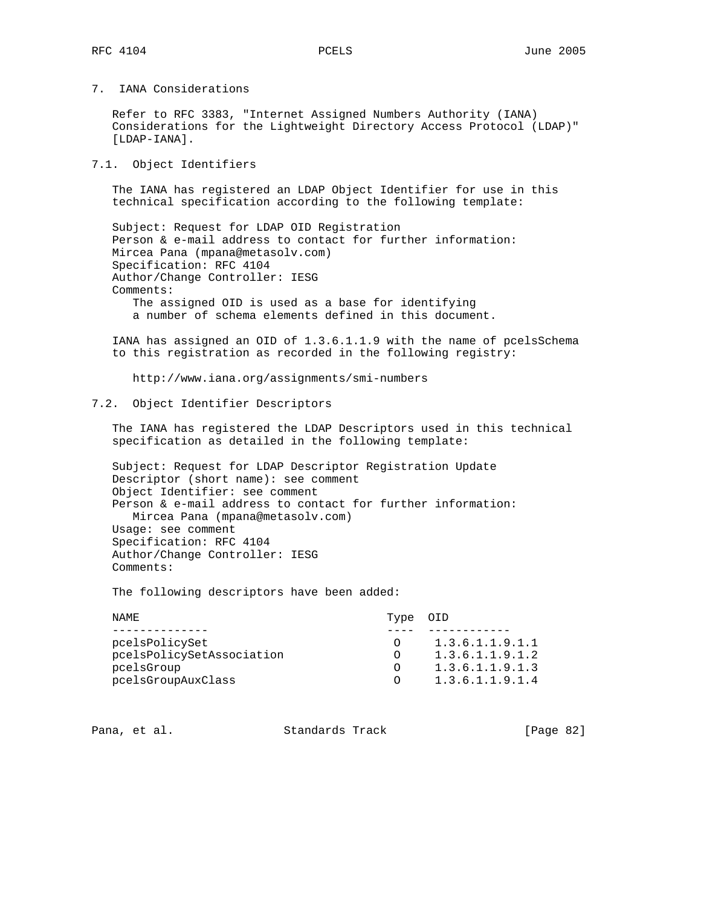7. IANA Considerations

 Refer to RFC 3383, "Internet Assigned Numbers Authority (IANA) Considerations for the Lightweight Directory Access Protocol (LDAP)" [LDAP-IANA].

7.1. Object Identifiers

 The IANA has registered an LDAP Object Identifier for use in this technical specification according to the following template:

 Subject: Request for LDAP OID Registration Person & e-mail address to contact for further information: Mircea Pana (mpana@metasolv.com) Specification: RFC 4104 Author/Change Controller: IESG Comments: The assigned OID is used as a base for identifying a number of schema elements defined in this document.

 IANA has assigned an OID of 1.3.6.1.1.9 with the name of pcelsSchema to this registration as recorded in the following registry:

http://www.iana.org/assignments/smi-numbers

7.2. Object Identifier Descriptors

 The IANA has registered the LDAP Descriptors used in this technical specification as detailed in the following template:

 Subject: Request for LDAP Descriptor Registration Update Descriptor (short name): see comment Object Identifier: see comment Person & e-mail address to contact for further information: Mircea Pana (mpana@metasolv.com) Usage: see comment Specification: RFC 4104 Author/Change Controller: IESG Comments:

The following descriptors have been added:

| NAME.          |                           | Type OID   |                 |
|----------------|---------------------------|------------|-----------------|
|                |                           |            |                 |
| pcelsPolicySet |                           | $\bigcirc$ | 1.3.6.1.1.9.1.1 |
|                | pcelsPolicySetAssociation |            | 1.3.6.1.1.9.1.2 |
| pcelsGroup     |                           |            | 1.3.6.1.1.9.1.3 |
|                | pcelsGroupAuxClass        | $\bigcap$  | 1.3.6.1.1.9.1.4 |

Pana, et al. Standards Track [Page 82]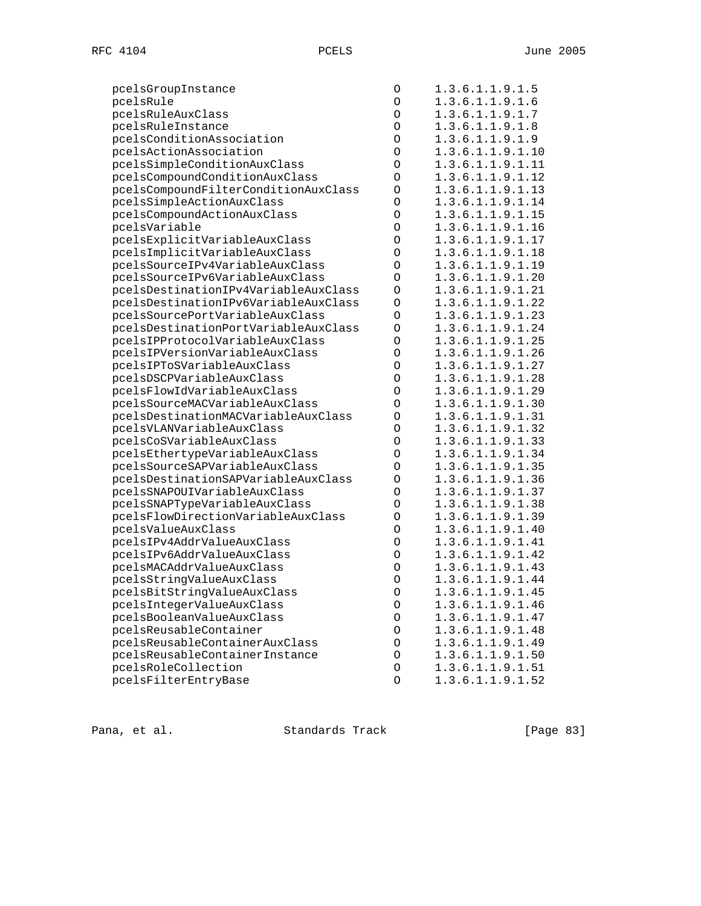| pcelsGroupInstance                   | O       | 1.3.6.1.1.9.1.5  |
|--------------------------------------|---------|------------------|
| pcelsRule                            | $\circ$ | 1.3.6.1.1.9.1.6  |
| pcelsRuleAuxClass                    | $\circ$ | 1.3.6.1.1.9.1.7  |
| pcelsRuleInstance                    | $\circ$ | 1.3.6.1.1.9.1.8  |
| pcelsConditionAssociation            | $\circ$ | 1.3.6.1.1.9.1.9  |
| pcelsActionAssociation               | $\circ$ | 1.3.6.1.1.9.1.10 |
| pcelsSimpleConditionAuxClass         | $\circ$ | 1.3.6.1.1.9.1.11 |
| pcelsCompoundConditionAuxClass       | O       | 1.3.6.1.1.9.1.12 |
| pcelsCompoundFilterConditionAuxClass | $\circ$ | 1.3.6.1.1.9.1.13 |
| pcelsSimpleActionAuxClass            | O       | 1.3.6.1.1.9.1.14 |
| pcelsCompoundActionAuxClass          | $\circ$ | 1.3.6.1.1.9.1.15 |
| pcelsVariable                        | $\circ$ | 1.3.6.1.1.9.1.16 |
| pcelsExplicitVariableAuxClass        | $\circ$ | 1.3.6.1.1.9.1.17 |
| pcelsImplicitVariableAuxClass        | $\circ$ | 1.3.6.1.1.9.1.18 |
| pcelsSourceIPv4VariableAuxClass      | $\circ$ | 1.3.6.1.1.9.1.19 |
| pcelsSourceIPv6VariableAuxClass      | O       | 1.3.6.1.1.9.1.20 |
| pcelsDestinationIPv4VariableAuxClass | O       | 1.3.6.1.1.9.1.21 |
| pcelsDestinationIPv6VariableAuxClass | $\circ$ | 1.3.6.1.1.9.1.22 |
| pcelsSourcePortVariableAuxClass      | O       | 1.3.6.1.1.9.1.23 |
| pcelsDestinationPortVariableAuxClass | O       | 1.3.6.1.1.9.1.24 |
| pcelsIPProtocolVariableAuxClass      | O       | 1.3.6.1.1.9.1.25 |
| pcelsIPVersionVariableAuxClass       | O       | 1.3.6.1.1.9.1.26 |
| pcelsIPToSVariableAuxClass           | $\circ$ | 1.3.6.1.1.9.1.27 |
| pcelsDSCPVariableAuxClass            | $\circ$ | 1.3.6.1.1.9.1.28 |
| pcelsFlowIdVariableAuxClass          | $\circ$ | 1.3.6.1.1.9.1.29 |
| pcelsSourceMACVariableAuxClass       | O       | 1.3.6.1.1.9.1.30 |
| pcelsDestinationMACVariableAuxClass  | $\circ$ | 1.3.6.1.1.9.1.31 |
| pcelsVLANVariableAuxClass            | O       | 1.3.6.1.1.9.1.32 |
| pcelsCoSVariableAuxClass             | $\circ$ | 1.3.6.1.1.9.1.33 |
| pcelsEthertypeVariableAuxClass       | $\circ$ | 1.3.6.1.1.9.1.34 |
| pcelsSourceSAPVariableAuxClass       | O       | 1.3.6.1.1.9.1.35 |
| pcelsDestinationSAPVariableAuxClass  | O       | 1.3.6.1.1.9.1.36 |
| pcelsSNAPOUIVariableAuxClass         | $\circ$ | 1.3.6.1.1.9.1.37 |
| pcelsSNAPTypeVariableAuxClass        | O       | 1.3.6.1.1.9.1.38 |
| pcelsFlowDirectionVariableAuxClass   | O       | 1.3.6.1.1.9.1.39 |
| pcelsValueAuxClass                   | $\circ$ | 1.3.6.1.1.9.1.40 |
| pcelsIPv4AddrValueAuxClass           | $\circ$ | 1.3.6.1.1.9.1.41 |
| pcelsIPv6AddrValueAuxClass           | $\circ$ | 1.3.6.1.1.9.1.42 |
| pcelsMACAddrValueAuxClass            | $\circ$ | 1.3.6.1.1.9.1.43 |
| pcelsStringValueAuxClass             | O       | 1.3.6.1.1.9.1.44 |
| pcelsBitStringValueAuxClass          | $\circ$ | 1.3.6.1.1.9.1.45 |
| pcelsIntegerValueAuxClass            | O       | 1.3.6.1.1.9.1.46 |
| pcelsBooleanValueAuxClass            | O       | 1.3.6.1.1.9.1.47 |
| pcelsReusableContainer               | O       | 1.3.6.1.1.9.1.48 |
| pcelsReusableContainerAuxClass       | O       | 1.3.6.1.1.9.1.49 |
| pcelsReusableContainerInstance       | O       | 1.3.6.1.1.9.1.50 |
| pcelsRoleCollection                  | O       | 1.3.6.1.1.9.1.51 |
| pcelsFilterEntryBase                 | $\circ$ | 1.3.6.1.1.9.1.52 |
|                                      |         |                  |

Pana, et al. Standards Track [Page 83]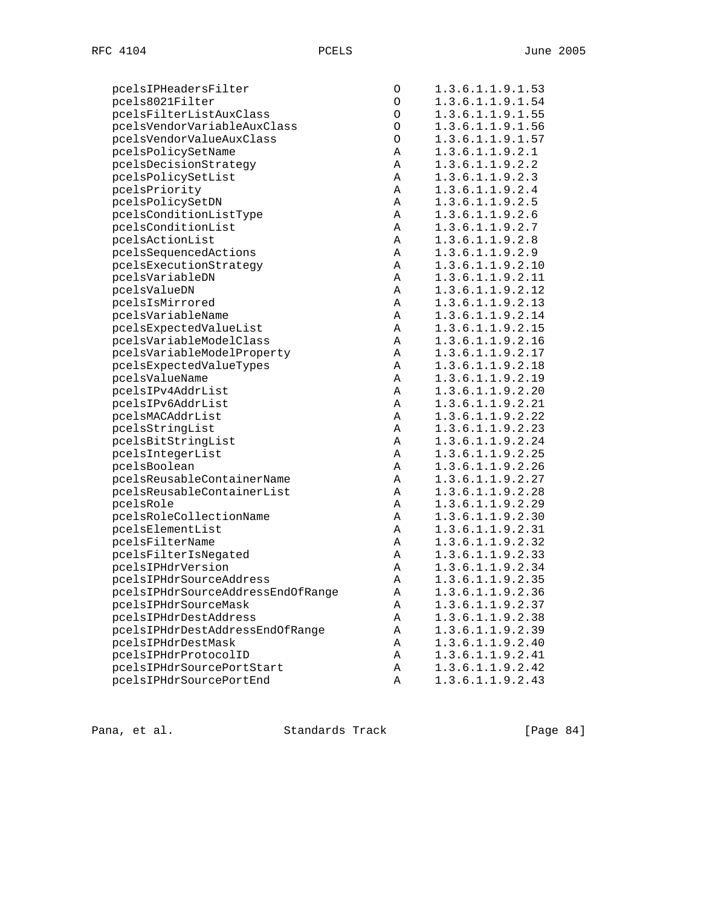| pcelsIPHeadersFilter              | O       | 1.3.6.1.1.9.1.53 |
|-----------------------------------|---------|------------------|
| pcels8021Filter                   | O       | 1.3.6.1.1.9.1.54 |
| pcelsFilterListAuxClass           | $\circ$ | 1.3.6.1.1.9.1.55 |
| pcelsVendorVariableAuxClass       | $\circ$ | 1.3.6.1.1.9.1.56 |
| pcelsVendorValueAuxClass          | $\circ$ | 1.3.6.1.1.9.1.57 |
| pcelsPolicySetName                | Α       | 1.3.6.1.1.9.2.1  |
| pcelsDecisionStrategy             | Α       | 1.3.6.1.1.9.2.2  |
| pcelsPolicySetList                | Α       | 1.3.6.1.1.9.2.3  |
| pcelsPriority                     | Α       | 1.3.6.1.1.9.2.4  |
| pcelsPolicySetDN                  | Α       | 1.3.6.1.1.9.2.5  |
| pcelsConditionListType            | Α       | 1.3.6.1.1.9.2.6  |
| pcelsConditionList                | Α       | 1.3.6.1.1.9.2.7  |
| pcelsActionList                   | Α       | 1.3.6.1.1.9.2.8  |
| pcelsSequencedActions             | Α       | 1.3.6.1.1.9.2.9  |
| pcelsExecutionStrategy            | Α       | 1.3.6.1.1.9.2.10 |
| pcelsVariableDN                   | Α       | 1.3.6.1.1.9.2.11 |
| pcelsValueDN                      | Α       | 1.3.6.1.1.9.2.12 |
| pcelsIsMirrored                   | Α       | 1.3.6.1.1.9.2.13 |
| pcelsVariableName                 | Α       | 1.3.6.1.1.9.2.14 |
| pcelsExpectedValueList            | Α       | 1.3.6.1.1.9.2.15 |
| pcelsVariableModelClass           | Α       | 1.3.6.1.1.9.2.16 |
| pcelsVariableModelProperty        | Α       | 1.3.6.1.1.9.2.17 |
| pcelsExpectedValueTypes           | Α       | 1.3.6.1.1.9.2.18 |
| pcelsValueName                    | Α       | 1.3.6.1.1.9.2.19 |
| pcelsIPv4AddrList                 | Α       | 1.3.6.1.1.9.2.20 |
| pcelsIPv6AddrList                 | Α       | 1.3.6.1.1.9.2.21 |
| pcelsMACAddrList                  | Α       | 1.3.6.1.1.9.2.22 |
| pcelsStringList                   | Α       | 1.3.6.1.1.9.2.23 |
| pcelsBitStringList                | Α       | 1.3.6.1.1.9.2.24 |
| pcelsIntegerList                  | Α       | 1.3.6.1.1.9.2.25 |
| pcelsBoolean                      | Α       | 1.3.6.1.1.9.2.26 |
| pcelsReusableContainerName        | Α       | 1.3.6.1.1.9.2.27 |
| pcelsReusableContainerList        | Α       | 1.3.6.1.1.9.2.28 |
| pcelsRole                         | Α       | 1.3.6.1.1.9.2.29 |
| pcelsRoleCollectionName           | Α       | 1.3.6.1.1.9.2.30 |
| pcelsElementList                  | Α       | 1.3.6.1.1.9.2.31 |
| pcelsFilterName                   | Α       | 1.3.6.1.1.9.2.32 |
| pcelsFilterIsNegated              | Α       | 1.3.6.1.1.9.2.33 |
| pcelsIPHdrVersion                 | Α       | 1.3.6.1.1.9.2.34 |
| pcelsIPHdrSourceAddress           | Α       | 1.3.6.1.1.9.2.35 |
| pcelsIPHdrSourceAddressEndOfRange | Α       | 1.3.6.1.1.9.2.36 |
| pcelsIPHdrSourceMask              | Α       | 1.3.6.1.1.9.2.37 |
| pcelsIPHdrDestAddress             | Α       | 1.3.6.1.1.9.2.38 |
| pcelsIPHdrDestAddressEndOfRange   | Α       | 1.3.6.1.1.9.2.39 |
| pcelsIPHdrDestMask                | Α       | 1.3.6.1.1.9.2.40 |
| pcelsIPHdrProtocolID              | Α       | 1.3.6.1.1.9.2.41 |
| pcelsIPHdrSourcePortStart         | Α       | 1.3.6.1.1.9.2.42 |
| pcelsIPHdrSourcePortEnd           | Α       | 1.3.6.1.1.9.2.43 |
|                                   |         |                  |

Pana, et al. Standards Track [Page 84]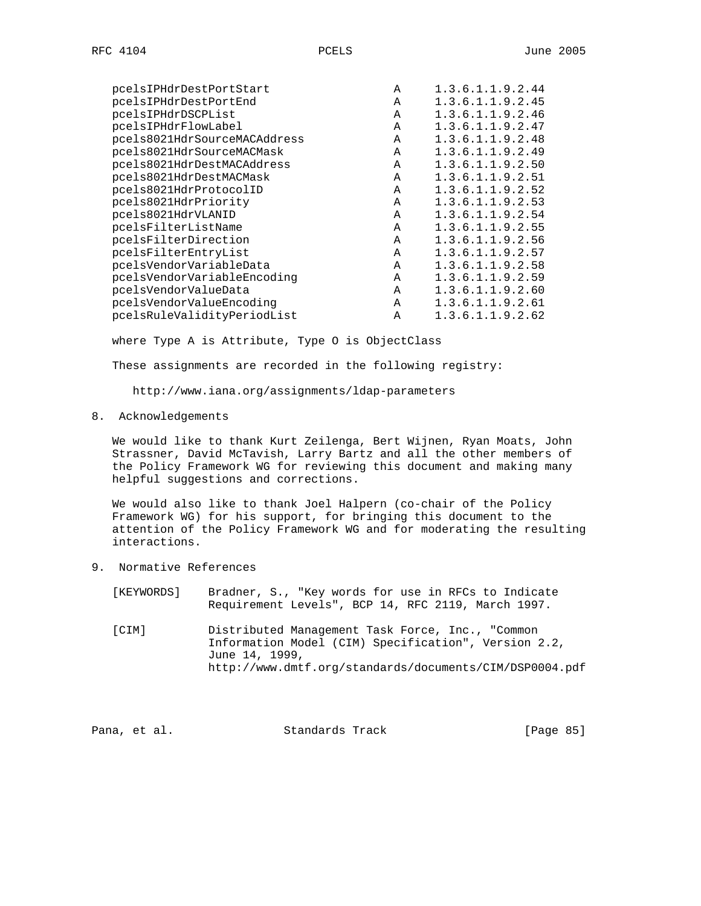|  | $\sim$<br>RF | 4<br>U<br>1. |
|--|--------------|--------------|
|--|--------------|--------------|

| pcelsIPHdrDestPortStart      | A | 1.3.6.1.1.9.2.44 |
|------------------------------|---|------------------|
| pcelsIPHdrDestPortEnd        | Α | 1.3.6.1.1.9.2.45 |
| pcelsIPHdrDSCPList           | Α | 1.3.6.1.1.9.2.46 |
| pcelsIPHdrFlowLabel          | A | 1.3.6.1.1.9.2.47 |
| pcels8021HdrSourceMACAddress | A | 1.3.6.1.1.9.2.48 |
| pcels8021HdrSourceMACMask    | A | 1.3.6.1.1.9.2.49 |
| pcels8021HdrDestMACAddress   | A | 1.3.6.1.1.9.2.50 |
| pcels8021HdrDestMACMask      | A | 1.3.6.1.1.9.2.51 |
| pcels8021HdrProtocolID       | A | 1.3.6.1.1.9.2.52 |
| pcels8021HdrPriority         | A | 1.3.6.1.1.9.2.53 |
| pcels8021HdrVLANID           | A | 1.3.6.1.1.9.2.54 |
| pcelsFilterListName          | A | 1.3.6.1.1.9.2.55 |
| pcelsFilterDirection         | A | 1.3.6.1.1.9.2.56 |
| pcelsFilterEntryList         | A | 1.3.6.1.1.9.2.57 |
| pcelsVendorVariableData      | A | 1.3.6.1.1.9.2.58 |
| pcelsVendorVariableEncoding  | A | 1.3.6.1.1.9.2.59 |
| pcelsVendorValueData         | A | 1.3.6.1.1.9.2.60 |
| pcelsVendorValueEncoding     | Α | 1.3.6.1.1.9.2.61 |
| pcelsRuleValidityPeriodList  | A | 1.3.6.1.1.9.2.62 |
|                              |   |                  |

where Type A is Attribute, Type O is ObjectClass

These assignments are recorded in the following registry:

http://www.iana.org/assignments/ldap-parameters

8. Acknowledgements

 We would like to thank Kurt Zeilenga, Bert Wijnen, Ryan Moats, John Strassner, David McTavish, Larry Bartz and all the other members of the Policy Framework WG for reviewing this document and making many helpful suggestions and corrections.

 We would also like to thank Joel Halpern (co-chair of the Policy Framework WG) for his support, for bringing this document to the attention of the Policy Framework WG and for moderating the resulting interactions.

9. Normative References

| [KEYWORDS] | Bradner, S., "Key words for use in RFCs to Indicate<br>Requirement Levels", BCP 14, RFC 2119, March 1997.                  |
|------------|----------------------------------------------------------------------------------------------------------------------------|
| [CIM]      | Distributed Management Task Force, Inc., "Common<br>Information Model (CIM) Specification", Version 2.2,<br>June 14, 1999, |
|            | http://www.dmtf.org/standards/documents/CIM/DSP0004.pdf                                                                    |

Pana, et al. Standards Track [Page 85]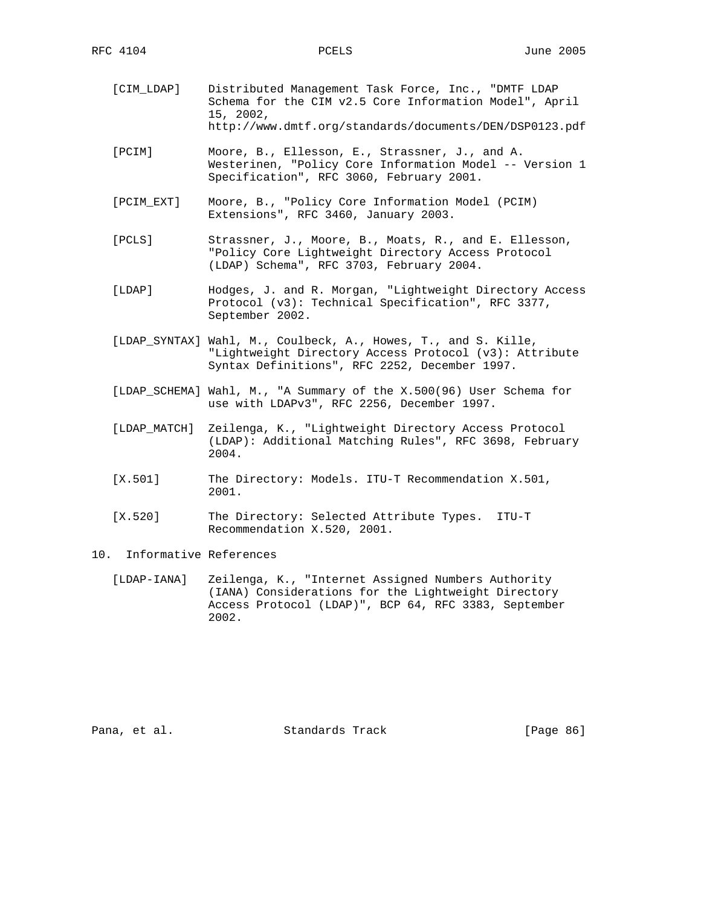- [CIM\_LDAP] Distributed Management Task Force, Inc., "DMTF LDAP Schema for the CIM v2.5 Core Information Model", April 15, 2002, http://www.dmtf.org/standards/documents/DEN/DSP0123.pdf
- [PCIM] Moore, B., Ellesson, E., Strassner, J., and A. Westerinen, "Policy Core Information Model -- Version 1 Specification", RFC 3060, February 2001.
- [PCIM\_EXT] Moore, B., "Policy Core Information Model (PCIM) Extensions", RFC 3460, January 2003.
- [PCLS] Strassner, J., Moore, B., Moats, R., and E. Ellesson, "Policy Core Lightweight Directory Access Protocol (LDAP) Schema", RFC 3703, February 2004.
- [LDAP] Hodges, J. and R. Morgan, "Lightweight Directory Access Protocol (v3): Technical Specification", RFC 3377, September 2002.
- [LDAP\_SYNTAX] Wahl, M., Coulbeck, A., Howes, T., and S. Kille, "Lightweight Directory Access Protocol (v3): Attribute Syntax Definitions", RFC 2252, December 1997.
- [LDAP\_SCHEMA] Wahl, M., "A Summary of the X.500(96) User Schema for use with LDAPv3", RFC 2256, December 1997.
- [LDAP\_MATCH] Zeilenga, K., "Lightweight Directory Access Protocol (LDAP): Additional Matching Rules", RFC 3698, February 2004.
- [X.501] The Directory: Models. ITU-T Recommendation X.501, 2001.
- [X.520] The Directory: Selected Attribute Types. ITU-T Recommendation X.520, 2001.
- 10. Informative References
	- [LDAP-IANA] Zeilenga, K., "Internet Assigned Numbers Authority (IANA) Considerations for the Lightweight Directory Access Protocol (LDAP)", BCP 64, RFC 3383, September 2002.

Pana, et al. Standards Track [Page 86]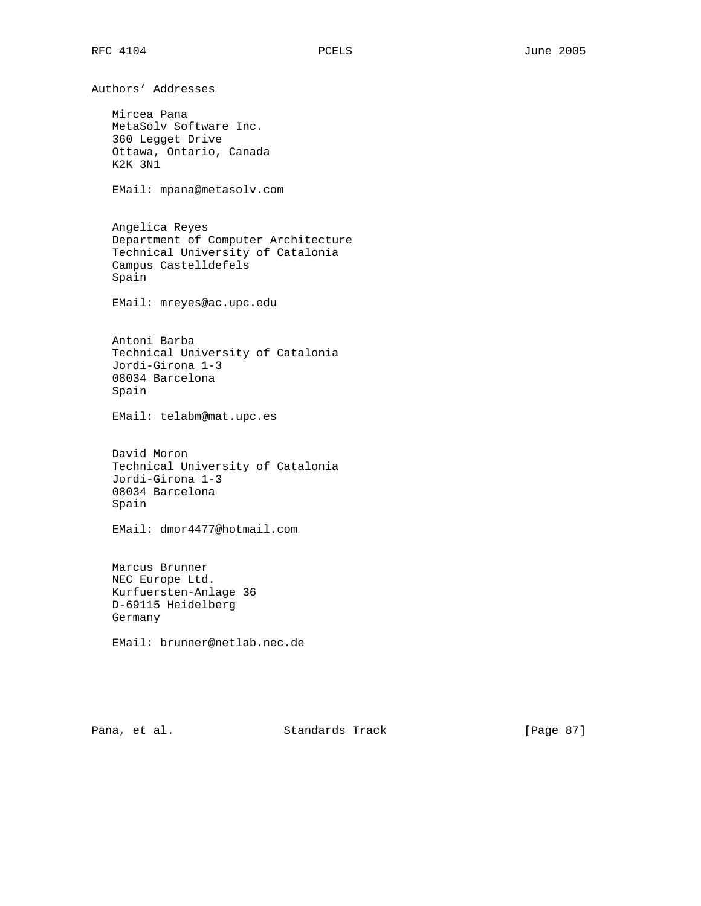Authors' Addresses Mircea Pana MetaSolv Software Inc. 360 Legget Drive Ottawa, Ontario, Canada K2K 3N1 EMail: mpana@metasolv.com Angelica Reyes Department of Computer Architecture Technical University of Catalonia Campus Castelldefels Spain EMail: mreyes@ac.upc.edu Antoni Barba Technical University of Catalonia Jordi-Girona 1-3 08034 Barcelona Spain EMail: telabm@mat.upc.es David Moron Technical University of Catalonia Jordi-Girona 1-3 08034 Barcelona Spain EMail: dmor4477@hotmail.com Marcus Brunner NEC Europe Ltd. Kurfuersten-Anlage 36 D-69115 Heidelberg Germany EMail: brunner@netlab.nec.de

Pana, et al. Standards Track [Page 87]